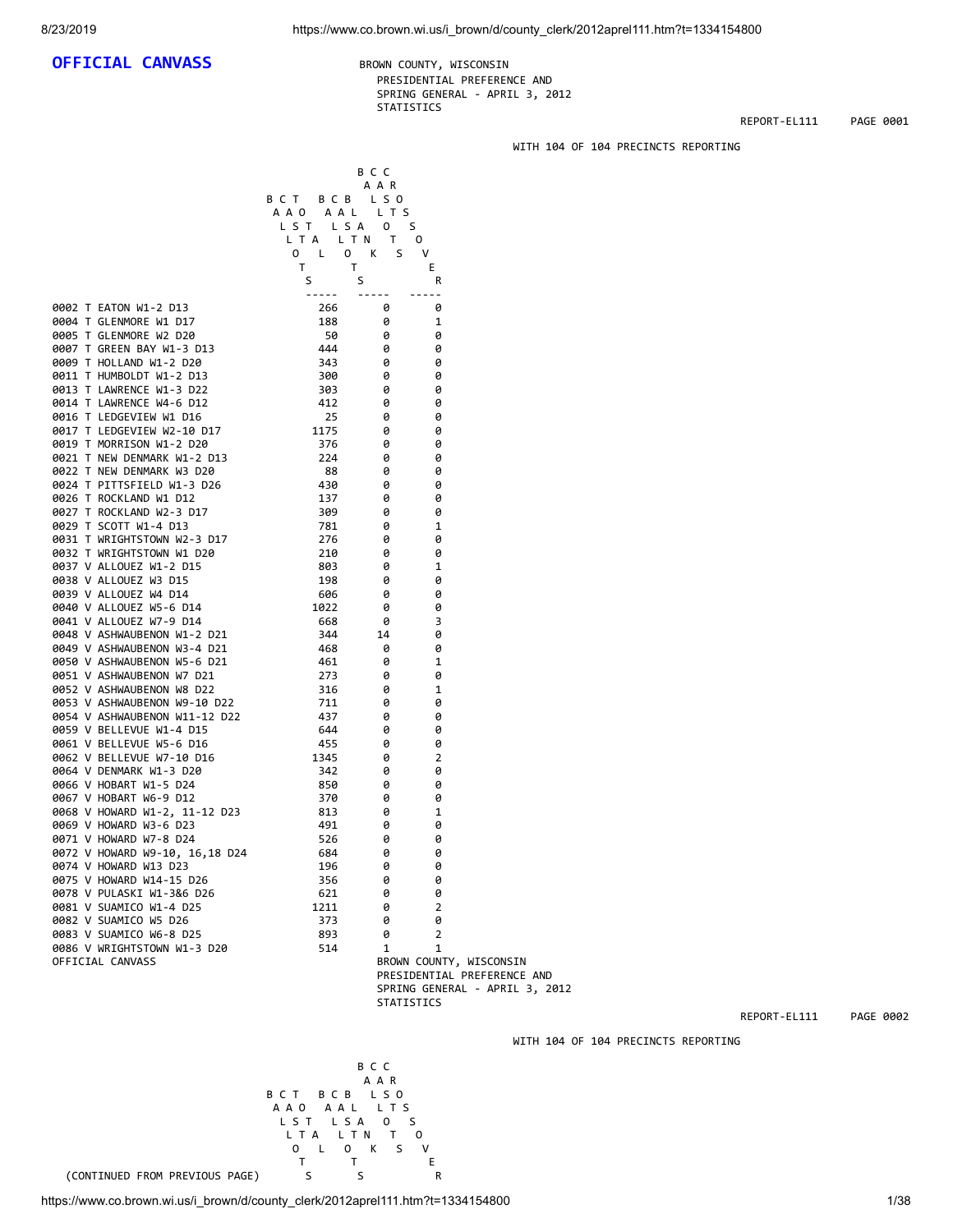## **OFFICIAL CANVASS** BROWN COUNTY, WISCONSIN

 PRESIDENTIAL PREFERENCE AND SPRING GENERAL - APRIL 3, 2012 STATISTICS

B C C

REPORT-EL111 PAGE 0001

### WITH 104 OF 104 PRECINCTS REPORTING

 A A R B C T B C B L S O A A O A A L L T S L S T L S A O S<br>L T A L T N T O L T A L T N T O O L O K S V The Theorem is a series of the Theorem in the Theorem is  $\mathsf F$  S S R ----- ----- ----- 0002 T EATON W1-2 D13 266 0 0 0004 T GLENMORE W1 D17 188 0 1 0005 T GLENMORE W2 D20 50 0 0 0007 T GREEN BAY W1-3 D13 444 0 0<br>0009 T HOLLAND W1-2 D20 343 0 0 0009 T HOLLAND W1-2 D20 343<br>0011 T HUMBOLDT W1-2 D13 300 0011 T HUMBOLDT W1-2 D13 300 0 0 0 0013 T LAWRENCE W1-3 D22 303 0 0<br>0014 T LAWRENCE W4-6 D12 412 0 0 0014 T LAWRENCE W4-6 D12 0016 T LEDGEVIEW W1 D16 25 0 0 0017 T LEDGEVIEW W2-10 D17 1175 0 0 0019 T MORRISON W1-2 D20 0021 T NEW DENMARK W1-2 D13 224 0 0 0022 T NEW DENMARK W3 D20 88 0 0 0024 T PITTSFIELD W1-3 D26 430<br>0026 T ROCKLAND W1 D12 137 0026 T ROCKLAND W1 D12 137 0 0 0027 T ROCKLAND W2-3 D17 309 0 0 0029 T SCOTT W1-4 D13 781 0 1 0031 T WRIGHTSTOWN W2-3 D17 276 0 0 0032 T WRIGHTSTOWN W1 D20 210<br>0037 V ALLOUEZ W1-2 D15 203 0037 V ALLOUEZ W1-2 D15 803 0 1 0038 V ALLOUEZ W3 D15 0039 V ALLOUEZ W4 D14 606 0 0 0040 V ALLOUEZ W5-6 D14 1022 0 0 0041 V ALLOUEZ W7-9 D14 668 0 3 0048 V ASHWAUBENON W1-2 D21 344 14 0<br>0049 V ASHWAUBENON W3-4 D21 468 0 0049 V ASHWAUBENON W3-4 D21 468 0<br>0050 V ASHWAUBENON W5-6 D21 461 0 0050 V ASHWAUBENON W5-6 D21 461 0 1<br>19051 V ASHWAUBENON W7 D21 273 0 0 0051 V ASHWAUBENON W7 D21 273 0 0 0052 V ASHWAUBENON W8 D22 316 0 1<br>0053 V ASHWAUBENON W9-10 D22 711 0 0 0053 V ASHWAUBENON W9-10 D22 711<br>0054 V ASHWAUBENON W11-12 D22 437<br>0059 V BELLEVUE W1-4 D15 644 0054 V ASHWAUBENON W11-12 D22 437 0 0 0059 V BELLEVUE W1-4 D15 644 0 0 0061 V BELLEVUE W5-6 D16 455<br>0062 V BELLEVUE W7-10 D16 1345 0062 V BELLEVUE W7-10 D16 1345 0 2 0064 V DENMARK W1-3 D20 342 0 0 0066 V HOBART W1-5 D24<br>0067 V HOBART W6-9 D12 370 370 0067 V HOBART W6-9 D12 370 0 0 0068 V HOWARD W1-2, 11-12 D23 813 0 1 0069 V HOWARD W3-6 D23 491 0 0 0071 V HOWARD W7-8 D24 526 0 0 0072 V HOWARD W9-10, 16,18 D24 684 0 0 0074 V HOWARD W13 D23 196 0 0 0075 V HOWARD W14-15 D26 0078 V PULASKI W1-3&6 D26 621 0 0 0081 V SUAMICO W1-4 D25 1211 0 2<br>0082 V SUAMICO W5 D26 373 0 0 0082 V SUAMICO W5 D26 0083 V SUAMICO W6-8 D25 893 0 2 0086 V WRIGHTSTOWN W1-3 D20 514 1 1<br>OFFICIAL CANVASS 6ROWN COUN OFFICIAL CANVASS BROWN COUNTY, WISCONSIN

 PRESIDENTIAL PREFERENCE AND SPRING GENERAL - APRIL 3, 2012 STATISTICS

REPORT-EL111 PAGE 0002

WITH 104 OF 104 PRECINCTS REPORTING



B C T B C B L S O

B C C

A A R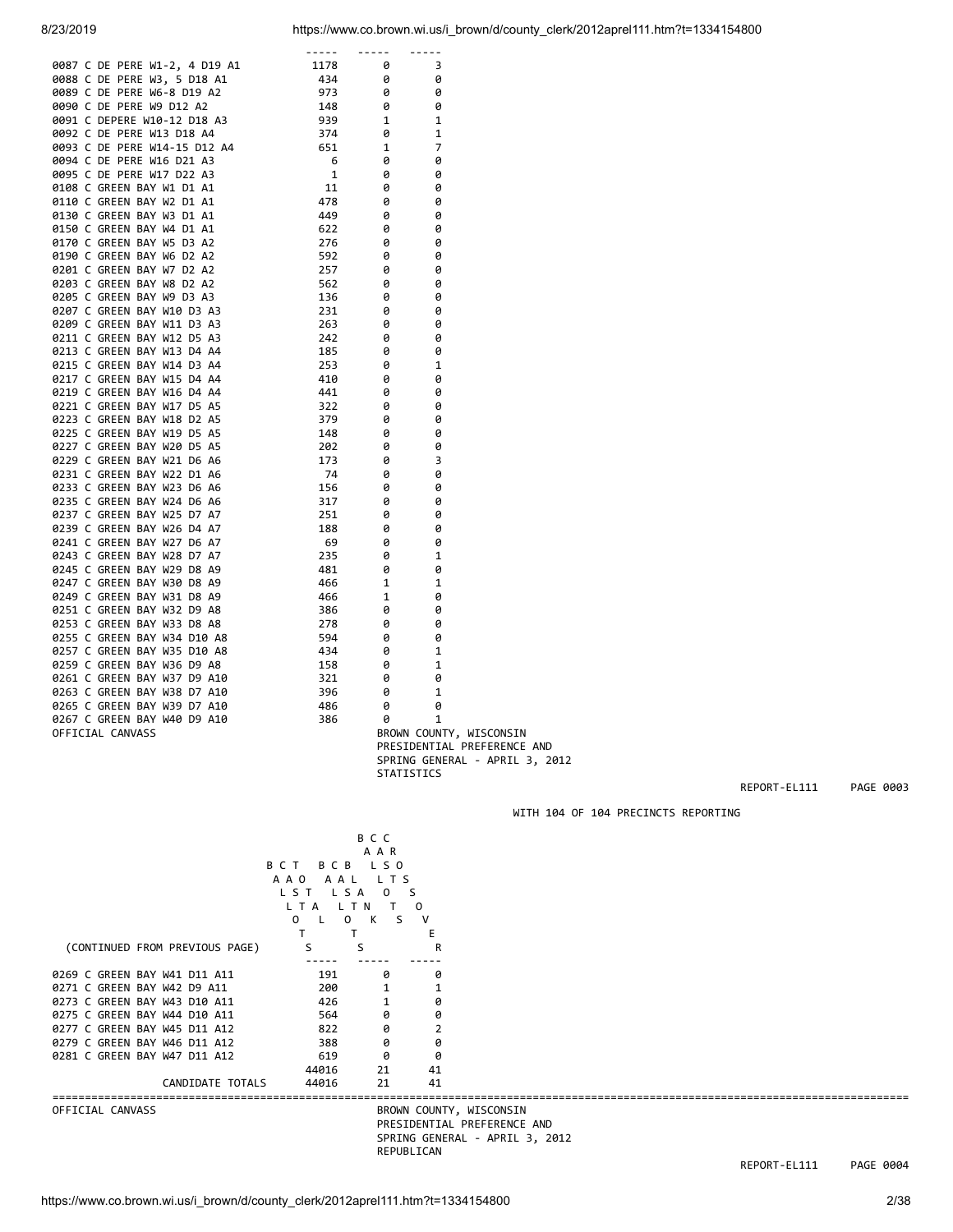| 0837 C DE FERE W1-2, 4 019 A1<br>0838 C DE FERE W3-5 D19 A1<br>0838 C DE FERE W5-8 D19 A2<br>0899 C DE FERE W5-8 D19 A2<br>0899 C DE FERE W5-8 D19 A2<br>0999 C DE FERE W5-9 D19 A2<br>0999 C DE FERE W19-120 D2A A3<br>0999 C DE FERE W19- |  |                                |  |
|---------------------------------------------------------------------------------------------------------------------------------------------------------------------------------------------------------------------------------------------|--|--------------------------------|--|
|                                                                                                                                                                                                                                             |  |                                |  |
|                                                                                                                                                                                                                                             |  |                                |  |
|                                                                                                                                                                                                                                             |  |                                |  |
|                                                                                                                                                                                                                                             |  |                                |  |
|                                                                                                                                                                                                                                             |  |                                |  |
|                                                                                                                                                                                                                                             |  |                                |  |
|                                                                                                                                                                                                                                             |  |                                |  |
|                                                                                                                                                                                                                                             |  |                                |  |
|                                                                                                                                                                                                                                             |  |                                |  |
|                                                                                                                                                                                                                                             |  |                                |  |
|                                                                                                                                                                                                                                             |  |                                |  |
|                                                                                                                                                                                                                                             |  |                                |  |
|                                                                                                                                                                                                                                             |  |                                |  |
|                                                                                                                                                                                                                                             |  |                                |  |
|                                                                                                                                                                                                                                             |  |                                |  |
|                                                                                                                                                                                                                                             |  |                                |  |
|                                                                                                                                                                                                                                             |  |                                |  |
|                                                                                                                                                                                                                                             |  | BROWN COUNTY, WISCONSIN        |  |
|                                                                                                                                                                                                                                             |  | PRESIDENTIAL PREFERENCE AND    |  |
|                                                                                                                                                                                                                                             |  | SPRING GENERAL - APRIL 3, 2012 |  |

|  | 0263 C GREEN BAY W38 D7 A10 |  |  | 396 | ø                 |   |                                |  |
|--|-----------------------------|--|--|-----|-------------------|---|--------------------------------|--|
|  | 0265 C GREEN BAY W39 D7 A10 |  |  | 486 | a                 | 0 |                                |  |
|  | 0267 C GREEN BAY W40 D9 A10 |  |  | 386 | a                 |   |                                |  |
|  | OFFICIAL CANVASS            |  |  |     |                   |   | BROWN COUNTY, WISCONSIN        |  |
|  |                             |  |  |     |                   |   | PRESIDENTIAL PREFERENCE AND    |  |
|  |                             |  |  |     |                   |   | SPRING GENERAL - APRIL 3, 2012 |  |
|  |                             |  |  |     | <b>STATISTICS</b> |   |                                |  |

REPORT-EL111 PAGE 0003

WITH 104 OF 104 PRECINCTS REPORTING

 B C C A A R B C T B C B L S O A A O A A L L T S L S T L S A O S L T A L T N T O O L O K S V T T T E (CONTINUED FROM PREVIOUS PAGE) S S R ----- ----- ----- 0269 C GREEN BAY W41 D11 A11 191 0 0<br>
0271 C GREEN BAY W42 D9 A11 200 1 1<br>
0273 C GREEN BAY W43 D10 A11 426 1 0<br>
0275 C GREEN BAY W44 D10 A11 564 0 0<br>
0277 C GREEN BAY W45 D11 A12 822 0 2 0271 C GREEN BAY W42 D9 A11 200 1 200 1 201<br>1 202 0273 C GREEN BAY W43 D10 A11 426 1 0 0273 C GREEN BAY W43 D10 A11 426 1 0<br>0275 C GREEN BAY W44 D10 A11 564 0 0<br>0277 C GREEN BAY W45 D11 A12 822 0 2 0275 C GREEN BAY W44 D10 A11 0277 C GREEN BAY W45 D11 A12 822 0 2<br>0279 C GREEN BAY W46 D11 A12 388 0 0 0279 C GREEN BAY W46 D11 A12 388 0 0<br>0281 C GREEN BAY W47 D11 A12 619 0 0 0281 C GREEN BAY W47 D11 A12 619 0 0<br>44016 21 41 44016 21 41 CANDIDATE TOTALS 44016 21 41 ==================================================================================================================================== BROWN COUNTY, WISCONSIN PRESIDENTIAL PREFERENCE AND SPRING GENERAL - APRIL 3, 2012 REPUBLICAN REPORT-EL111 PAGE 0004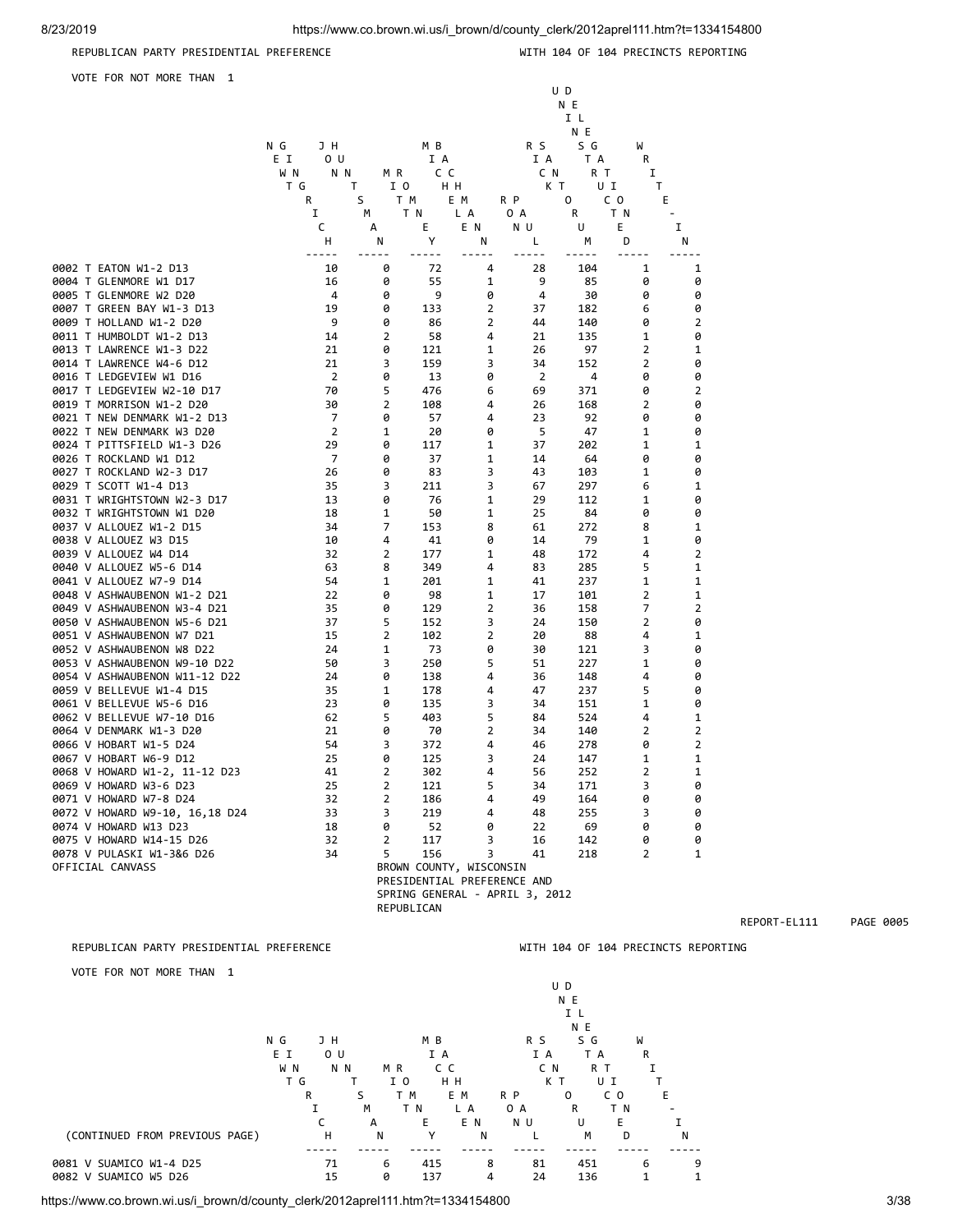### REPUBLICAN PARTY PRESIDENTIAL PREFERENCE WELL ASSESSED WITH 104 OF 104 PRECINCTS REPORTING

 U D N E I L N E

VOTE FOR NOT MORE THAN 1

|                                | JH<br>N G             |                | M B        |                                | R S            | S G | W              |                |
|--------------------------------|-----------------------|----------------|------------|--------------------------------|----------------|-----|----------------|----------------|
|                                | E I<br>0 <sub>U</sub> |                | I A        |                                | I A            | T A | R              |                |
|                                | W N<br>N N            | M R            | C C        |                                | C N            | R T | Ι.             |                |
|                                | ΤG                    | I O<br>T       | HН         |                                | КT             | UI  | Τ              |                |
|                                | R                     | S              | T M        | E M                            | R P            | 0   | C O            | E              |
|                                | Ι.                    | м              | T N        | L A                            | 0 A            | R   | ΤN             |                |
|                                | C                     | А              | Ε          | E N                            | N U            | U   | Е              | I              |
|                                | н                     | N              | Υ          | N                              | Г              | М   | D              | Ν              |
|                                | -----                 |                | $- - -$    | $- - -$                        | $- - - - -$    |     | $\sim$ $\sim$  | $- - -$        |
| 0002 T EATON W1-2 D13          | 10                    | 0              | 72         | 4                              | 28             | 104 | 1              | $\mathbf 1$    |
| 0004 T GLENMORE W1 D17         | 16                    | 0              | 55         | 1                              | 9              | 85  | 0              | 0              |
| 0005 T GLENMORE W2 D20         | 4                     | 0              | 9          | 0                              | 4              | 30  | 0              | 0              |
| 0007 T GREEN BAY W1-3 D13      | 19                    | 0              | 133        | $\mathbf 2$                    | 37             | 182 | 6              | 0              |
| 0009 T HOLLAND W1-2 D20        | 9                     | 0              | 86         | 2                              | 44             | 140 | 0              | 2              |
| 0011 T HUMBOLDT W1-2 D13       | 14                    | $\overline{2}$ | 58         | 4                              | 21             | 135 | 1              | 0              |
| 0013 T LAWRENCE W1-3 D22       | 21                    | 0              | 121        | 1                              | 26             | 97  | 2              | 1              |
| 0014 T LAWRENCE W4-6 D12       | 21                    | 3              | 159        | 3                              | 34             | 152 | $\overline{2}$ | 0              |
| 0016 T LEDGEVIEW W1 D16        | $\overline{2}$        | 0              | 13         | 0                              | $\overline{2}$ | 4   | 0              | 0              |
| 0017 T LEDGEVIEW W2-10 D17     | 70                    | 5              | 476        | 6                              | 69             | 371 | 0              | $\overline{2}$ |
| 0019 T MORRISON W1-2 D20       | 30                    | $\overline{2}$ | 108        | 4                              | 26             | 168 | 2              | 0              |
| 0021 T NEW DENMARK W1-2 D13    | $\overline{7}$        | 0              | 57         | 4                              | 23             | 92  | 0              | 0              |
| 0022 T NEW DENMARK W3 D20      | $\overline{2}$        | 1              | 20         | 0                              | 5              | 47  | 1              | 0              |
| 0024 T PITTSFIELD W1-3 D26     | 29                    | 0              | 117        | 1                              | 37             | 202 | 1              | 1              |
| 0026 T ROCKLAND W1 D12         | $\overline{7}$        | 0              | 37         | 1                              | 14             | 64  | 0              | 0              |
| 0027 T ROCKLAND W2-3 D17       | 26                    | 0              | 83         | 3                              | 43             | 103 | $\mathbf 1$    | 0              |
| 0029 T SCOTT W1-4 D13          | 35                    | 3              | 211        | 3                              | 67             | 297 | 6              | 1              |
| 0031 T WRIGHTSTOWN W2-3 D17    | 13                    | 0              | 76         | 1                              | 29             | 112 | 1              | 0              |
| 0032 T WRIGHTSTOWN W1 D20      | 18                    | 1              | 50         | 1                              | 25             | 84  | 0              | 0              |
| 0037 V ALLOUEZ W1-2 D15        | 34                    | 7              | 153        | 8                              | 61             | 272 | 8              | 1              |
| 0038 V ALLOUEZ W3 D15          | 10                    | 4              | 41         | 0                              | 14             | 79  | 1              | 0              |
| 0039 V ALLOUEZ W4 D14          | 32                    | $\overline{2}$ | 177        | 1                              | 48             | 172 | 4              | $\overline{2}$ |
| 0040 V ALLOUEZ W5-6 D14        | 63                    | 8              | 349        | 4                              | 83             | 285 | 5              | 1              |
| 0041 V ALLOUEZ W7-9 D14        | 54                    | 1              | 201        | 1                              | 41             | 237 | 1              | 1              |
| 0048 V ASHWAUBENON W1-2 D21    | 22                    | 0              | 98         | 1                              | 17             | 101 | $\overline{2}$ | 1              |
| 0049 V ASHWAUBENON W3-4 D21    | 35                    | 0              | 129        | 2                              | 36             | 158 | 7              | $\overline{2}$ |
| 0050 V ASHWAUBENON W5-6 D21    | 37                    | 5              | 152        | 3                              | 24             | 150 | 2              | 0              |
| 0051 V ASHWAUBENON W7 D21      | 15                    | $\overline{2}$ | 102        | 2                              | 20             | 88  | 4              | 1              |
| 0052 V ASHWAUBENON W8 D22      | 24                    | 1              | 73         | 0                              | 30             | 121 | 3              | 0              |
| 0053 V ASHWAUBENON W9-10 D22   | 50                    | 3              | 250        | 5                              | 51             | 227 | 1              | 0              |
| 0054 V ASHWAUBENON W11-12 D22  | 24                    | 0              | 138        | 4                              | 36             | 148 | 4              | 0              |
| 0059 V BELLEVUE W1-4 D15       | 35                    | 1              | 178        | 4                              | 47             | 237 | 5              | 0              |
| 0061 V BELLEVUE W5-6 D16       | 23                    | 0              | 135        | 3                              | 34             | 151 | 1              | 0              |
| 0062 V BELLEVUE W7-10 D16      | 62                    | 5              | 403        | 5                              | 84             | 524 | 4              | 1              |
| 0064 V DENMARK W1-3 D20        | 21                    | 0              | 70         | 2                              | 34             | 140 | 2              | $\overline{2}$ |
| 0066 V HOBART W1-5 D24         | 54                    | 3              | 372        | 4                              | 46             | 278 | 0              | $\overline{2}$ |
| 0067 V HOBART W6-9 D12         | 25                    | 0              | 125        | 3                              | 24             | 147 | $\mathbf 1$    | 1              |
| 0068 V HOWARD W1-2, 11-12 D23  | 41                    | $\overline{2}$ | 302        | 4                              | 56             | 252 | 2              | 1              |
| 0069 V HOWARD W3-6 D23         | 25                    | 2              | 121        | 5                              | 34             | 171 | 3              | 0              |
| 0071 V HOWARD W7-8 D24         | 32                    | $\overline{2}$ | 186        | 4                              | 49             | 164 | 0              | 0              |
| 0072 V HOWARD W9-10, 16,18 D24 | 33                    | 3              | 219        | 4                              | 48             | 255 | 3              | 0              |
| 0074 V HOWARD W13 D23          | 18                    | 0              | 52         | 0                              | 22             | 69  | 0              | 0              |
| 0075 V HOWARD W14-15 D26       | 32                    | $\overline{2}$ | 117        | 3                              | 16             | 142 | 0              | 0              |
| 0078 V PULASKI W1-3&6 D26      | 34                    | 5              | 156        | 3                              | 41             | 218 | 2              | 1              |
| OFFICIAL CANVASS               |                       |                |            | BROWN COUNTY, WISCONSIN        |                |     |                |                |
|                                |                       |                |            | PRESIDENTIAL PREFERENCE AND    |                |     |                |                |
|                                |                       |                |            | SPRING GENERAL - APRIL 3, 2012 |                |     |                |                |
|                                |                       |                | REPUBLICAN |                                |                |     |                |                |
|                                |                       |                |            |                                |                |     |                |                |
|                                |                       |                |            |                                |                |     |                |                |

### VOTE FOR NOT MORE THAN 1

N E I L N E N G J H M B R S S G W EI OU IA IA TAR WIN NIM MR CC CN RT I TG T IO HH KT UI T R S TM EM RP O CO E I M TN LA OA R TN -CA E EN NU U E I (CONTINUED FROM PREVIOUS PAGE) H N Y N L M D N ----- ----- ----- ----- ----- ----- ----- ----- 0081 V SUAMICO W1-4 D25 71 6 415 8 81 451 6 9 0082 V SUAMICO W5 D26 15 0 137 4 24 136 1 1

REPUBLICAN PARTY PRESIDENTIAL PREFERENCE WITH 104 OF 104 PRECINCTS REPORTING

https://www.co.brown.wi.us/i\_brown/d/county\_clerk/2012aprel111.htm?t=1334154800 3/38

U D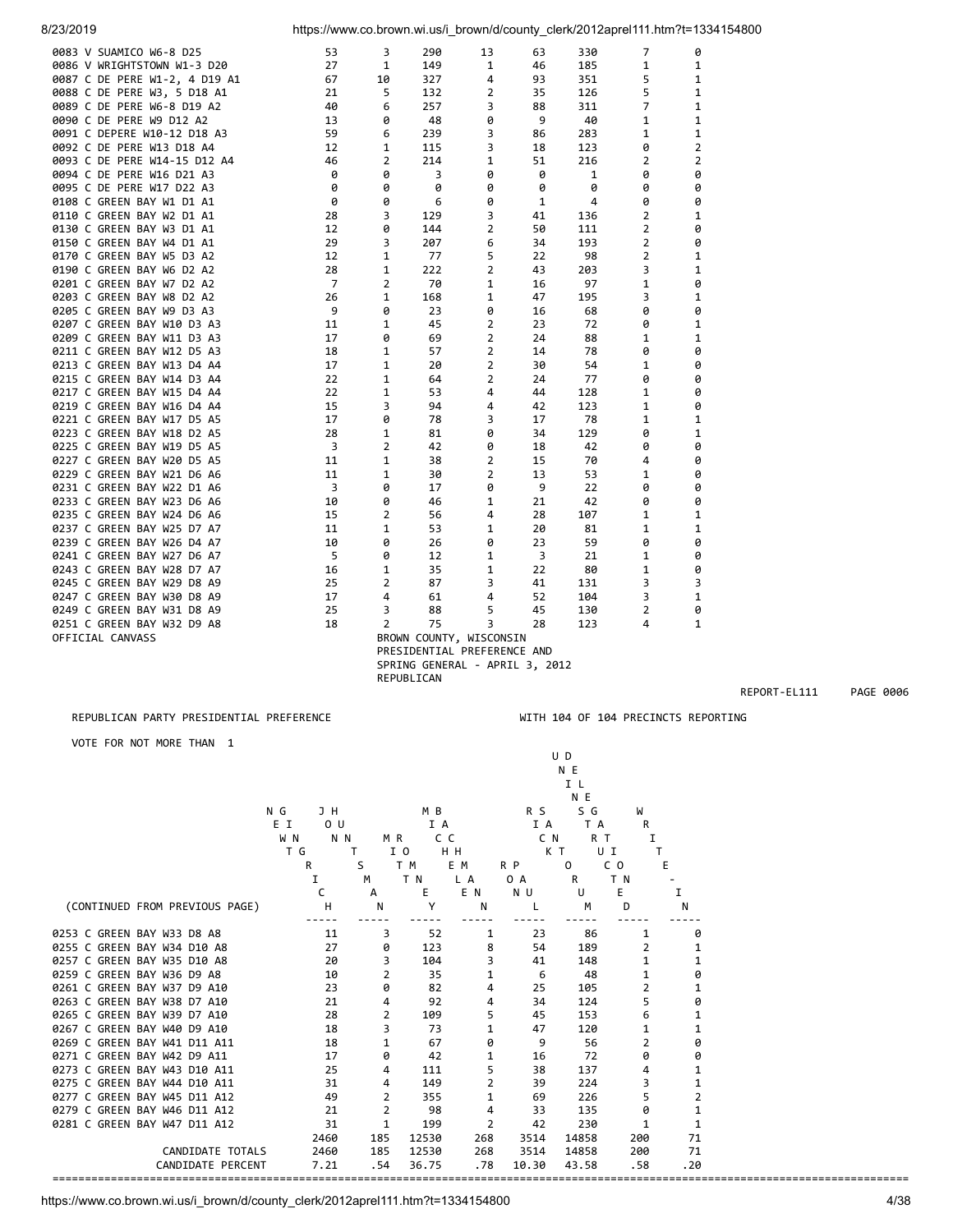| 53 | 3                                                                                                                                                                                                                                   | 290                                                                                                                                                                                                                   | 13                                                                                                                                                                                                      | 63                                                                                                                                                                                                                                                              | 330                                                                                                                                                                                                                                                     | 7                                                                                                                                                                                                                                       | 0                                                                                                                                                                                                                             |                                                                                                                                                                                                                                                      |
|----|-------------------------------------------------------------------------------------------------------------------------------------------------------------------------------------------------------------------------------------|-----------------------------------------------------------------------------------------------------------------------------------------------------------------------------------------------------------------------|---------------------------------------------------------------------------------------------------------------------------------------------------------------------------------------------------------|-----------------------------------------------------------------------------------------------------------------------------------------------------------------------------------------------------------------------------------------------------------------|---------------------------------------------------------------------------------------------------------------------------------------------------------------------------------------------------------------------------------------------------------|-----------------------------------------------------------------------------------------------------------------------------------------------------------------------------------------------------------------------------------------|-------------------------------------------------------------------------------------------------------------------------------------------------------------------------------------------------------------------------------|------------------------------------------------------------------------------------------------------------------------------------------------------------------------------------------------------------------------------------------------------|
| 27 | 1                                                                                                                                                                                                                                   | 149                                                                                                                                                                                                                   | 1                                                                                                                                                                                                       | 46                                                                                                                                                                                                                                                              | 185                                                                                                                                                                                                                                                     | 1                                                                                                                                                                                                                                       | 1                                                                                                                                                                                                                             |                                                                                                                                                                                                                                                      |
| 67 | 10                                                                                                                                                                                                                                  | 327                                                                                                                                                                                                                   | 4                                                                                                                                                                                                       | 93                                                                                                                                                                                                                                                              | 351                                                                                                                                                                                                                                                     | 5                                                                                                                                                                                                                                       | 1                                                                                                                                                                                                                             |                                                                                                                                                                                                                                                      |
| 21 | 5                                                                                                                                                                                                                                   | 132                                                                                                                                                                                                                   | 2                                                                                                                                                                                                       | 35                                                                                                                                                                                                                                                              | 126                                                                                                                                                                                                                                                     | 5                                                                                                                                                                                                                                       | 1                                                                                                                                                                                                                             |                                                                                                                                                                                                                                                      |
| 40 | 6                                                                                                                                                                                                                                   | 257                                                                                                                                                                                                                   | 3                                                                                                                                                                                                       | 88                                                                                                                                                                                                                                                              | 311                                                                                                                                                                                                                                                     | 7                                                                                                                                                                                                                                       | 1                                                                                                                                                                                                                             |                                                                                                                                                                                                                                                      |
| 13 | 0                                                                                                                                                                                                                                   | 48                                                                                                                                                                                                                    |                                                                                                                                                                                                         | 9                                                                                                                                                                                                                                                               | 40                                                                                                                                                                                                                                                      | $\mathbf{1}$                                                                                                                                                                                                                            | 1                                                                                                                                                                                                                             |                                                                                                                                                                                                                                                      |
|    |                                                                                                                                                                                                                                     |                                                                                                                                                                                                                       |                                                                                                                                                                                                         |                                                                                                                                                                                                                                                                 |                                                                                                                                                                                                                                                         |                                                                                                                                                                                                                                         |                                                                                                                                                                                                                               |                                                                                                                                                                                                                                                      |
|    |                                                                                                                                                                                                                                     |                                                                                                                                                                                                                       |                                                                                                                                                                                                         |                                                                                                                                                                                                                                                                 |                                                                                                                                                                                                                                                         |                                                                                                                                                                                                                                         |                                                                                                                                                                                                                               |                                                                                                                                                                                                                                                      |
|    |                                                                                                                                                                                                                                     |                                                                                                                                                                                                                       |                                                                                                                                                                                                         |                                                                                                                                                                                                                                                                 |                                                                                                                                                                                                                                                         |                                                                                                                                                                                                                                         |                                                                                                                                                                                                                               |                                                                                                                                                                                                                                                      |
|    |                                                                                                                                                                                                                                     |                                                                                                                                                                                                                       |                                                                                                                                                                                                         |                                                                                                                                                                                                                                                                 |                                                                                                                                                                                                                                                         |                                                                                                                                                                                                                                         |                                                                                                                                                                                                                               |                                                                                                                                                                                                                                                      |
|    |                                                                                                                                                                                                                                     |                                                                                                                                                                                                                       |                                                                                                                                                                                                         |                                                                                                                                                                                                                                                                 |                                                                                                                                                                                                                                                         |                                                                                                                                                                                                                                         |                                                                                                                                                                                                                               |                                                                                                                                                                                                                                                      |
|    |                                                                                                                                                                                                                                     |                                                                                                                                                                                                                       |                                                                                                                                                                                                         |                                                                                                                                                                                                                                                                 |                                                                                                                                                                                                                                                         |                                                                                                                                                                                                                                         |                                                                                                                                                                                                                               |                                                                                                                                                                                                                                                      |
|    |                                                                                                                                                                                                                                     |                                                                                                                                                                                                                       |                                                                                                                                                                                                         |                                                                                                                                                                                                                                                                 |                                                                                                                                                                                                                                                         |                                                                                                                                                                                                                                         |                                                                                                                                                                                                                               |                                                                                                                                                                                                                                                      |
|    |                                                                                                                                                                                                                                     |                                                                                                                                                                                                                       |                                                                                                                                                                                                         |                                                                                                                                                                                                                                                                 |                                                                                                                                                                                                                                                         |                                                                                                                                                                                                                                         |                                                                                                                                                                                                                               |                                                                                                                                                                                                                                                      |
|    |                                                                                                                                                                                                                                     |                                                                                                                                                                                                                       |                                                                                                                                                                                                         |                                                                                                                                                                                                                                                                 |                                                                                                                                                                                                                                                         |                                                                                                                                                                                                                                         |                                                                                                                                                                                                                               |                                                                                                                                                                                                                                                      |
|    |                                                                                                                                                                                                                                     |                                                                                                                                                                                                                       |                                                                                                                                                                                                         |                                                                                                                                                                                                                                                                 |                                                                                                                                                                                                                                                         |                                                                                                                                                                                                                                         |                                                                                                                                                                                                                               |                                                                                                                                                                                                                                                      |
|    |                                                                                                                                                                                                                                     |                                                                                                                                                                                                                       |                                                                                                                                                                                                         |                                                                                                                                                                                                                                                                 |                                                                                                                                                                                                                                                         |                                                                                                                                                                                                                                         |                                                                                                                                                                                                                               |                                                                                                                                                                                                                                                      |
|    |                                                                                                                                                                                                                                     |                                                                                                                                                                                                                       |                                                                                                                                                                                                         |                                                                                                                                                                                                                                                                 |                                                                                                                                                                                                                                                         |                                                                                                                                                                                                                                         |                                                                                                                                                                                                                               |                                                                                                                                                                                                                                                      |
|    |                                                                                                                                                                                                                                     |                                                                                                                                                                                                                       |                                                                                                                                                                                                         |                                                                                                                                                                                                                                                                 |                                                                                                                                                                                                                                                         |                                                                                                                                                                                                                                         |                                                                                                                                                                                                                               |                                                                                                                                                                                                                                                      |
|    |                                                                                                                                                                                                                                     |                                                                                                                                                                                                                       |                                                                                                                                                                                                         |                                                                                                                                                                                                                                                                 |                                                                                                                                                                                                                                                         |                                                                                                                                                                                                                                         |                                                                                                                                                                                                                               |                                                                                                                                                                                                                                                      |
|    |                                                                                                                                                                                                                                     |                                                                                                                                                                                                                       |                                                                                                                                                                                                         |                                                                                                                                                                                                                                                                 |                                                                                                                                                                                                                                                         |                                                                                                                                                                                                                                         |                                                                                                                                                                                                                               |                                                                                                                                                                                                                                                      |
|    |                                                                                                                                                                                                                                     |                                                                                                                                                                                                                       |                                                                                                                                                                                                         |                                                                                                                                                                                                                                                                 |                                                                                                                                                                                                                                                         |                                                                                                                                                                                                                                         |                                                                                                                                                                                                                               |                                                                                                                                                                                                                                                      |
|    |                                                                                                                                                                                                                                     |                                                                                                                                                                                                                       |                                                                                                                                                                                                         |                                                                                                                                                                                                                                                                 |                                                                                                                                                                                                                                                         |                                                                                                                                                                                                                                         |                                                                                                                                                                                                                               |                                                                                                                                                                                                                                                      |
|    |                                                                                                                                                                                                                                     |                                                                                                                                                                                                                       |                                                                                                                                                                                                         |                                                                                                                                                                                                                                                                 |                                                                                                                                                                                                                                                         |                                                                                                                                                                                                                                         |                                                                                                                                                                                                                               |                                                                                                                                                                                                                                                      |
|    |                                                                                                                                                                                                                                     |                                                                                                                                                                                                                       |                                                                                                                                                                                                         |                                                                                                                                                                                                                                                                 |                                                                                                                                                                                                                                                         |                                                                                                                                                                                                                                         |                                                                                                                                                                                                                               |                                                                                                                                                                                                                                                      |
|    |                                                                                                                                                                                                                                     |                                                                                                                                                                                                                       |                                                                                                                                                                                                         |                                                                                                                                                                                                                                                                 |                                                                                                                                                                                                                                                         |                                                                                                                                                                                                                                         |                                                                                                                                                                                                                               |                                                                                                                                                                                                                                                      |
|    |                                                                                                                                                                                                                                     |                                                                                                                                                                                                                       |                                                                                                                                                                                                         |                                                                                                                                                                                                                                                                 |                                                                                                                                                                                                                                                         |                                                                                                                                                                                                                                         |                                                                                                                                                                                                                               |                                                                                                                                                                                                                                                      |
|    |                                                                                                                                                                                                                                     |                                                                                                                                                                                                                       |                                                                                                                                                                                                         |                                                                                                                                                                                                                                                                 |                                                                                                                                                                                                                                                         |                                                                                                                                                                                                                                         |                                                                                                                                                                                                                               |                                                                                                                                                                                                                                                      |
|    |                                                                                                                                                                                                                                     |                                                                                                                                                                                                                       |                                                                                                                                                                                                         |                                                                                                                                                                                                                                                                 |                                                                                                                                                                                                                                                         |                                                                                                                                                                                                                                         |                                                                                                                                                                                                                               |                                                                                                                                                                                                                                                      |
|    |                                                                                                                                                                                                                                     |                                                                                                                                                                                                                       |                                                                                                                                                                                                         |                                                                                                                                                                                                                                                                 |                                                                                                                                                                                                                                                         |                                                                                                                                                                                                                                         |                                                                                                                                                                                                                               |                                                                                                                                                                                                                                                      |
|    |                                                                                                                                                                                                                                     |                                                                                                                                                                                                                       |                                                                                                                                                                                                         |                                                                                                                                                                                                                                                                 |                                                                                                                                                                                                                                                         |                                                                                                                                                                                                                                         |                                                                                                                                                                                                                               |                                                                                                                                                                                                                                                      |
|    |                                                                                                                                                                                                                                     |                                                                                                                                                                                                                       |                                                                                                                                                                                                         |                                                                                                                                                                                                                                                                 |                                                                                                                                                                                                                                                         |                                                                                                                                                                                                                                         |                                                                                                                                                                                                                               |                                                                                                                                                                                                                                                      |
|    |                                                                                                                                                                                                                                     |                                                                                                                                                                                                                       |                                                                                                                                                                                                         |                                                                                                                                                                                                                                                                 |                                                                                                                                                                                                                                                         |                                                                                                                                                                                                                                         |                                                                                                                                                                                                                               |                                                                                                                                                                                                                                                      |
|    |                                                                                                                                                                                                                                     |                                                                                                                                                                                                                       |                                                                                                                                                                                                         |                                                                                                                                                                                                                                                                 |                                                                                                                                                                                                                                                         |                                                                                                                                                                                                                                         |                                                                                                                                                                                                                               |                                                                                                                                                                                                                                                      |
|    |                                                                                                                                                                                                                                     |                                                                                                                                                                                                                       |                                                                                                                                                                                                         |                                                                                                                                                                                                                                                                 |                                                                                                                                                                                                                                                         |                                                                                                                                                                                                                                         |                                                                                                                                                                                                                               |                                                                                                                                                                                                                                                      |
|    |                                                                                                                                                                                                                                     |                                                                                                                                                                                                                       |                                                                                                                                                                                                         |                                                                                                                                                                                                                                                                 |                                                                                                                                                                                                                                                         |                                                                                                                                                                                                                                         |                                                                                                                                                                                                                               |                                                                                                                                                                                                                                                      |
|    |                                                                                                                                                                                                                                     |                                                                                                                                                                                                                       |                                                                                                                                                                                                         |                                                                                                                                                                                                                                                                 |                                                                                                                                                                                                                                                         |                                                                                                                                                                                                                                         |                                                                                                                                                                                                                               |                                                                                                                                                                                                                                                      |
|    |                                                                                                                                                                                                                                     |                                                                                                                                                                                                                       |                                                                                                                                                                                                         |                                                                                                                                                                                                                                                                 |                                                                                                                                                                                                                                                         |                                                                                                                                                                                                                                         |                                                                                                                                                                                                                               |                                                                                                                                                                                                                                                      |
|    |                                                                                                                                                                                                                                     |                                                                                                                                                                                                                       |                                                                                                                                                                                                         |                                                                                                                                                                                                                                                                 |                                                                                                                                                                                                                                                         | 1                                                                                                                                                                                                                                       |                                                                                                                                                                                                                               |                                                                                                                                                                                                                                                      |
|    | 1                                                                                                                                                                                                                                   | 35                                                                                                                                                                                                                    | 1                                                                                                                                                                                                       |                                                                                                                                                                                                                                                                 | 80                                                                                                                                                                                                                                                      | 1                                                                                                                                                                                                                                       | 0                                                                                                                                                                                                                             |                                                                                                                                                                                                                                                      |
|    |                                                                                                                                                                                                                                     |                                                                                                                                                                                                                       |                                                                                                                                                                                                         | 41                                                                                                                                                                                                                                                              | 131                                                                                                                                                                                                                                                     |                                                                                                                                                                                                                                         |                                                                                                                                                                                                                               |                                                                                                                                                                                                                                                      |
| 17 | 4                                                                                                                                                                                                                                   | 61                                                                                                                                                                                                                    | 4                                                                                                                                                                                                       | 52                                                                                                                                                                                                                                                              | 104                                                                                                                                                                                                                                                     | 3                                                                                                                                                                                                                                       | $\mathbf{1}$                                                                                                                                                                                                                  |                                                                                                                                                                                                                                                      |
| 25 | 3                                                                                                                                                                                                                                   | 88                                                                                                                                                                                                                    | 5                                                                                                                                                                                                       | 45                                                                                                                                                                                                                                                              | 130                                                                                                                                                                                                                                                     | $\overline{2}$                                                                                                                                                                                                                          | 0                                                                                                                                                                                                                             |                                                                                                                                                                                                                                                      |
| 18 | 2                                                                                                                                                                                                                                   | 75                                                                                                                                                                                                                    | 3                                                                                                                                                                                                       | 28                                                                                                                                                                                                                                                              | 123                                                                                                                                                                                                                                                     | 4                                                                                                                                                                                                                                       | 1                                                                                                                                                                                                                             |                                                                                                                                                                                                                                                      |
|    |                                                                                                                                                                                                                                     |                                                                                                                                                                                                                       |                                                                                                                                                                                                         |                                                                                                                                                                                                                                                                 |                                                                                                                                                                                                                                                         |                                                                                                                                                                                                                                         |                                                                                                                                                                                                                               |                                                                                                                                                                                                                                                      |
|    |                                                                                                                                                                                                                                     |                                                                                                                                                                                                                       |                                                                                                                                                                                                         |                                                                                                                                                                                                                                                                 |                                                                                                                                                                                                                                                         |                                                                                                                                                                                                                                         |                                                                                                                                                                                                                               |                                                                                                                                                                                                                                                      |
|    |                                                                                                                                                                                                                                     |                                                                                                                                                                                                                       |                                                                                                                                                                                                         |                                                                                                                                                                                                                                                                 |                                                                                                                                                                                                                                                         |                                                                                                                                                                                                                                         |                                                                                                                                                                                                                               |                                                                                                                                                                                                                                                      |
|    | 59<br>12<br>46<br>0<br>0<br>0<br>28<br>12<br>29<br>12<br>28<br>$\overline{7}$<br>26<br>9<br>11<br>17<br>18<br>17<br>22<br>22<br>15<br>17<br>28<br>3<br>11<br>11<br>$\overline{\mathbf{3}}$<br>10<br>15<br>11<br>10<br>5<br>16<br>25 | 6<br>1<br>$\overline{2}$<br>ø<br>0<br>0<br>3<br>0<br>3<br>1<br>1<br>2<br>1<br>0<br>1<br>0<br>1<br>1<br>1<br>1<br>3<br>0<br>1<br>$\overline{2}$<br>1<br>1<br>0<br>0<br>$\overline{2}$<br>1<br>0<br>0<br>$\overline{2}$ | 239<br>115<br>214<br>3<br>0<br>6<br>129<br>144<br>207<br>77<br>222<br>70<br>168<br>23<br>45<br>69<br>57<br>20<br>64<br>53<br>94<br>78<br>81<br>42<br>38<br>30<br>17<br>46<br>56<br>53<br>26<br>12<br>87 | 0<br>3<br>3<br>$\mathbf{1}$<br>0<br>0<br>0<br>3<br>2<br>6<br>5<br>$\overline{2}$<br>1<br>1<br>0<br>$\overline{2}$<br>$\overline{2}$<br>$\overline{2}$<br>2<br>2<br>4<br>4<br>3<br>0<br>0<br>$\overline{2}$<br>$\overline{2}$<br>0<br>1<br>4<br>1<br>0<br>1<br>3 | 86<br>18<br>51<br>ø<br>0<br>1<br>41<br>50<br>34<br>22<br>43<br>16<br>47<br>16<br>23<br>24<br>14<br>30<br>24<br>44<br>42<br>17<br>34<br>18<br>15<br>13<br>9<br>21<br>28<br>20<br>23<br>3<br>22<br>BROWN COUNTY, WISCONSIN<br>PRESIDENTIAL PREFERENCE AND | 283<br>123<br>216<br>1<br>0<br>4<br>136<br>111<br>193<br>98<br>203<br>97<br>195<br>68<br>72<br>88<br>78<br>54<br>77<br>128<br>123<br>78<br>129<br>42<br>70<br>53<br>22<br>42<br>107<br>81<br>59<br>21<br>SPRING GENERAL - APRIL 3, 2012 | 1<br>0<br>$\overline{2}$<br>0<br>0<br>0<br>$\overline{2}$<br>$\overline{2}$<br>$\overline{2}$<br>$\overline{2}$<br>3<br>1<br>3<br>0<br>0<br>1<br>0<br>1<br>0<br>1<br>1<br>1<br>0<br>0<br>4<br>1<br>0<br>0<br>1<br>1<br>0<br>3 | https://www.co.brown.wi.us/i_brown/d/county_clerk/2012aprel111.htm?t=1334154800<br>1<br>2<br>2<br>0<br>0<br>0<br>1<br>0<br>0<br>1<br>1<br>0<br>1<br>0<br>1<br>1<br>0<br>0<br>0<br>0<br>0<br>1<br>1<br>0<br>0<br>0<br>0<br>0<br>1<br>1<br>0<br>0<br>3 |

REPUBLICAN

### REPUBLICAN PARTY PRESIDENTIAL PREFERENCE WELL ASSESSED WITH 104 OF 104 PRECINCTS REPORTING

REPORT-EL111 PAGE 0006

# VOTE FOR NOT MORE THAN 1

|                                |                       |                |           |                |          | I L          |        |     |
|--------------------------------|-----------------------|----------------|-----------|----------------|----------|--------------|--------|-----|
|                                |                       |                |           |                |          | N E          |        |     |
|                                | N G<br>J H            |                | M B       |                | R S      | S G          | W      |     |
|                                | E I<br>0 <sub>U</sub> |                | I A       |                | I A      | T A          | R      |     |
|                                | W <sub>N</sub>        | N N<br>M R     | c c       |                | C N      | R T          | I      |     |
|                                | T G                   | т              | I 0       | H H            |          | КT           | UI     | т   |
|                                | R                     | S              | T M       | E M            | R P      | $\Omega$     | C O    | Е   |
|                                | Ι.                    | м              | T N       | L A            | 0 A      | R            | T N    |     |
|                                | C                     | A              | Е         | E N            | N U      | $\mathbf{U}$ | E      | 1   |
| (CONTINUED FROM PREVIOUS PAGE) | H                     | N              | Υ         | N              | L        | M            | D      | N   |
| 0253 C GREEN BAY W33 D8 A8     |                       |                |           |                |          |              |        |     |
| 0255 C GREEN BAY W34 D10 A8    | 11<br>27              | 3<br>0         | 52<br>123 | 1<br>8         | 23<br>54 | 86<br>189    | 1<br>2 | 0   |
| 0257 C GREEN BAY W35 D10 A8    |                       |                |           |                |          |              |        | 1   |
|                                | 20                    | 3              | 104       | 3              | 41       | 148          | 1      | 1   |
| 0259 C GREEN BAY W36 D9 A8     | 10                    | $\overline{2}$ | 35        | 1              | 6        | 48           | 1      | 0   |
| 0261 C GREEN BAY W37 D9 A10    | 23                    | 0              | 82        | 4              | 25       | 105          | 2      | 1   |
| 0263 C GREEN BAY W38 D7 A10    | 21                    | 4              | 92        | 4              | 34       | 124          | 5      | 0   |
| 0265 C GREEN BAY W39 D7 A10    | 28                    | $\overline{2}$ | 109       | 5              | 45       | 153          | 6      | 1   |
| 0267 C GREEN BAY W40 D9 A10    | 18                    | 3              | 73        | 1              | 47       | 120          | 1      | 1   |
| 0269 C GREEN BAY W41 D11 A11   | 18                    | 1              | 67        | 0              | 9        | 56           | 2      | 0   |
| 0271 C GREEN BAY W42 D9 A11    | 17                    | 0              | 42        | 1              | 16       | 72           | 0      | 0   |
| 0273 C GREEN BAY W43 D10 A11   | 25                    | 4              | 111       | 5              | 38       | 137          | 4      | 1   |
| 0275 C GREEN BAY W44 D10 A11   | 31                    | 4              | 149       | $\overline{2}$ | 39       | 224          | 3      | 1   |
| 0277 C GREEN BAY W45 D11 A12   | 49                    | $\overline{2}$ | 355       | $\mathbf{1}$   | 69       | 226          | 5      | 2   |
| 0279 C GREEN BAY W46 D11 A12   | 21                    | 2              | 98        | 4              | 33       | 135          | 0      | 1   |
| 0281 C GREEN BAY W47 D11 A12   | 31                    | 1              | 199       | 2              | 42       | 230          | 1      | 1   |
|                                | 2460                  | 185            | 12530     | 268            | 3514     | 14858        | 200    | 71  |
| CANDIDATE TOTALS               | 2460                  | 185            | 12530     | 268            | 3514     | 14858        | 200    | 71  |
| CANDIDATE PERCENT              | 7.21                  | .54            | 36.75     | .78            | 10.30    | 43.58        | .58    | .20 |

====================================================================================================================================

 U D N E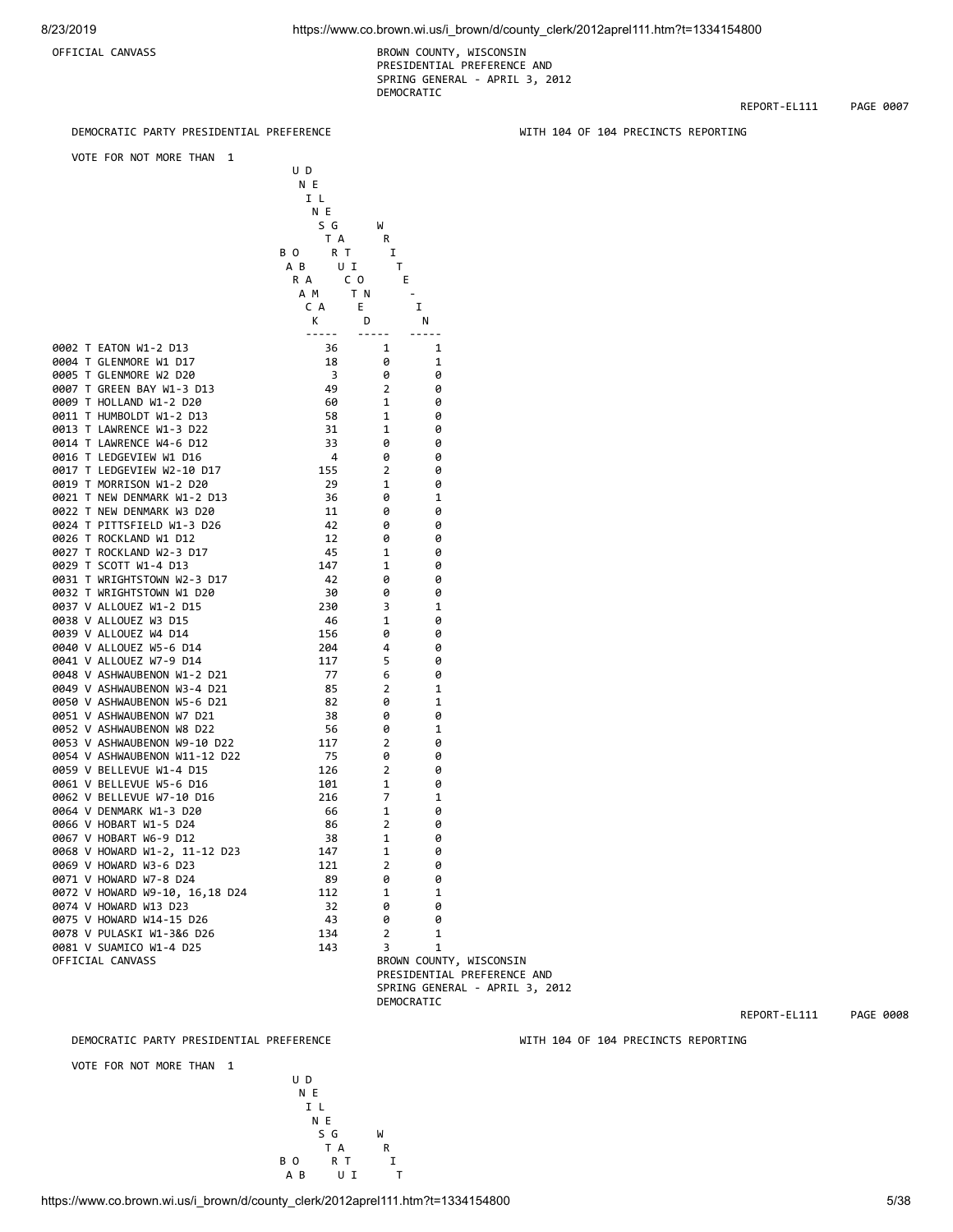OFFICIAL CANVASS BROWN COUNTY, WISCONSIN PRESIDENTIAL PREFERENCE AND SPRING GENERAL - APRIL 3, 2012 DEMOCRATIC

REPORT-EL111 PAGE 0007

WITH 104 OF 104 PRECINCTS REPORTING

| DEMOCRATIC PARTY PRESIDENTIAL PREFERENCE                      |                                      |                     |        |
|---------------------------------------------------------------|--------------------------------------|---------------------|--------|
| VOTE FOR NOT MORE THAN<br>1                                   | U D<br>N E<br>I L<br>N E             |                     |        |
|                                                               | S G<br>T A<br>R T<br>ВΟ<br>UI<br>AB. | W<br>R<br>I<br>T.   |        |
|                                                               | C O<br>R A<br>A M                    | E<br>T N            | ٠      |
|                                                               | C A                                  | E.                  | I      |
|                                                               | K<br>-----                           | D<br>-----          | N<br>. |
| 0002 T EATON W1-2 D13                                         | 36                                   | 1                   | 1      |
| 0004 T GLENMORE W1 D17                                        | 18                                   | 0                   | 1      |
| 0005 T GLENMORE W2 D20<br>0007 T GREEN BAY W1-3 D13           | 3<br>49                              | 0<br>2              | 0<br>0 |
| 0009 T HOLLAND W1-2 D20                                       | 60                                   | 1                   | 0      |
| 0011 T HUMBOLDT W1-2 D13                                      | 58                                   | 1                   | 0      |
| 0013 T LAWRENCE W1-3 D22                                      | 31                                   | 1                   | 0      |
| 0014 T LAWRENCE W4-6 D12                                      | 33                                   | 0                   | 0      |
| 0016 T LEDGEVIEW W1 D16                                       | 4                                    | 0                   | 0      |
| 0017 T LEDGEVIEW W2-10 D17                                    | 155                                  | 2                   | 0      |
| 0019 T MORRISON W1-2 D20                                      | 29                                   | 1                   | 0      |
| 0021 T NEW DENMARK W1-2 D13<br>0022 T NEW DENMARK W3 D20      | 36<br>11                             | 0<br>0              | 1<br>0 |
| 0024 T PITTSFIELD W1-3 D26                                    | 42                                   | 0                   | 0      |
| 0026 T ROCKLAND W1 D12                                        | 12                                   | 0                   | 0      |
| 0027 T ROCKLAND W2-3 D17                                      | 45                                   | 1                   | 0      |
| 0029 T SCOTT W1-4 D13                                         | 147                                  | 1                   | 0      |
| 0031 T WRIGHTSTOWN W2-3 D17                                   | 42                                   | 0                   | 0      |
| 0032 T WRIGHTSTOWN W1 D20                                     | 30                                   | 0                   | 0      |
| 0037 V ALLOUEZ W1-2 D15                                       | 230                                  | 3                   | 1      |
| 0038 V ALLOUEZ W3 D15                                         | 46                                   | 1                   | 0      |
| 0039 V ALLOUEZ W4 D14<br>0040 V ALLOUEZ W5-6 D14              | 156<br>204                           | 0<br>4              | 0<br>0 |
| 0041 V ALLOUEZ W7-9 D14                                       | 117                                  | 5                   | 0      |
| 0048 V ASHWAUBENON W1-2 D21                                   | 77                                   | 6                   | 0      |
| 0049 V ASHWAUBENON W3-4 D21                                   | 85                                   | $\overline{2}$      | 1      |
| 0050 V ASHWAUBENON W5-6 D21                                   | 82                                   | 0                   | 1      |
| 0051 V ASHWAUBENON W7 D21                                     | 38                                   | 0                   | 0      |
| 0052 V ASHWAUBENON W8 D22                                     | 56                                   | 0                   | 1      |
| 0053 V ASHWAUBENON W9-10 D22<br>0054 V ASHWAUBENON W11-12 D22 | 117                                  | 2                   | 0      |
| 0059 V BELLEVUE W1-4 D15                                      | 75<br>126                            | 0<br>$\overline{2}$ | 0<br>0 |
| 0061 V BELLEVUE W5-6 D16                                      | 101                                  | 1                   | 0      |
| 0062 V BELLEVUE W7-10 D16                                     | 216                                  | 7                   | 1      |
| 0064 V DENMARK W1-3 D20                                       | 66                                   | 1                   | 0      |
| 0066 V HOBART W1-5 D24                                        | 86                                   | 2                   | 0      |
| 0067 V HOBART W6-9 D12                                        | 38                                   | 1                   | 0      |
| 0068 V HOWARD W1-2, 11-12 D23                                 | 147                                  | 1                   | 0      |
| 0069 V HOWARD W3-6 D23                                        | 121                                  | 2                   | 0      |
| 0071 V HOWARD W7-8 D24<br>0072 V HOWARD W9-10, 16,18 D24      | 89                                   | 0<br>1              | 0<br>1 |
| 0074 V HOWARD W13 D23                                         | 112<br>32                            | 0                   | 0      |
| 0075 V HOWARD W14-15 D26                                      | 43                                   | 0                   | 0      |
| 0078 V PULASKI W1-3&6 D26                                     | 134                                  | 2                   | 1      |

0078 V PULASKI W1-3&6 D26 134 2 1 0081 V SUAMICO W1-4 D25 143 3 1 OFFICIAL CANVASS BROWN COUNTY, WISCONSIN PRESIDENTIAL PREFERENCE AND SPRING GENERAL - APRIL 3, 2012 DEMOCRATIC

DEMOCRATIC PARTY PRESIDENTIAL PREFERENCE WITH 104 OF 104 PRECINCTS REPORTING

REPORT-EL111 PAGE 0008

VOTE FOR NOT MORE THAN 1



https://www.co.brown.wi.us/i\_brown/d/county\_clerk/2012aprel111.htm?t=1334154800 5/38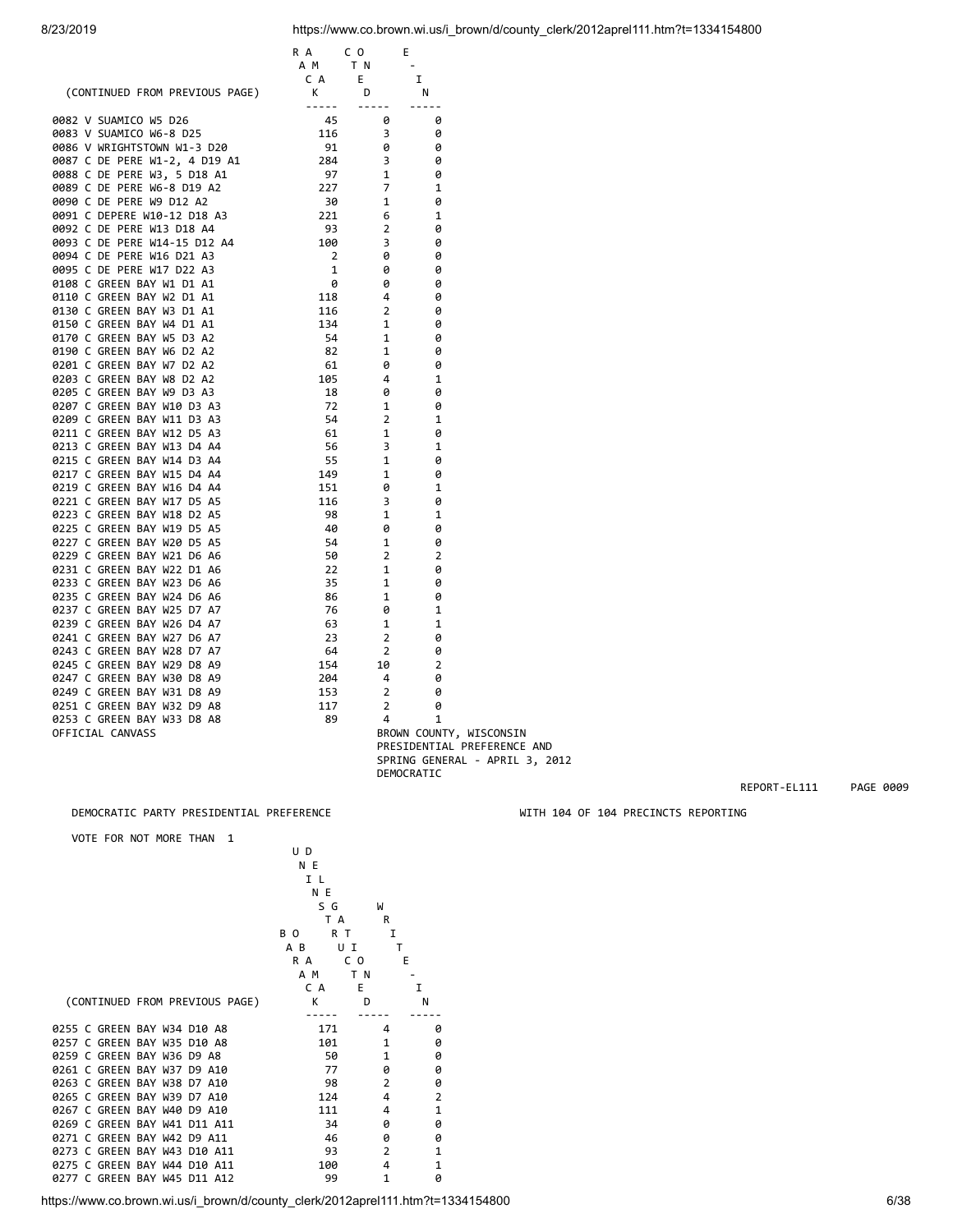|                                                                                                                                                                                                                                              | R A<br>CO <sub>.</sub>                                                                                                                                                                                                                                         |                                       | E.                          |  |
|----------------------------------------------------------------------------------------------------------------------------------------------------------------------------------------------------------------------------------------------|----------------------------------------------------------------------------------------------------------------------------------------------------------------------------------------------------------------------------------------------------------------|---------------------------------------|-----------------------------|--|
|                                                                                                                                                                                                                                              | A M                                                                                                                                                                                                                                                            | T N                                   |                             |  |
|                                                                                                                                                                                                                                              | C A                                                                                                                                                                                                                                                            | E.                                    | I                           |  |
|                                                                                                                                                                                                                                              |                                                                                                                                                                                                                                                                | D                                     | N                           |  |
| CA (CONTINUED FROM PREVIOUS PAGE)<br>0882 V SUAMICO WS D26<br>0883 V SUAMICO WS D26<br>0886 V NRIGHTSTOWN W1-3 D20<br>0987 C DE PERE W1-2, 4 D19 A1<br>0886 V NRIGHTSTOWN W1-3 D20<br>0987 C DE PERE W3, 5 D18 A1<br>0988 C DE PERE W9 D12 A |                                                                                                                                                                                                                                                                | $\cdots \cdots \cdots$                | -----                       |  |
|                                                                                                                                                                                                                                              |                                                                                                                                                                                                                                                                | 0                                     | 0                           |  |
|                                                                                                                                                                                                                                              |                                                                                                                                                                                                                                                                | $\overline{\mathbf{3}}$               | 0                           |  |
|                                                                                                                                                                                                                                              |                                                                                                                                                                                                                                                                | 0                                     | 0                           |  |
|                                                                                                                                                                                                                                              |                                                                                                                                                                                                                                                                | $\begin{array}{c} 3 \\ 1 \end{array}$ | 0                           |  |
|                                                                                                                                                                                                                                              |                                                                                                                                                                                                                                                                |                                       | 0                           |  |
|                                                                                                                                                                                                                                              |                                                                                                                                                                                                                                                                | $\overline{7}$                        | 1                           |  |
|                                                                                                                                                                                                                                              |                                                                                                                                                                                                                                                                | $\mathbf{1}$                          | 0                           |  |
|                                                                                                                                                                                                                                              |                                                                                                                                                                                                                                                                | 6                                     | 1                           |  |
|                                                                                                                                                                                                                                              |                                                                                                                                                                                                                                                                | $\overline{2}$                        | 0                           |  |
|                                                                                                                                                                                                                                              |                                                                                                                                                                                                                                                                | $\overline{\phantom{a}}$              | 0                           |  |
|                                                                                                                                                                                                                                              |                                                                                                                                                                                                                                                                | - 0                                   | 0                           |  |
|                                                                                                                                                                                                                                              |                                                                                                                                                                                                                                                                | 0                                     | 0                           |  |
|                                                                                                                                                                                                                                              |                                                                                                                                                                                                                                                                | 0                                     | 0                           |  |
|                                                                                                                                                                                                                                              |                                                                                                                                                                                                                                                                | 4                                     | 0                           |  |
|                                                                                                                                                                                                                                              |                                                                                                                                                                                                                                                                | $\overline{2}$                        | 0                           |  |
|                                                                                                                                                                                                                                              |                                                                                                                                                                                                                                                                | 1                                     | 0                           |  |
|                                                                                                                                                                                                                                              |                                                                                                                                                                                                                                                                | $\mathbf{1}$                          | 0                           |  |
|                                                                                                                                                                                                                                              |                                                                                                                                                                                                                                                                | 1                                     | 0                           |  |
|                                                                                                                                                                                                                                              |                                                                                                                                                                                                                                                                | 0                                     | 0                           |  |
|                                                                                                                                                                                                                                              |                                                                                                                                                                                                                                                                | 4                                     | 1                           |  |
| 0205 C GREEN BAY W9 D3 A3                                                                                                                                                                                                                    |                                                                                                                                                                                                                                                                | 0                                     | 0                           |  |
| 0207 C GREEN BAY W10 D3 A3                                                                                                                                                                                                                   |                                                                                                                                                                                                                                                                | 1                                     | 0                           |  |
| 0209 C GREEN BAY W11 D3 A3                                                                                                                                                                                                                   |                                                                                                                                                                                                                                                                | $\overline{2}$                        | 1                           |  |
| 0211 C GREEN BAY W12 D5 A3                                                                                                                                                                                                                   |                                                                                                                                                                                                                                                                | 1                                     | 0                           |  |
| 0213 C GREEN BAY W13 D4 A4                                                                                                                                                                                                                   |                                                                                                                                                                                                                                                                | 3                                     | 1                           |  |
| 0215 C GREEN BAY W14 D3 A4                                                                                                                                                                                                                   |                                                                                                                                                                                                                                                                | 1                                     | 0                           |  |
| 0217 C GREEN BAY W15 D4 A4                                                                                                                                                                                                                   |                                                                                                                                                                                                                                                                | 1                                     | 0                           |  |
| 0219 C GREEN BAY W16 D4 A4                                                                                                                                                                                                                   |                                                                                                                                                                                                                                                                | 0                                     | 1                           |  |
| 0221 C GREEN BAY W17 D5 A5                                                                                                                                                                                                                   |                                                                                                                                                                                                                                                                | 3                                     | 0                           |  |
| 0223 C GREEN BAY W18 D2 A5                                                                                                                                                                                                                   |                                                                                                                                                                                                                                                                | 1                                     | 1                           |  |
| 0225 C GREEN BAY W19 D5 A5                                                                                                                                                                                                                   |                                                                                                                                                                                                                                                                | 0                                     | 0                           |  |
| 0227 C GREEN BAY W20 D5 A5                                                                                                                                                                                                                   |                                                                                                                                                                                                                                                                | 1                                     | 0                           |  |
| 0229 C GREEN BAY W21 D6 A6                                                                                                                                                                                                                   |                                                                                                                                                                                                                                                                | $\overline{2}$                        | $\overline{2}$              |  |
| 0231 C GREEN BAY W22 D1 A6                                                                                                                                                                                                                   |                                                                                                                                                                                                                                                                | $\mathbf{1}$                          | 0                           |  |
| 0233 C GREEN BAY W23 D6 A6                                                                                                                                                                                                                   | $105$<br>$18$<br>$72$<br>$54$<br>$61$<br>$55$<br>$149$<br>$151$<br>$116$<br>$98$<br>$40$<br>$54$<br>$59$<br>$22$<br>$35$<br>$86$<br>$76$<br>$33$<br>$\begin{array}{r} 22 \\ 35 \\ 86 \\ 76 \\ 23 \\ 23 \\ 64 \\ 154 \\ 204 \\ 153 \\ 117 \\ 89 \\ \end{array}$ | 1                                     | 0                           |  |
| 0235 C GREEN BAY W24 D6 A6                                                                                                                                                                                                                   |                                                                                                                                                                                                                                                                | 1                                     | 0                           |  |
| 0237 C GREEN BAY W25 D7 A7                                                                                                                                                                                                                   |                                                                                                                                                                                                                                                                | 0                                     | 1                           |  |
| 0239 C GREEN BAY W26 D4 A7                                                                                                                                                                                                                   |                                                                                                                                                                                                                                                                | 1                                     | 1                           |  |
| 0241 C GREEN BAY W27 D6 A7                                                                                                                                                                                                                   |                                                                                                                                                                                                                                                                | $\overline{2}$                        | 0                           |  |
| 0243 C GREEN BAY W28 D7 A7                                                                                                                                                                                                                   |                                                                                                                                                                                                                                                                | $\overline{2}$                        | 0                           |  |
| 0245 C GREEN BAY W29 D8 A9                                                                                                                                                                                                                   |                                                                                                                                                                                                                                                                | 10                                    | $\overline{2}$              |  |
| 0247 C GREEN BAY W30 D8 A9                                                                                                                                                                                                                   |                                                                                                                                                                                                                                                                | $\overline{4}$                        | 0                           |  |
| 0249 C GREEN BAY W31 D8 A9                                                                                                                                                                                                                   |                                                                                                                                                                                                                                                                | $\overline{2}$                        | 0                           |  |
| 0251 C GREEN BAY W32 D9 A8                                                                                                                                                                                                                   |                                                                                                                                                                                                                                                                | $\overline{2}$                        | 0                           |  |
| 0253 C GREEN BAY W33 D8 A8                                                                                                                                                                                                                   |                                                                                                                                                                                                                                                                | 4                                     | 1                           |  |
| OFFICIAL CANVASS                                                                                                                                                                                                                             |                                                                                                                                                                                                                                                                |                                       | BROWN COUNTY, WISCONSIN     |  |
|                                                                                                                                                                                                                                              |                                                                                                                                                                                                                                                                |                                       |                             |  |
|                                                                                                                                                                                                                                              |                                                                                                                                                                                                                                                                |                                       | PRESIDENTIAL PREFERENCE AND |  |

### DEMOCRATIC PARTY PRESIDENTIAL PREFERENCE WITH 104 OF 104 PRECINCTS REPORTING

VOTE FOR NOT MORE THAN 1

| UD             |                                                                     |                                                                                 |
|----------------|---------------------------------------------------------------------|---------------------------------------------------------------------------------|
| N E            |                                                                     |                                                                                 |
| I L            |                                                                     |                                                                                 |
| N E            |                                                                     |                                                                                 |
|                | W                                                                   |                                                                                 |
|                |                                                                     |                                                                                 |
| B <sub>O</sub> | I                                                                   |                                                                                 |
| A B            | т                                                                   |                                                                                 |
|                |                                                                     |                                                                                 |
|                |                                                                     |                                                                                 |
|                |                                                                     | т                                                                               |
|                |                                                                     | N                                                                               |
|                |                                                                     |                                                                                 |
| 171            | 4                                                                   | 0                                                                               |
|                | 1                                                                   | 0                                                                               |
|                | 1                                                                   | 0                                                                               |
| 77             | 0                                                                   | 0                                                                               |
| 98             | $\overline{2}$                                                      | 0                                                                               |
| 124            | 4                                                                   | $\overline{2}$                                                                  |
| 111            | 4                                                                   | $\mathbf{1}$                                                                    |
| 34             | ø                                                                   | 0                                                                               |
| 46             | 0                                                                   | 0                                                                               |
| 93             | $\overline{2}$                                                      | $\mathbf{1}$                                                                    |
|                | 4                                                                   | 1                                                                               |
| 99             | $\mathbf{1}$                                                        | ø                                                                               |
|                |                                                                     |                                                                                 |
|                | R A<br>A M<br>C A<br>(CONTINUED FROM PREVIOUS PAGE)<br>$\mathsf{K}$ | S G<br>T A<br>R<br>R T<br>U I<br>C O<br>Е<br>T N<br>E.<br>D<br>101<br>50<br>100 |

DEMOCRATIC

REPORT-EL111 PAGE 0009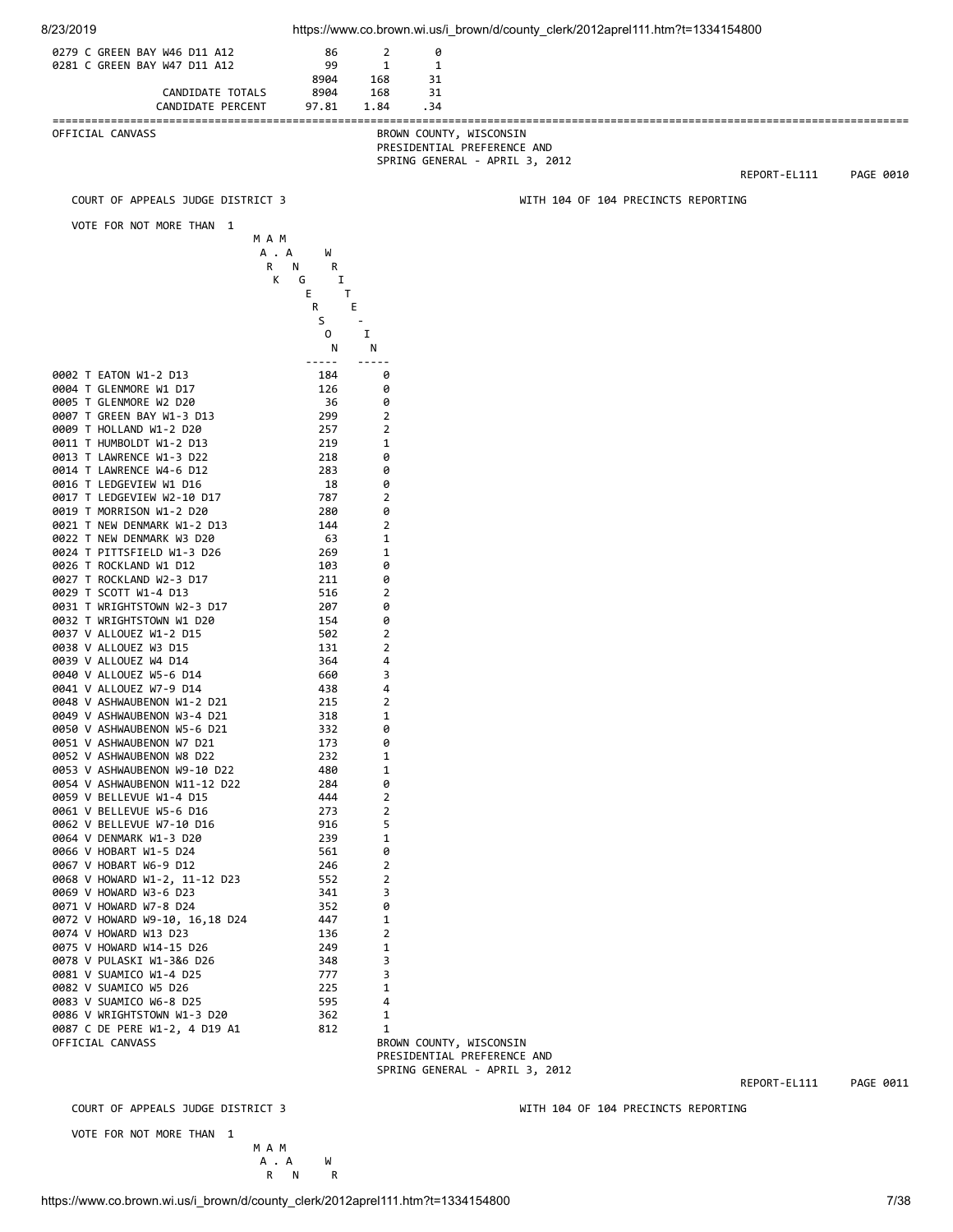| 8/23/2019                                                    |                                       |                  |                     |                         | https://www.co.brown.wi.us/i_brown/d/county_clerk/2012aprel111.htm?t=1334154800 |                                     |              |           |
|--------------------------------------------------------------|---------------------------------------|------------------|---------------------|-------------------------|---------------------------------------------------------------------------------|-------------------------------------|--------------|-----------|
| 0279 C GREEN BAY W46 D11 A12                                 |                                       | 86               | $\overline{2}$      | 0                       |                                                                                 |                                     |              |           |
| 0281 C GREEN BAY W47 D11 A12                                 |                                       | 99<br>8904       | $\mathbf{1}$<br>168 | 1<br>31                 |                                                                                 |                                     |              |           |
|                                                              | CANDIDATE TOTALS<br>CANDIDATE PERCENT | 8904<br>97.81    | 168<br>1.84         | 31<br>.34               |                                                                                 |                                     |              |           |
|                                                              |                                       |                  |                     |                         |                                                                                 |                                     |              |           |
| OFFICIAL CANVASS                                             |                                       |                  |                     | BROWN COUNTY, WISCONSIN | PRESIDENTIAL PREFERENCE AND                                                     |                                     |              |           |
|                                                              |                                       |                  |                     |                         | SPRING GENERAL - APRIL 3, 2012                                                  |                                     |              |           |
|                                                              |                                       |                  |                     |                         |                                                                                 |                                     | REPORT-EL111 | PAGE 0010 |
|                                                              | COURT OF APPEALS JUDGE DISTRICT 3     |                  |                     |                         |                                                                                 | WITH 104 OF 104 PRECINCTS REPORTING |              |           |
|                                                              | VOTE FOR NOT MORE THAN 1              |                  |                     |                         |                                                                                 |                                     |              |           |
|                                                              | M A M<br>A . A                        | W                |                     |                         |                                                                                 |                                     |              |           |
|                                                              | R<br>К                                | N<br>R<br>G<br>1 |                     |                         |                                                                                 |                                     |              |           |
|                                                              |                                       | Е<br>Т           |                     |                         |                                                                                 |                                     |              |           |
|                                                              |                                       | Ε<br>R<br>S      |                     |                         |                                                                                 |                                     |              |           |
|                                                              |                                       | 0<br>N           | Ι.<br>N             |                         |                                                                                 |                                     |              |           |
|                                                              |                                       | -----            | -----               |                         |                                                                                 |                                     |              |           |
| 0002 T EATON W1-2 D13<br>0004 T GLENMORE W1 D17              |                                       | 184<br>126       | 0<br>0              |                         |                                                                                 |                                     |              |           |
| 0005 T GLENMORE W2 D20                                       |                                       | 36               | 0                   |                         |                                                                                 |                                     |              |           |
| 0007 T GREEN BAY W1-3 D13<br>0009 T HOLLAND W1-2 D20         |                                       | 299<br>257       | 2<br>2              |                         |                                                                                 |                                     |              |           |
| 0011 T HUMBOLDT W1-2 D13                                     |                                       | 219              | 1                   |                         |                                                                                 |                                     |              |           |
| 0013 T LAWRENCE W1-3 D22<br>0014 T LAWRENCE W4-6 D12         |                                       | 218<br>283       | 0<br>0              |                         |                                                                                 |                                     |              |           |
| 0016 T LEDGEVIEW W1 D16                                      |                                       | 18               | 0<br>2              |                         |                                                                                 |                                     |              |           |
| 0017 T LEDGEVIEW W2-10 D17<br>0019 T MORRISON W1-2 D20       |                                       | 787<br>280       | 0                   |                         |                                                                                 |                                     |              |           |
| 0021 T NEW DENMARK W1-2 D13<br>0022 T NEW DENMARK W3 D20     |                                       | 144<br>63        | 2<br>1              |                         |                                                                                 |                                     |              |           |
| 0024 T PITTSFIELD W1-3 D26                                   |                                       | 269              | 1                   |                         |                                                                                 |                                     |              |           |
| 0026 T ROCKLAND W1 D12<br>0027 T ROCKLAND W2-3 D17           |                                       | 103<br>211       | 0<br>0              |                         |                                                                                 |                                     |              |           |
| 0029 T SCOTT W1-4 D13                                        |                                       | 516              | 2                   |                         |                                                                                 |                                     |              |           |
| 0031 T WRIGHTSTOWN W2-3 D17<br>0032 T WRIGHTSTOWN W1 D20     |                                       | 207<br>154       | 0<br>0              |                         |                                                                                 |                                     |              |           |
| 0037 V ALLOUEZ W1-2 D15                                      |                                       | 502              | $\overline{2}$      |                         |                                                                                 |                                     |              |           |
| 0038 V ALLOUEZ W3 D15<br>0039 V ALLOUEZ W4 D14               |                                       | 131<br>364       | 2<br>4              |                         |                                                                                 |                                     |              |           |
| 0040 V ALLOUEZ W5-6 D14<br>0041 V ALLOUEZ W7-9 D14           |                                       | 660              | 3                   |                         |                                                                                 |                                     |              |           |
| 0048 V ASHWAUBENON W1-2 D21                                  |                                       | 438<br>215       | 4<br>2              |                         |                                                                                 |                                     |              |           |
| 0049 V ASHWAUBENON W3-4 D21<br>0050 V ASHWAUBENON W5-6 D21   |                                       | 318<br>332       | $\mathbf{1}$<br>0   |                         |                                                                                 |                                     |              |           |
| 0051 V ASHWAUBENON W7 D21                                    |                                       | 173              | 0                   |                         |                                                                                 |                                     |              |           |
| 0052 V ASHWAUBENON W8 D22<br>0053 V ASHWAUBENON W9-10 D22    |                                       | 232<br>480       | 1<br>1              |                         |                                                                                 |                                     |              |           |
| 0054 V ASHWAUBENON W11-12 D22                                |                                       | 284              | 0                   |                         |                                                                                 |                                     |              |           |
| 0059 V BELLEVUE W1-4 D15<br>0061 V BELLEVUE W5-6 D16         |                                       | 444<br>273       | 2<br>2              |                         |                                                                                 |                                     |              |           |
| 0062 V BELLEVUE W7-10 D16<br>0064 V DENMARK W1-3 D20         |                                       | 916<br>239       | 5<br>1              |                         |                                                                                 |                                     |              |           |
| 0066 V HOBART W1-5 D24                                       |                                       | 561              | 0                   |                         |                                                                                 |                                     |              |           |
| 0067 V HOBART W6-9 D12<br>0068 V HOWARD W1-2, 11-12 D23      |                                       | 246<br>552       | 2<br>$\overline{2}$ |                         |                                                                                 |                                     |              |           |
| 0069 V HOWARD W3-6 D23                                       |                                       | 341              | 3                   |                         |                                                                                 |                                     |              |           |
| 0071 V HOWARD W7-8 D24<br>0072 V HOWARD W9-10, 16,18 D24     |                                       | 352<br>447       | 0<br>1              |                         |                                                                                 |                                     |              |           |
| 0074 V HOWARD W13 D23                                        |                                       | 136              | 2                   |                         |                                                                                 |                                     |              |           |
| 0075 V HOWARD W14-15 D26<br>0078 V PULASKI W1-3&6 D26        |                                       | 249<br>348       | 1<br>3              |                         |                                                                                 |                                     |              |           |
| 0081 V SUAMICO W1-4 D25<br>0082 V SUAMICO W5 D26             |                                       | 777<br>225       | 3<br>1              |                         |                                                                                 |                                     |              |           |
| 0083 V SUAMICO W6-8 D25                                      |                                       | 595              | 4                   |                         |                                                                                 |                                     |              |           |
| 0086 V WRIGHTSTOWN W1-3 D20<br>0087 C DE PERE W1-2, 4 D19 A1 |                                       | 362<br>812       | 1<br>1              |                         |                                                                                 |                                     |              |           |
| OFFICIAL CANVASS                                             |                                       |                  |                     | BROWN COUNTY, WISCONSIN |                                                                                 |                                     |              |           |
|                                                              |                                       |                  |                     |                         | PRESIDENTIAL PREFERENCE AND<br>SPRING GENERAL - APRIL 3, 2012                   |                                     |              |           |
|                                                              |                                       |                  |                     |                         |                                                                                 |                                     | REPORT-EL111 | PAGE 0011 |
|                                                              | COURT OF APPEALS JUDGE DISTRICT 3     |                  |                     |                         |                                                                                 | WITH 104 OF 104 PRECINCTS REPORTING |              |           |
|                                                              | VOTE FOR NOT MORE THAN 1              |                  |                     |                         |                                                                                 |                                     |              |           |
|                                                              | M A M<br>A . A                        | W                |                     |                         |                                                                                 |                                     |              |           |
|                                                              |                                       | R<br>R N         |                     |                         |                                                                                 |                                     |              |           |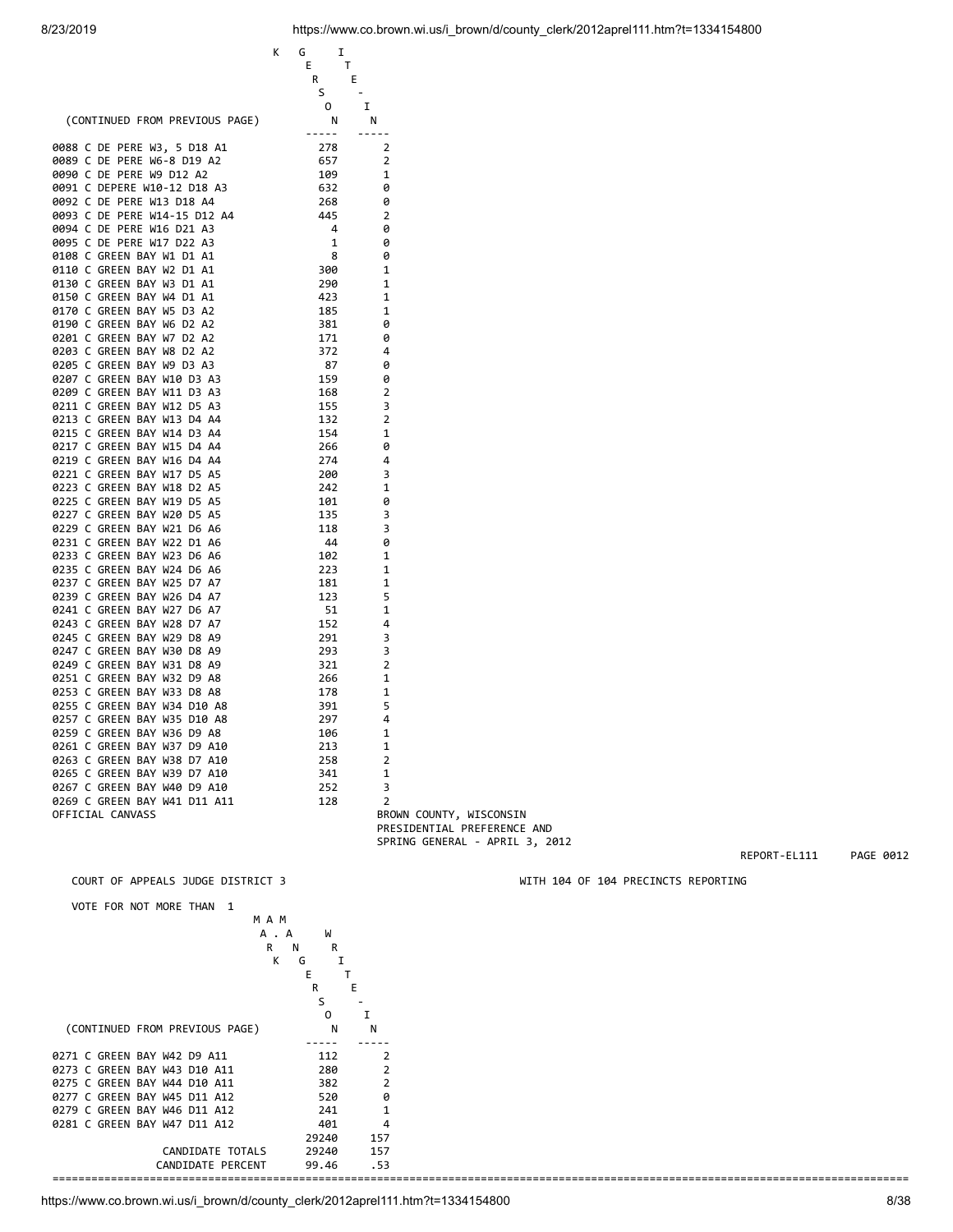|                                | Ι.<br>K<br>G  |                                |
|--------------------------------|---------------|--------------------------------|
|                                | Е<br>Τ        |                                |
|                                | R             | Е                              |
|                                | S             | $\overline{\phantom{a}}$       |
|                                | 0             | I                              |
| (CONTINUED FROM PREVIOUS PAGE) | N             | N                              |
|                                | $- - - - - -$ | $- - - - - -$                  |
| 0088 C DE PERE W3, 5 D18 A1    | 278           | $\overline{2}$                 |
| 0089 C DE PERE W6-8 D19 A2     | 657           | 2                              |
| 0090 C DE PERE W9 D12 A2       | 109           | 1                              |
| 0091 C DEPERE W10-12 D18 A3    | 632           | 0                              |
| 0092 C DE PERE W13 D18 A4      | 268           | 0                              |
| 0093 C DE PERE W14-15 D12 A4   | 445           | 2                              |
| 0094 C DE PERE W16 D21 A3      | 4             | 0                              |
| 0095 C DE PERE W17 D22 A3      | 1             | 0                              |
| 0108 C GREEN BAY W1 D1 A1      | 8             | 0                              |
| 0110 C GREEN BAY W2 D1 A1      | 300           | 1                              |
|                                | 290           | 1                              |
| 0130 C GREEN BAY W3 D1 A1      |               |                                |
| 0150 C GREEN BAY W4 D1 A1      | 423           | 1                              |
| 0170 C GREEN BAY W5 D3 A2      | 185           | 1                              |
| 0190 C GREEN BAY W6 D2 A2      | 381           | 0                              |
| 0201 C GREEN BAY W7 D2 A2      | 171           | 0                              |
| 0203 C GREEN BAY W8 D2 A2      | 372           | 4                              |
| 0205 C GREEN BAY W9 D3 A3      | 87            | 0                              |
| 0207 C GREEN BAY W10 D3 A3     | 159           | 0                              |
| 0209 C GREEN BAY W11 D3 A3     | 168           | 2                              |
| 0211 C GREEN BAY W12 D5 A3     | 155           | 3                              |
| 0213 C GREEN BAY W13 D4 A4     | 132           | 2                              |
| 0215 C GREEN BAY W14 D3 A4     | 154           | 1                              |
| 0217 C GREEN BAY W15 D4 A4     | 266           | 0                              |
| 0219 C GREEN BAY W16 D4 A4     | 274           | 4                              |
| 0221 C GREEN BAY W17 D5 A5     | 200           | 3                              |
| 0223 C GREEN BAY W18 D2 A5     | 242           | 1                              |
| 0225 C GREEN BAY W19 D5 A5     | 101           | 0                              |
| 0227 C GREEN BAY W20 D5 A5     | 135           | 3                              |
|                                |               |                                |
| 0229 C GREEN BAY W21 D6 A6     | 118           | 3                              |
| 0231 C GREEN BAY W22 D1 A6     | 44            | 0                              |
| 0233 C GREEN BAY W23 D6 A6     | 102           | 1                              |
| 0235 C GREEN BAY W24 D6 A6     | 223           | 1                              |
| 0237 C GREEN BAY W25 D7 A7     | 181           | 1                              |
| 0239 C GREEN BAY W26 D4 A7     | 123           | 5                              |
| 0241 C GREEN BAY W27 D6 A7     | 51            | 1                              |
| 0243 C GREEN BAY W28 D7 A7     | 152           | 4                              |
| 0245 C GREEN BAY W29 D8 A9     | 291           | 3                              |
| 0247 C GREEN BAY W30 D8 A9     | 293           | 3                              |
| 0249 C GREEN BAY W31 D8 A9     | 321           | 2                              |
| 0251 C GREEN BAY W32 D9 A8     | 266           | 1                              |
| 0253 C GREEN BAY W33 D8 A8     | 178           | 1                              |
| 0255 C GREEN BAY W34 D10 A8    | 391           | 5                              |
| 0257 C GREEN BAY W35 D10 A8    | 297           | 4                              |
| 0259 C GREEN BAY W36 D9 A8     | 106           | 1                              |
| 0261 C GREEN BAY W37 D9 A10    | 213           | $\mathbf{1}$                   |
|                                |               |                                |
| 0263 C GREEN BAY W38 D7 A10    | 258           | 2                              |
| 0265 C GREEN BAY W39 D7 A10    | 341           | 1                              |
| 0267 C GREEN BAY W40 D9 A10    | 252           | 3                              |
| 0269 C GREEN BAY W41 D11 A11   | 128           | 2                              |
| OFFICIAL CANVASS               |               | BROWN COUNTY, WISCONSIN        |
|                                |               | PRESIDENTIAL PREFERENCE AND    |
|                                |               | SPRING GENERAL - APRIL 3, 2012 |
|                                |               |                                |
|                                |               |                                |

 VOTE FOR NOT MORE THAN 1 M A M A . A W R N R K G I E THE TELEVISION OF THE TELEVISION OF THE TELEVISION OF THE TELEVISION OF THE TELEVISION OF THE TELEVISION OF  $\begin{array}{cccc}\n & R & & \\
 & & \mathbf{I} & & \\
 & & \mathbf{T} & & \\
 & R & & \mathbf{E} & \\
 & \mathbf{S} & & -\n\end{array}$  $S \sim$  O I (CONTINUED FROM PREVIOUS PAGE) N N ----- ----- 0271 C GREEN BAY W42 D9 A11 112 2<br>0273 C GREEN BAY W43 D10 A11 280 2 0273 C GREEN BAY W43 D10 A11 0275 C GREEN BAY W44 D10 A11 382 2<br>0277 C GREEN BAY W45 D11 A12 520 0 0277 C GREEN BAY W45 D11 A12 520<br>0279 C GREEN BAY W46 D11 A12 241 0279 C GREEN BAY W46 D11 A12 241 1 0281 C GREEN BAY W47 D11 A12 401 4<br>29240 157 29240<br>29240 CANDIDATE TOTALS 29240 157 CANDIDATE PERCENT 99.46 .53 ====================================================================================================================================

COURT OF APPEALS JUDGE DISTRICT 3 WITH 104 OF 104 PRECINCTS REPORTING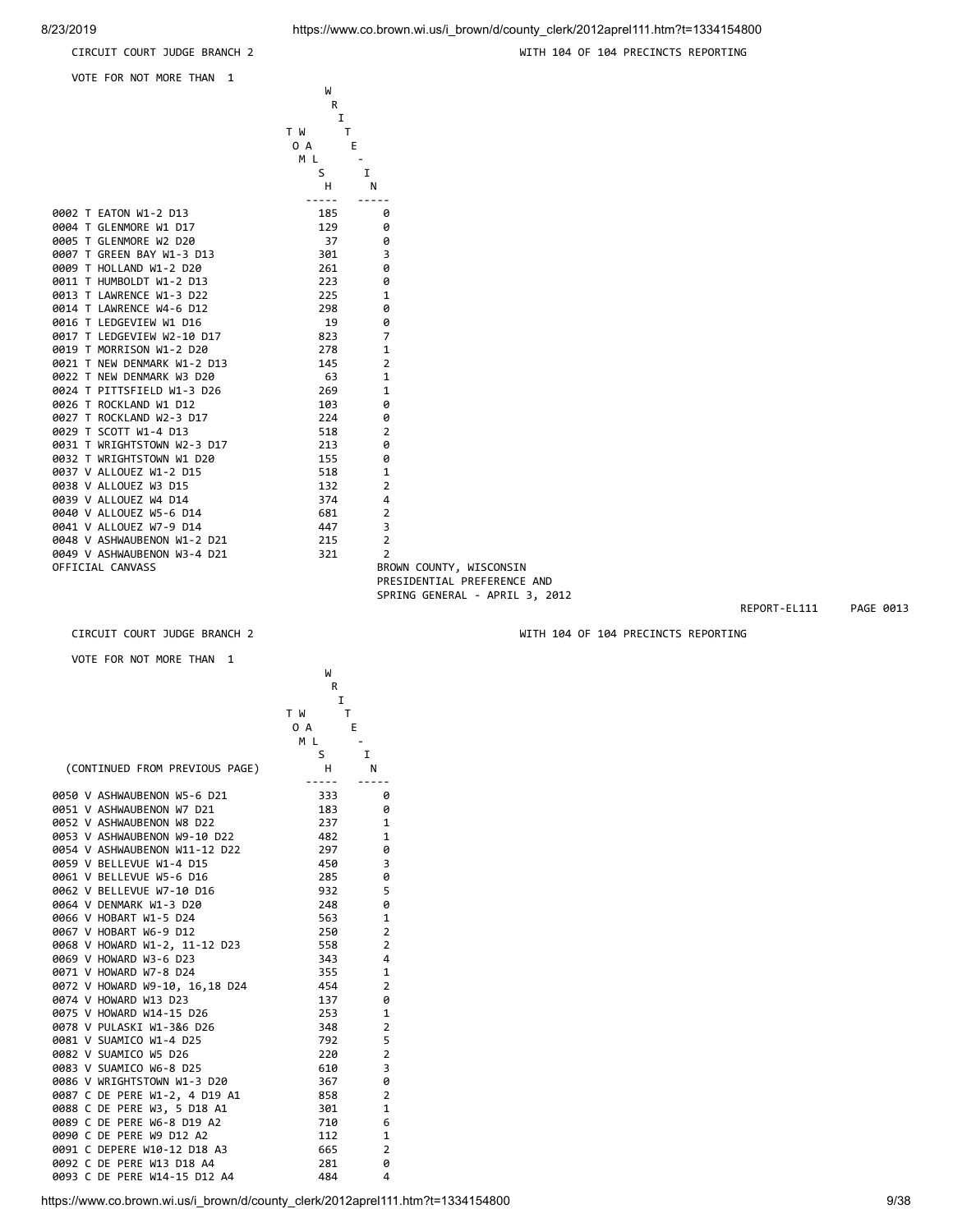VOTE FOR NOT MORE THAN 1

CIRCUIT COURT JUDGE BRANCH 2 WITH 104 OF 104 PRECINCTS REPORTING

|                             | W<br>R<br>I          |                             |  |
|-----------------------------|----------------------|-----------------------------|--|
|                             | T W<br>T<br>0 A<br>Е |                             |  |
|                             | ML.                  |                             |  |
|                             | S<br>н               | I<br>N                      |  |
| 0002 T EATON W1-2 D13       | -----<br>185         | 0                           |  |
| 0004 T GLENMORE W1 D17      | 129                  | 0                           |  |
| 0005 T GLENMORE W2 D20      | 37                   | 0                           |  |
| 0007 T GREEN BAY W1-3 D13   | 301                  | 3                           |  |
| 0009 T HOLLAND W1-2 D20     | 261                  | 0                           |  |
| 0011 T HUMBOLDT W1-2 D13    | 223                  | 0                           |  |
| 0013 T LAWRENCE W1-3 D22    | 225                  | $\mathbf{1}$                |  |
| 0014 T LAWRENCE W4-6 D12    | 298                  | 0                           |  |
| 0016 T LEDGEVIEW W1 D16     | 19                   | 0                           |  |
| 0017 T LEDGEVIEW W2-10 D17  | 823                  | 7                           |  |
| 0019 T MORRISON W1-2 D20    | 278                  | $\mathbf{1}$                |  |
| 0021 T NEW DENMARK W1-2 D13 | 145                  | $\overline{2}$              |  |
| 0022 T NEW DENMARK W3 D20   | - 63                 | $\mathbf{1}$                |  |
| 0024 T PITTSFIELD W1-3 D26  | 269                  | $\mathbf{1}$                |  |
| 0026 T ROCKLAND W1 D12      | 103                  | 0                           |  |
| 0027 T ROCKLAND W2-3 D17    | 224                  | 0                           |  |
| 0029 T SCOTT W1-4 D13       | 518                  | $\overline{2}$              |  |
| 0031 T WRIGHTSTOWN W2-3 D17 | 213                  | 0                           |  |
| 0032 T WRIGHTSTOWN W1 D20   | 155                  | 0                           |  |
| 0037 V ALLOUEZ W1-2 D15     | 518                  | $\mathbf{1}$                |  |
| 0038 V ALLOUEZ W3 D15       | 132                  | $\overline{2}$              |  |
| 0039 V ALLOUEZ W4 D14       | 374                  | 4                           |  |
| 0040 V ALLOUEZ W5-6 D14     | 681                  | $\overline{2}$              |  |
| 0041 V ALLOUEZ W7-9 D14     | 447                  | 3                           |  |
| 0048 V ASHWAUBENON W1-2 D21 | 215                  | $\overline{2}$              |  |
| 0049 V ASHWAUBENON W3-4 D21 | 321                  | $\overline{2}$              |  |
| OFFICIAL CANVASS            |                      | BROWN COUNTY, WISCONSIN     |  |
|                             |                      | PRESIDENTIAL PREFERENCE AND |  |

VOTE FOR NOT MORE THAN 1

|  |                                | W        |                |
|--|--------------------------------|----------|----------------|
|  |                                | R        |                |
|  |                                | I        |                |
|  |                                | T W<br>T |                |
|  |                                | 0 A      | E              |
|  |                                | M L      |                |
|  |                                | S        | 1              |
|  | (CONTINUED FROM PREVIOUS PAGE) | H.       | N              |
|  | 0050 V ASHWAUBENON W5-6 D21    | 333      | 0              |
|  | 0051 V ASHWAUBENON W7 D21      | 183      | 0              |
|  | 0052 V ASHWAUBENON W8 D22      | 237      | 1              |
|  | 0053 V ASHWAUBENON W9-10 D22   | 482      | 1              |
|  | 0054 V ASHWAUBENON W11-12 D22  | 297      | 0              |
|  | 0059 V BELLEVUE W1-4 D15       | 450      | 3              |
|  | 0061 V BELLEVUE W5-6 D16       | 285      | 0              |
|  | 0062 V BELLEVUE W7-10 D16      | 932      | 5              |
|  | 0064 V DENMARK W1-3 D20        | 248      | 0              |
|  | 0066 V HOBART W1-5 D24         | 563      | 1              |
|  | 0067 V HOBART W6-9 D12         | 250      | $\overline{2}$ |
|  | 0068 V HOWARD W1-2, 11-12 D23  | 558      | $\overline{2}$ |
|  | 0069 V HOWARD W3-6 D23         | 343      | 4              |
|  | 0071 V HOWARD W7-8 D24         | 355      | 1              |
|  | 0072 V HOWARD W9-10, 16,18 D24 | 454      | $\overline{2}$ |
|  | 0074 V HOWARD W13 D23          | 137      | 0              |
|  | 0075 V HOWARD W14-15 D26       | 253      | $\mathbf{1}$   |
|  | 0078 V PULASKI W1-3&6 D26      | 348      | $\overline{2}$ |
|  | 0081 V SUAMICO W1-4 D25        | 792      | 5              |
|  | 0082 V SUAMICO W5 D26          | 220      | $\overline{2}$ |
|  | 0083 V SUAMICO W6-8 D25        | 610      | 3              |
|  | 0086 V WRIGHTSTOWN W1-3 D20    | 367      | 0              |
|  | 0087 C DE PERE W1-2, 4 D19 A1  | 858      | $\overline{2}$ |
|  | 0088 C DE PERE W3, 5 D18 A1    | 301      | $\mathbf{1}$   |
|  | 0089 C DE PERE W6-8 D19 A2     | 710      | 6              |
|  | 0090 C DE PERE W9 D12 A2       | 112      | $\mathbf{1}$   |
|  | 0091 C DEPERE W10-12 D18 A3    | 665      | $\overline{2}$ |
|  | 0092 C DE PERE W13 D18 A4      | 281      | 0              |
|  | 0093 C DE PERE W14-15 D12 A4   | 484      | 4              |

SPRING GENERAL - APRIL 3, 2012

REPORT-EL111 PAGE 0013

CIRCUIT COURT JUDGE BRANCH 2 WITH 104 OF 104 PRECINCTS REPORTING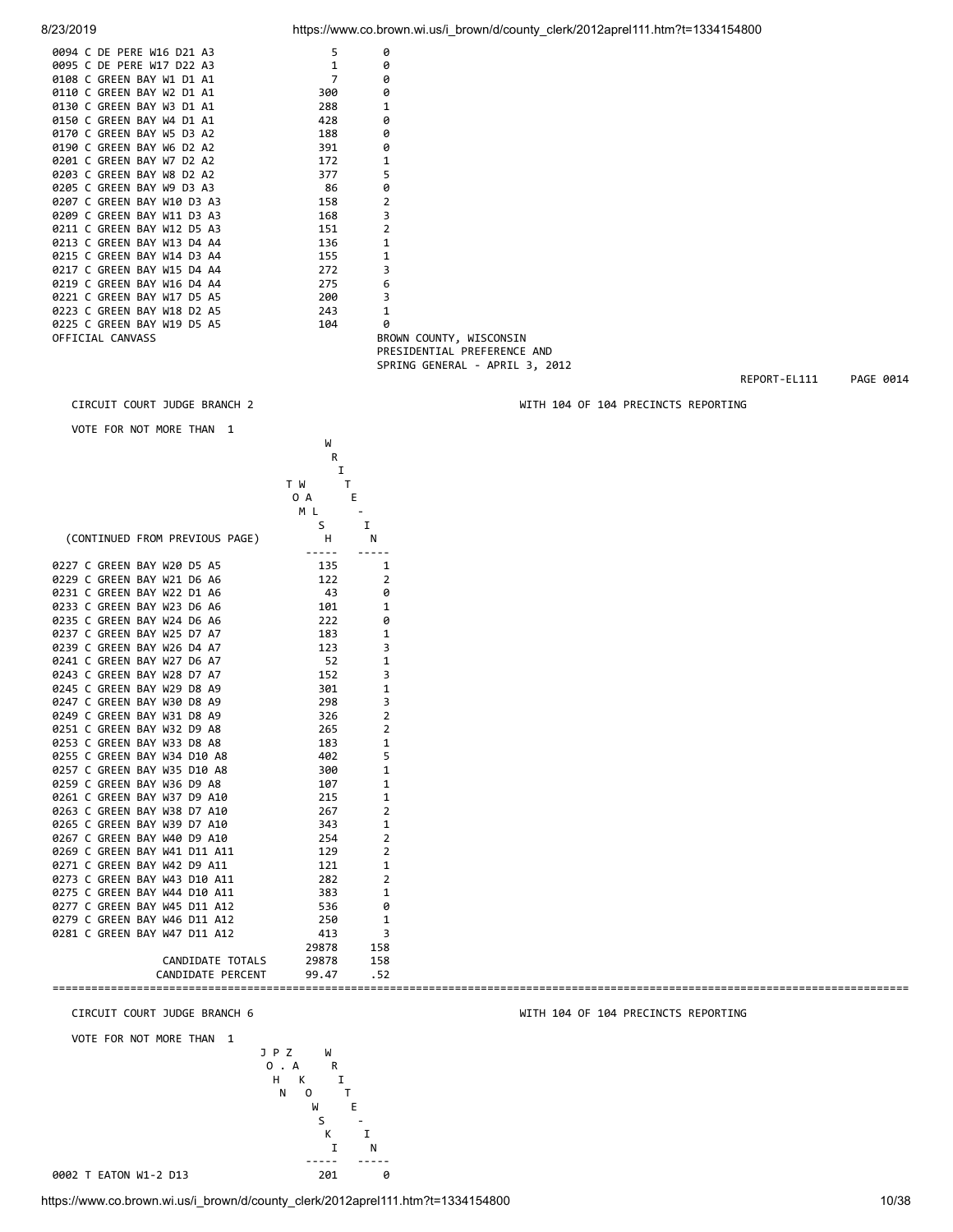|  | 0094 C DE PERE W16 D21 A3  | 5   | 0            |
|--|----------------------------|-----|--------------|
|  | 0095 C DE PERE W17 D22 A3  | 1   | 0            |
|  | 0108 C GREEN BAY W1 D1 A1  | 7   | 0            |
|  | 0110 C GREEN BAY W2 D1 A1  | 300 | 0            |
|  | 0130 C GREEN BAY W3 D1 A1  | 288 | 1            |
|  | 0150 C GREEN BAY W4 D1 A1  | 428 | ø            |
|  | 0170 C GREEN BAY W5 D3 A2  | 188 | 0            |
|  | 0190 C GREEN BAY W6 D2 A2  | 391 | 0            |
|  | 0201 C GREEN BAY W7 D2 A2  | 172 | 1            |
|  | 0203 C GREEN BAY W8 D2 A2  | 377 | 5            |
|  | 0205 C GREEN BAY W9 D3 A3  | 86  | 0            |
|  | 0207 C GREEN BAY W10 D3 A3 | 158 | 2            |
|  | 0209 C GREEN BAY W11 D3 A3 | 168 | 3            |
|  | 0211 C GREEN BAY W12 D5 A3 | 151 | 2            |
|  | 0213 C GREEN BAY W13 D4 A4 | 136 | $\mathbf{1}$ |
|  | 0215 C GREEN BAY W14 D3 A4 | 155 | 1            |
|  | 0217 C GREEN BAY W15 D4 A4 | 272 | 3            |
|  | 0219 C GREEN BAY W16 D4 A4 | 275 | 6            |
|  | 0221 C GREEN BAY W17 D5 A5 | 200 | 3            |
|  | 0223 C GREEN BAY W18 D2 A5 | 243 | $\mathbf{1}$ |
|  | 0225 C GREEN BAY W19 D5 A5 | 104 | 0            |
|  |                            |     | <b>DDC</b>   |

OFFICIAL CANVASS **BROWN COUNTY, WISCONSIN** PRESIDENTIAL PREFERENCE AND

W<sub>1</sub>

VOTE FOR NOT MORE THAN 1

|        |  |                                | R        |                |
|--------|--|--------------------------------|----------|----------------|
|        |  |                                | I        |                |
|        |  |                                | T W<br>Т |                |
|        |  |                                | 0 A<br>E |                |
|        |  |                                | M L      |                |
|        |  |                                | S        | I              |
|        |  | (CONTINUED FROM PREVIOUS PAGE) | н        | N              |
|        |  |                                |          |                |
|        |  | 0227 C GREEN BAY W20 D5 A5     | 135      | 1              |
|        |  | 0229 C GREEN BAY W21 D6 A6     | 122      | $\overline{2}$ |
| 0231 C |  | GREEN BAY W22 D1 A6            | 43       | 0              |
|        |  | 0233 C GREEN BAY W23 D6 A6     | 101      | $\mathbf{1}$   |
|        |  | 0235 C GREEN BAY W24 D6 A6     | 222      | 0              |
|        |  | 0237 C GREEN BAY W25<br>D7 A7  | 183      | $\mathbf{1}$   |
|        |  | 0239 C GREEN BAY W26 D4 A7     | 123      | 3              |
|        |  | 0241 C GREEN BAY W27<br>D6 A7  | 52       | $\mathbf{1}$   |
|        |  | 0243 C GREEN BAY W28<br>D7 A7  | 152      | 3              |
| 0245 C |  | <b>GREEN BAY W29</b><br>D8 A9  | 301      | $\mathbf{1}$   |
| 0247 C |  | <b>GREEN BAY W30</b><br>D8 A9  | 298      | 3              |
| 0249 C |  | GREEN BAY W31<br>D8 A9         | 326      | $\overline{2}$ |
| 0251 C |  | <b>GREEN BAY W32</b><br>D9 A8  | 265      | $\overline{2}$ |
| 0253 C |  | <b>GREEN BAY W33</b><br>D8 A8  | 183      | $\mathbf{1}$   |
| 0255 C |  | GREEN BAY W34 D10 A8           | 402      | 5              |
| 0257 C |  | GREEN BAY W35<br>D10 A8        | 300      | $\mathbf{1}$   |
|        |  | 0259 C GREEN BAY W36 D9 A8     | 107      | $\mathbf{1}$   |
|        |  | 0261 C GREEN BAY W37 D9 A10    | 215      | $\mathbf{1}$   |
|        |  | 0263 C GREEN BAY W38 D7 A10    | 267      | $\overline{2}$ |
|        |  | 0265 C GREEN BAY W39 D7 A10    | 343      | $\mathbf{1}$   |
|        |  | 0267 C GREEN BAY W40 D9 A10    | 254      | $\overline{2}$ |
|        |  | 0269 C GREEN BAY W41 D11 A11   | 129      | $\overline{2}$ |
| 0271 C |  | GREEN BAY W42 D9 A11           | 121      | $\mathbf{1}$   |
| 0273 C |  | GREEN BAY W43<br>D10 A11       | 282      | $\overline{2}$ |
|        |  | 0275 C GREEN BAY W44 D10 A11   | 383      | 1              |
| 0277 C |  | GREEN BAY W45 D11 A12          | 536      | 0              |
| 0279 C |  | GREEN BAY W46 D11 A12          | 250      | 1              |
|        |  | 0281 C GREEN BAY W47 D11 A12   | 413      | 3              |
|        |  |                                | 29878    | 158            |
|        |  | CANDIDATE TOTALS               | 29878    | 158            |
|        |  | CANDIDATE PERCENT              | 99.47    | .52            |

VOTE FOR NOT MORE THAN 1



https://www.co.brown.wi.us/i\_brown/d/county\_clerk/2012aprel111.htm?t=1334154800 10/38

8/23/2019 https://www.co.brown.wi.us/i brown/d/county\_clerk/2012aprel111.htm?t=1334154800

SPRING GENERAL - APRIL 3, 2012

====================================================================================================================================

REPORT-EL111 PAGE 0014

CIRCUIT COURT JUDGE BRANCH 2 WITH 104 OF 104 PRECINCTS REPORTING

CIRCUIT COURT JUDGE BRANCH 6 WITH 104 OF 104 PRECINCTS REPORTING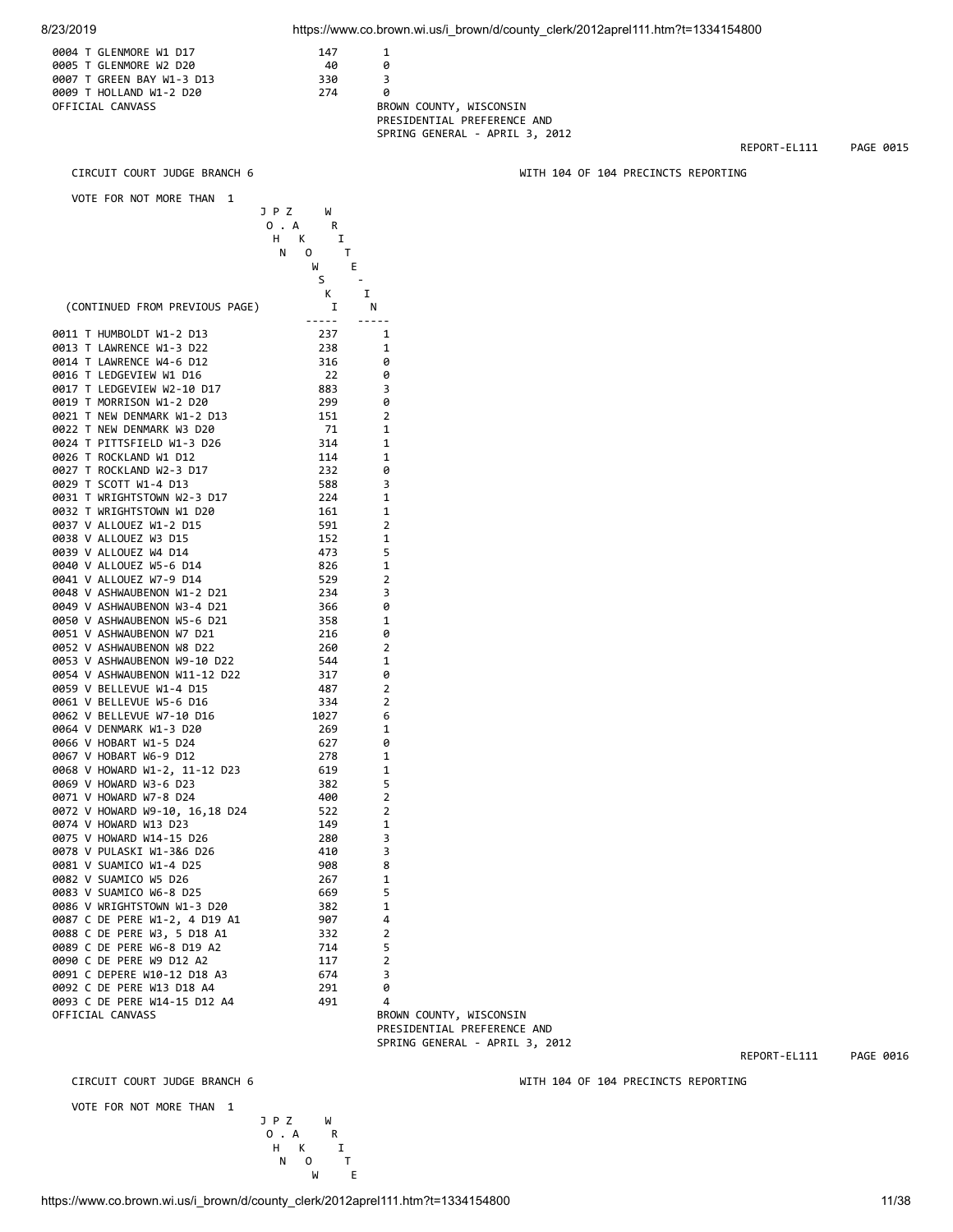| 0004 T GLENMORE W1 D17    | 147 |     |
|---------------------------|-----|-----|
| 0005 T GLENMORE W2 D20    | 40  | a   |
| 0007 T GREEN BAY W1-3 D13 | 330 | ₹   |
| 0009 T HOLLAND W1-2 D20   | 274 | a   |
| OFFICIAL CANVASS          |     | BRC |
|                           |     |     |

BROWN COUNTY, WISCONSIN PRESIDENTIAL PREFERENCE AND SPRING GENERAL - APRIL 3, 2012

REPORT-EL111 PAGE 0015

CIRCUIT COURT JUDGE BRANCH 6 WITH 104 OF 104 PRECINCTS REPORTING

 VOTE FOR NOT MORE THAN 1 J P Z W 0 . A<br>
H K I<br>
N O T  $H$  K N O T W E  $S = \frac{1}{2}$  K I (CONTINUED FROM PREVIOUS PAGE) I N ----- ----- 0011 THUMBOLDT W1-2 D13 237 1<br>0013 TLAWRENCE W1-3 D22 238 1 0013 T LAWRENCE W1-3 D22 238 1 0014 T LAWRENCE W4-6 D12 316 0<br>0016 T LEDGEVTEW W1 D16 22 0 0016 T LEDGEVIEW W1 D16 22 0017 T LEDGEVIEW W2-10 D17 883 3 0019 T MORRISON W1-2 D20 299 0<br>0021 T NEW DENMARK W1-2 D13 2 151 2 0021 T NEW DENMARK W1-2 D13 151 2 0022 T NEW DENMARK W3 D20 71 1 0024 T PITTSFIELD W1-3 D26 314 1 0026 T ROCKLAND W1 D12 114 1 0027 T ROCKLAND W2-3 D17 232 0 0029 T SCOTT W1-4 D13 588 3<br>0031 T WRIGHTSTOWN W2-3 D17 224 1 0031 T WRIGHTSTOWN W2-3 D17 224 1 0032 T WRIGHTSTOWN W1 D20 161 1 0037 V ALLOUEZ W1-2 D15 591 2<br>0038 V ALLOUEZ W3 D15 591 152 1 0038 V ALLOUEZ W3 D15 0039 V ALLOUEZ W4 D14 473 5 0040 V ALLOUEZ W5-6 D14 826 1<br>0041 V ALLOUEZ W7-9 D14 529 2 0041 V ALLOUEZ W7-9 D14 0048 V ASHWAUBENON W1-2 D21 234 3 0049 V ASHWAUBENON W3-4 D21 366 0 0050 V ASHWAUBENON W5-6 D21 358 1<br>0051 V ASHWAUBENON W7 D21 316 216 0 0051 V ASHWAUBENON W7 D21 0052 V ASHWAUBENON W8 D22 260 2<br>0053 V ASHWAUBENON W9-10 D22 344 1 0053 V ASHWAUBENON W9-10 D22 544 1<br>0054 V ASHWAUBENON W11-12 D22 317 0 0054 V ASHWAUBENON W11-12 D22 0059 V BELLEVUE W1-4 D15 487 2<br>0061 V BELLEVUE W5-6 D16 334 2 0061 V BELLEVUE W5-6 D16 334 2 0062 V BELLEVUE W7-10 D16 0064 V DENMARK W1-3 D20 269 1<br>0066 V HOBART W1-5 D24 627 0 0066 V HOBART W1-5 D24 627 0 0067 V HOBART W6-9 D12 278 1 0068 V HOWARD W1-2, 11-12 D23 619 1 0069 V HOWARD W3-6 D23 382 5 0071 V HOWARD W7-8 D24 0072 V HOWARD W9-10, 16,18 D24 522 2 0074 V HOWARD W13 D23 149 1 0075 V HOWARD W14-15 D26 0078 V PULASKI W1-3&6 D26 410 3 0081 V SUAMICO W1-4 D25 908 8<br>0082 V SUAMICO W5 D26 908 267 1 0082 V SUAMICO W5 D26 0083 V SUAMICO W6-8 D25 669 5 0086 V WRIGHTSTOWN W1-3 D20 382 1 0087 C DE PERE W1-2, 4 D19 A1 907 4<br>0088 C DE PERE W3. 5 D18 A1 332 2 0088 C DE PERE W3, 5 D18 A1 332 2 0089 C DE PERE W6-8 D19 A2 714 5<br>0090 C DE PERE W9 D12 A2 117 2 0090 C DE PERE W9 D12 A2 117 2<br>0091 C DEPERE W10-12 D18 A3 674 3 0091 C DEPERE W10-12 D18 A3 674 3 0092 C DE PERE W13 D18 A4 291 0<br>0093 C DE PERE W14-15 D12 A4 491 4 0093 C DE PERE W14-15 D12 A4<br>OFFICIAL CANVASS OFFICIAL CANVASS BROWN COUNTY, WISCONSIN

 PRESIDENTIAL PREFERENCE AND SPRING GENERAL - APRIL 3, 2012

REPORT-EL111 PAGE 0016

CIRCUIT COURT JUDGE BRANCH 6 WITH 104 OF 104 PRECINCTS REPORTING

VOTE FOR NOT MORE THAN 1

 J P Z W O . A R H K I<br>N O T  $N$  0 w E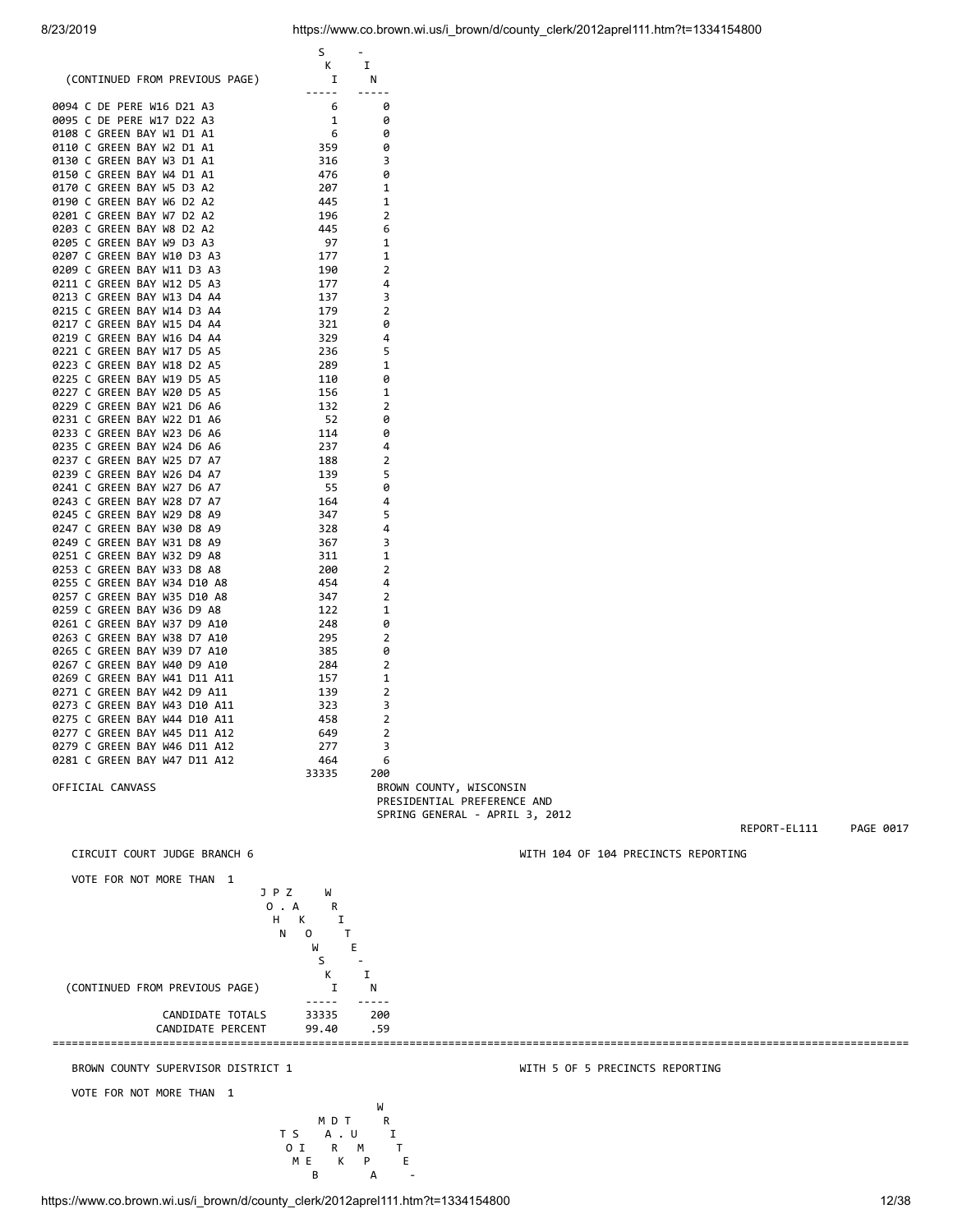$S =$  K I (CONTINUED FROM PREVIOUS PAGE) I N ----- ----- 0094 C DE PERE W16 D21 A3 6 0 0095 C DE PERE W17 D22 A3 1 0 0108 C GREEN BAY W1 D1 A1 6 0<br>0110 C GREEN BAY W2 D1 A1 359 0 0110 C GREEN BAY W2 D1 A1 359 0<br>0130 C GREEN BAY W3 D1 A1 316 3 0130 C GREEN BAY W3 D1 A1 316 316

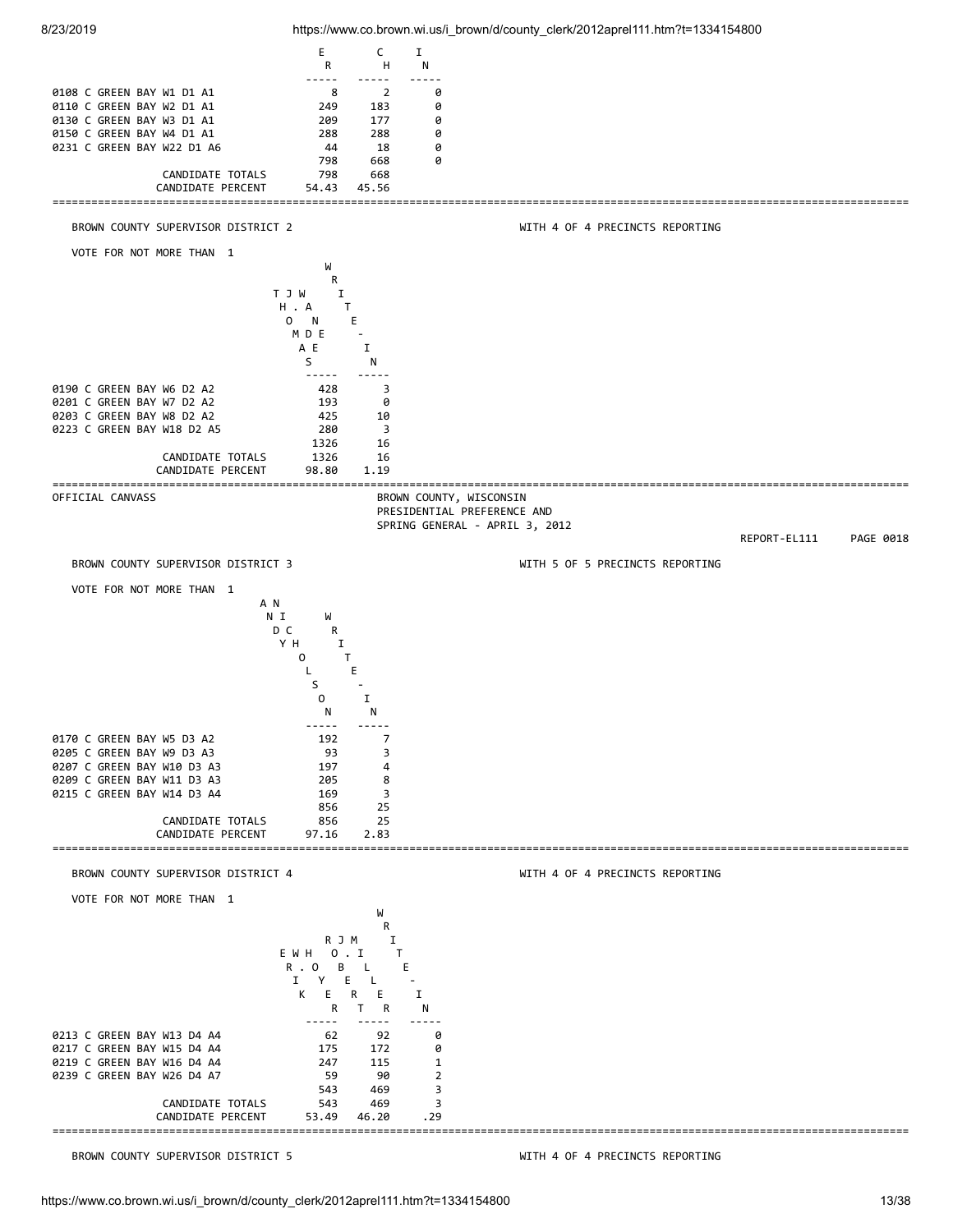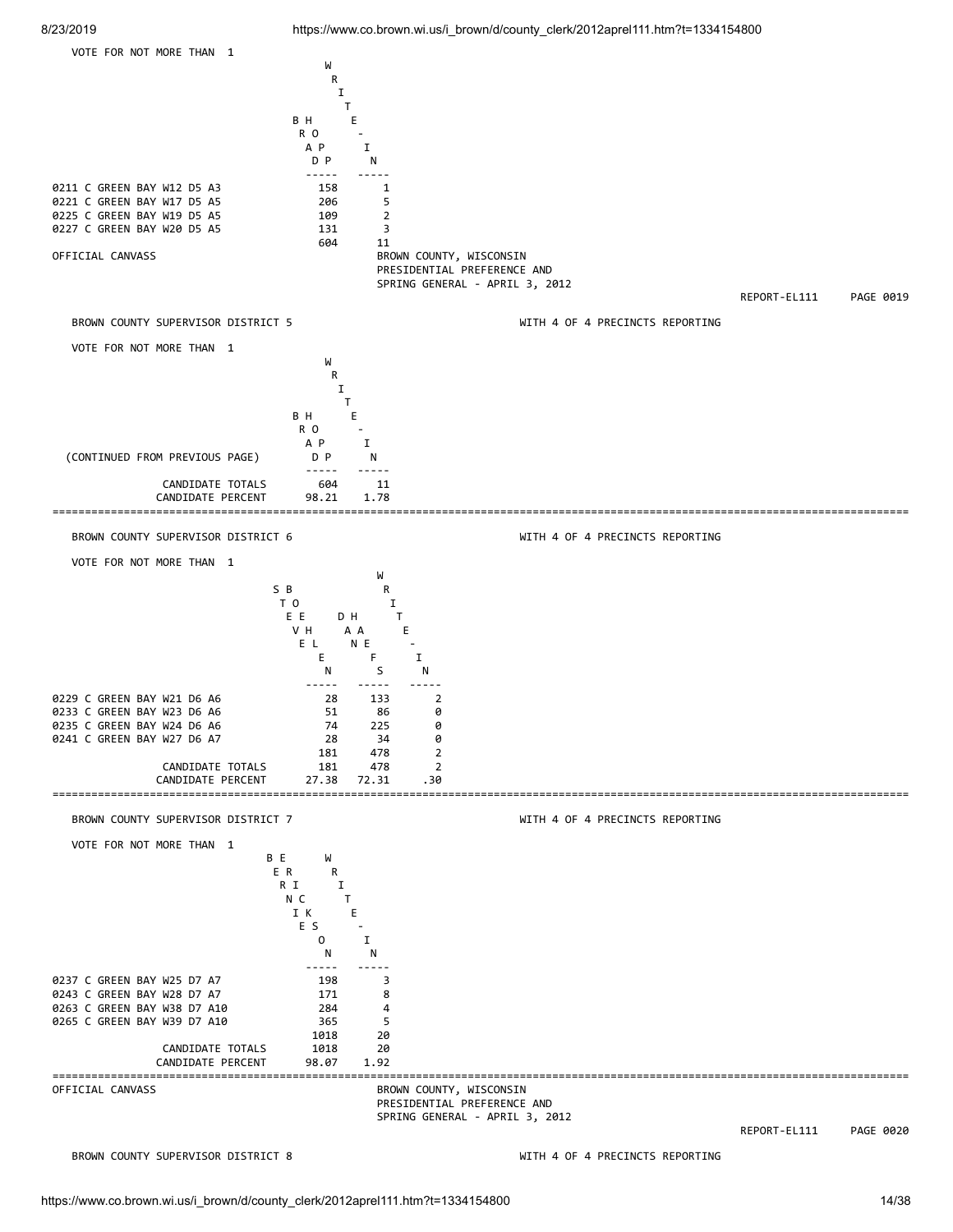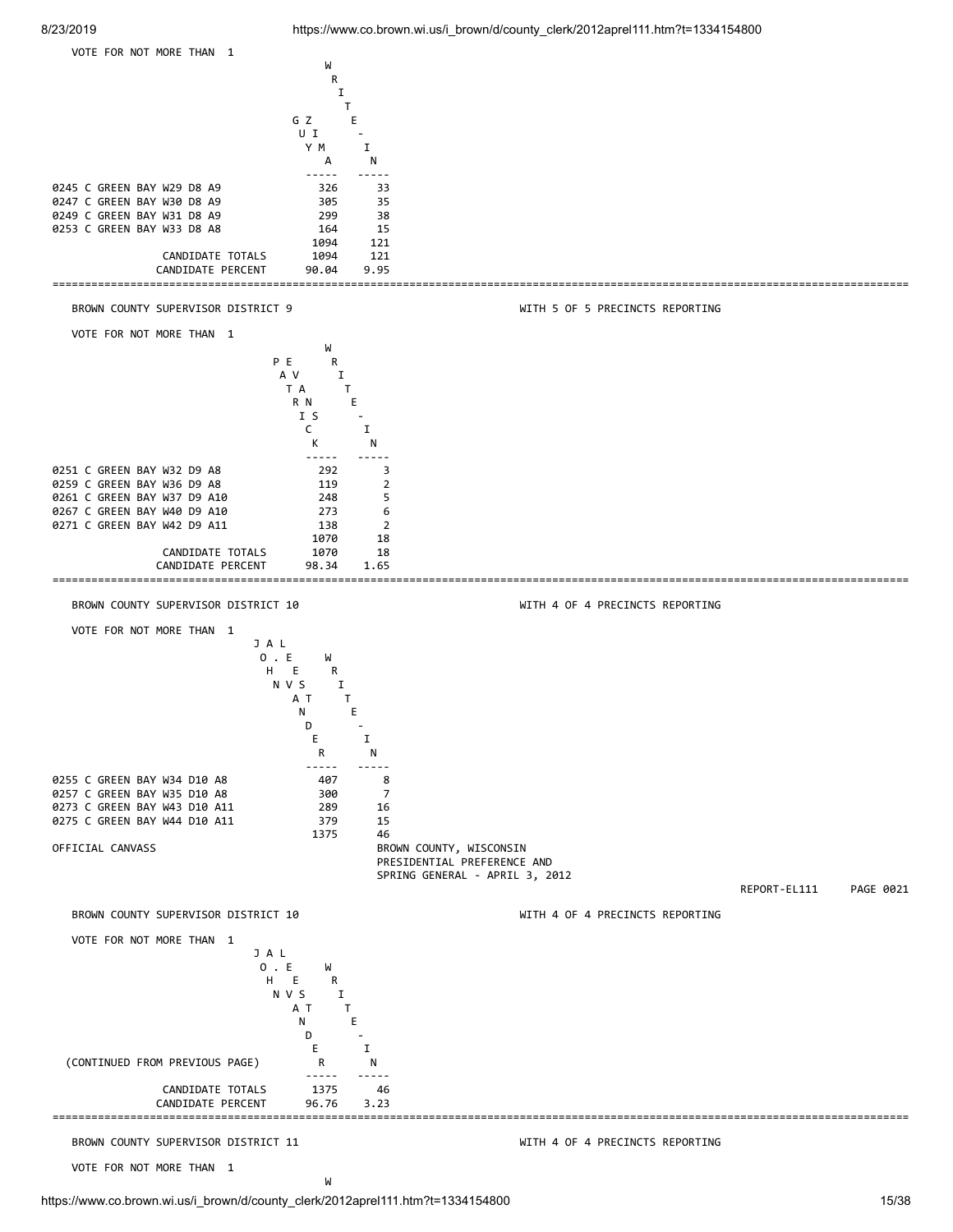



VOTE FOR NOT MORE THAN 1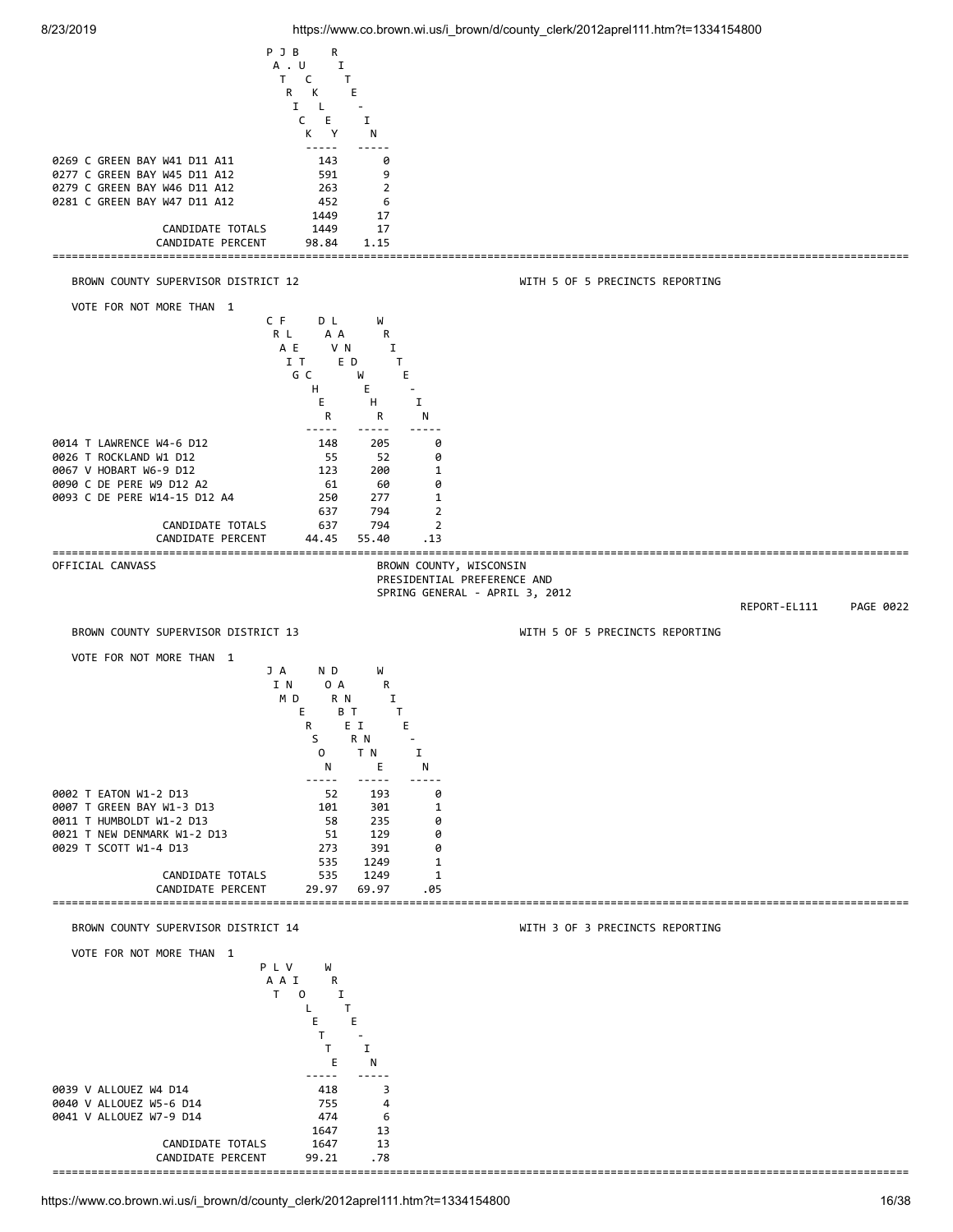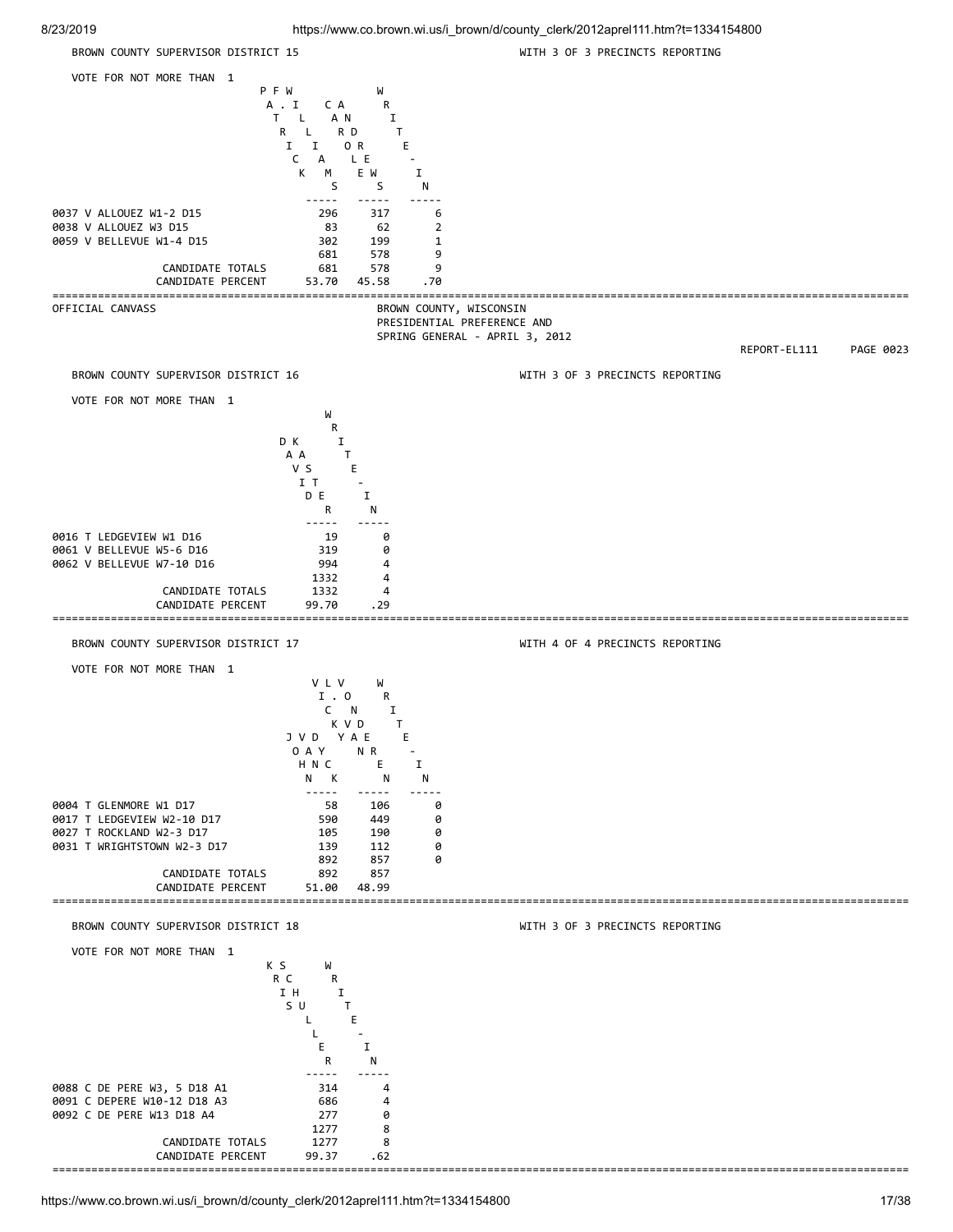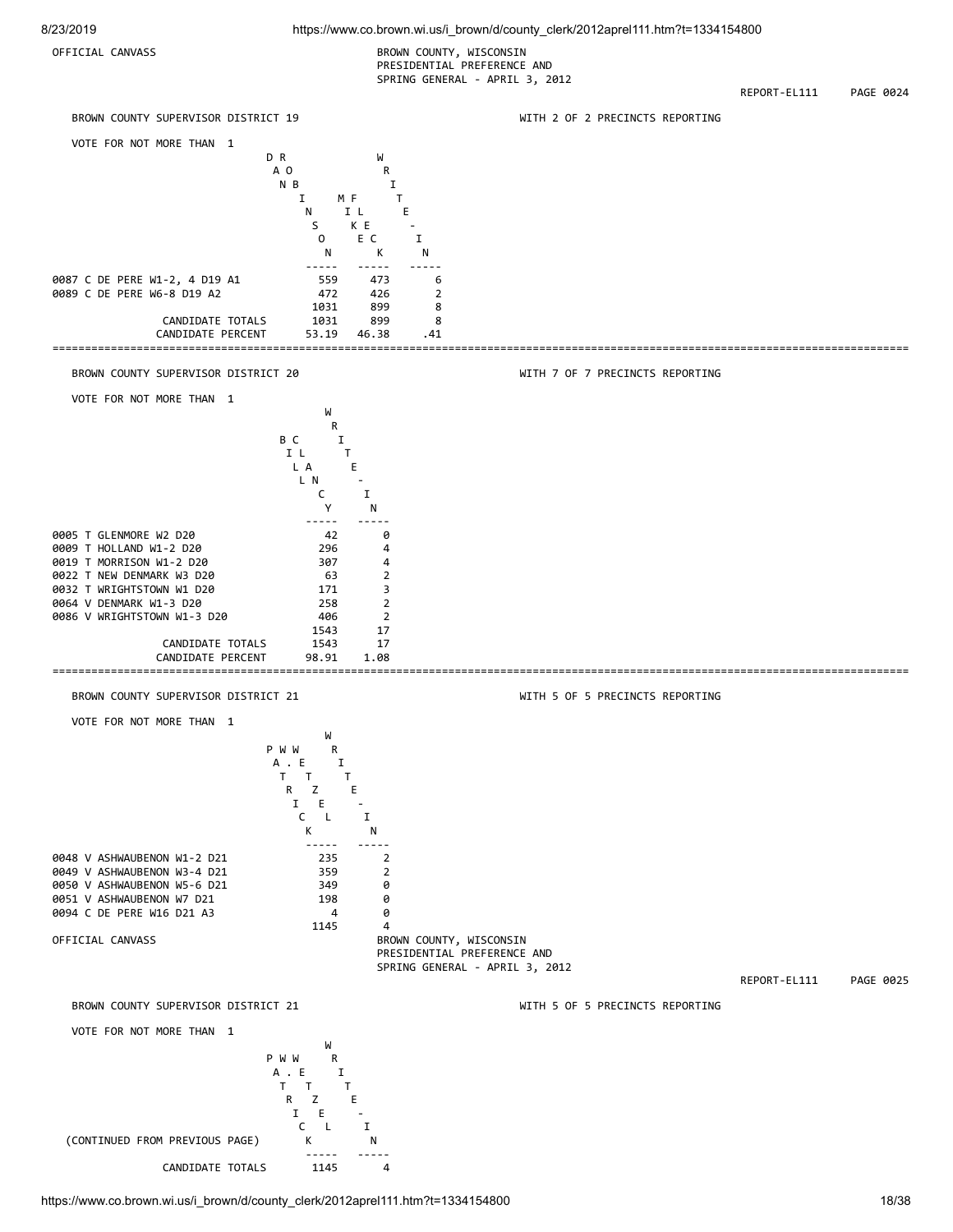OFFICIAL CANVASS **BROWN COUNTY, WISCONSIN**  PRESIDENTIAL PREFERENCE AND SPRING GENERAL - APRIL 3, 2012

REPORT-EL111 PAGE 0024



https://www.co.brown.wi.us/i\_brown/d/county\_clerk/2012aprel111.htm?t=1334154800 18/38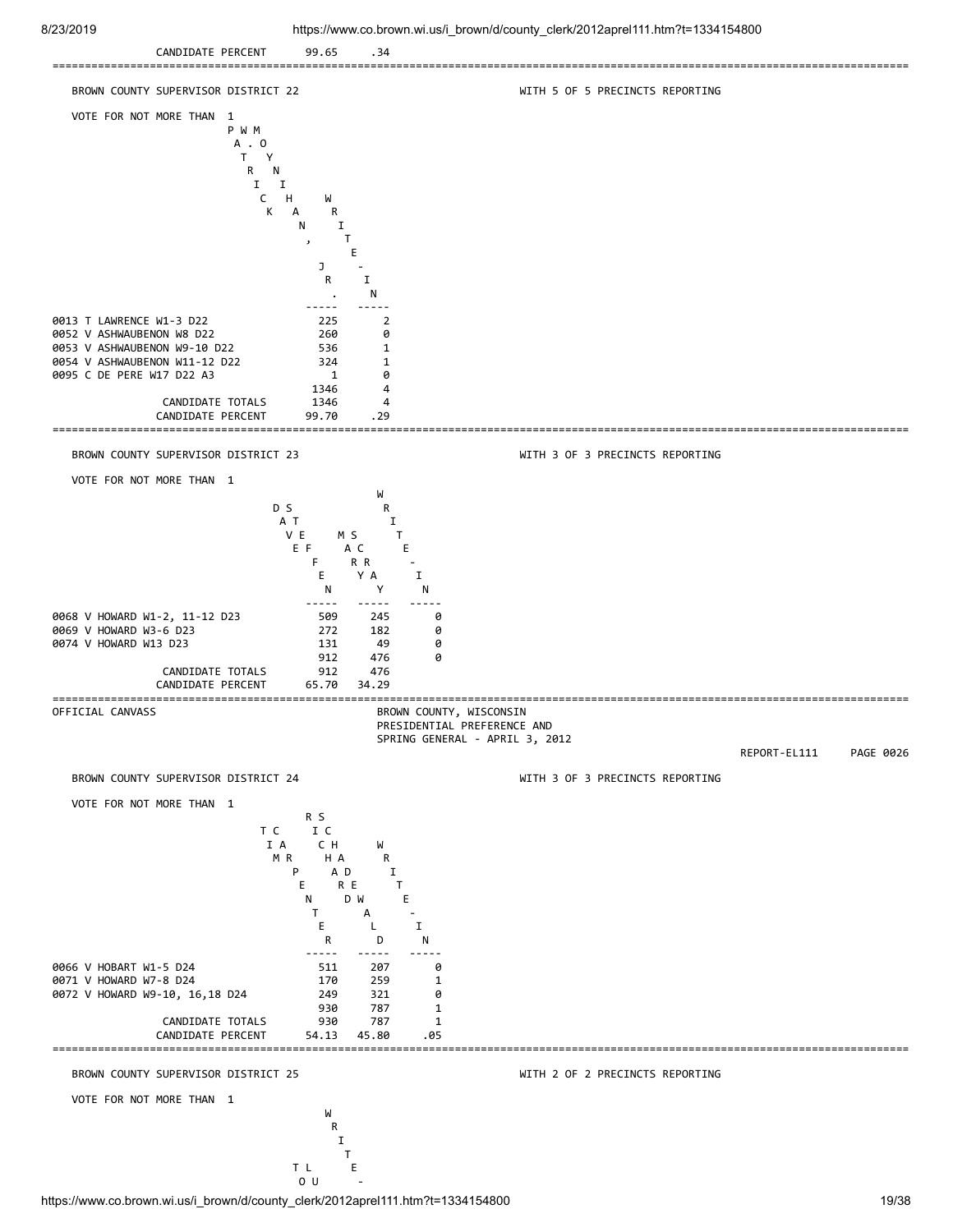CANDIDATE PERCENT 99.65 .34 ==================================================================================================================================== BROWN COUNTY SUPERVISOR DISTRICT 22 WITH 5 OF 5 PRECINCTS REPORTING VOTE FOR NOT MORE THAN 1 P W M  $A \cdot 0$ <br>T Y T Y **R** N I I C H W K A R N I , T **EXAMPLE 2004 CONTRACT CONTRACT DE L'AUGUST**  $J =$   $J =$  R I . N ----- ----- 0013 T LAWRENCE W1-3 D22 225 2 0052 V ASHWAUBENON W8 D22 260 0<br>0053 V ASHWAUBENON W9-10 D22 336 1 0053 V ASHWAUBENON W9-10 D22 536<br>0054 V ASHWAUBENON W11-12 D22 324 0054 V ASHWAUBENON W11-12 D22 324 1 0095 C DE PERE W17 D22 A3 1 0 1346 4 CANDIDATE TOTALS 1346 4<br>CANDIDATE PERCENT 99.70 .29 CANDIDATE PERCENT 99.70 .29 ==================================================================================================================================== BROWN COUNTY SUPERVISOR DISTRICT 23 WITH 3 OF 3 PRECINCTS REPORTING VOTE FOR NOT MORE THAN 1 W<sub>1</sub> D S R A T I V E M S T E F A C E F R R - E Y A I N Y N ----- ----- ----- 0068 V HOWARD W1-2, 11-12 D23 509 245 0 0069 V HOWARD W3-6 D23 272 182 0 0074 V HOWARD W13 D23 131 49 0<br>912 476 0 912 476 0 CANDIDATE TOTALS 912 476 CANDIDATE PERCENT 65.70 34.29 ==================================================================================================================================== BROWN COUNTY, WISCONSIN PRESIDENTIAL PREFERENCE AND SPRING GENERAL - APRIL 3, 2012 REPORT-EL111 PAGE 0026 BROWN COUNTY SUPERVISOR DISTRICT 24 WITH 3 OF 3 PRECINCTS REPORTING VOTE FOR NOT MORE THAN 1 R S T C I C I A CH W M R H A R P A D I E RE T N D W E T A - E L I R D N ----- ----- ----- 0066 V HOBART W1-5 D24 511 207 0 0071 V HOWARD W7-8 D24 170 259 1<br>0072 V HOWARD W9-10, 16,18 D24 249 321 0 0072 V HOWARD W9-10, 16,18 D24 249 321 930 787 1 CANDIDATE TOTALS 930 787 1 CANDIDATE PERCENT ==================================================================================================================================== BROWN COUNTY SUPERVISOR DISTRICT 25 WITH 2 OF 2 PRECINCTS REPORTING VOTE FOR NOT MORE THAN 1 where the contract of the contract of the contract of the contract of the contract of the contract of the contract of the contract of the contract of the contract of the contract of the contract of the contract of the cont **R R**  I **The Community of the Community of The Community of The Community of The Community of The Community of The Community** The state of the state of the state of the state of the state of the state of the state of the state of the state of the state of the state of the state of the state of the state of the state of the state of the state of t

 $\overline{O}$  U -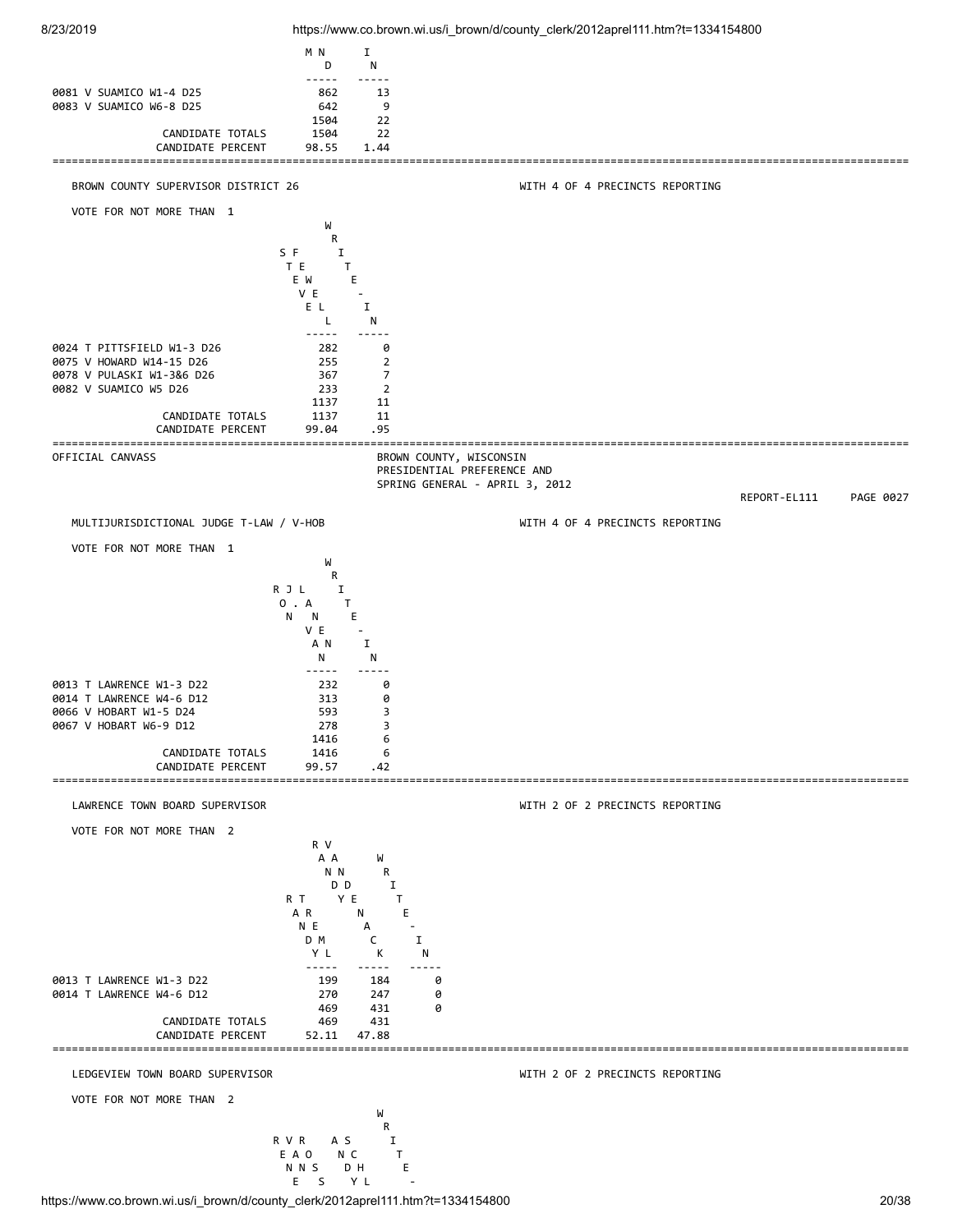

https://www.co.brown.wi.us/i\_brown/d/county\_clerk/2012aprel111.htm?t=1334154800 20/38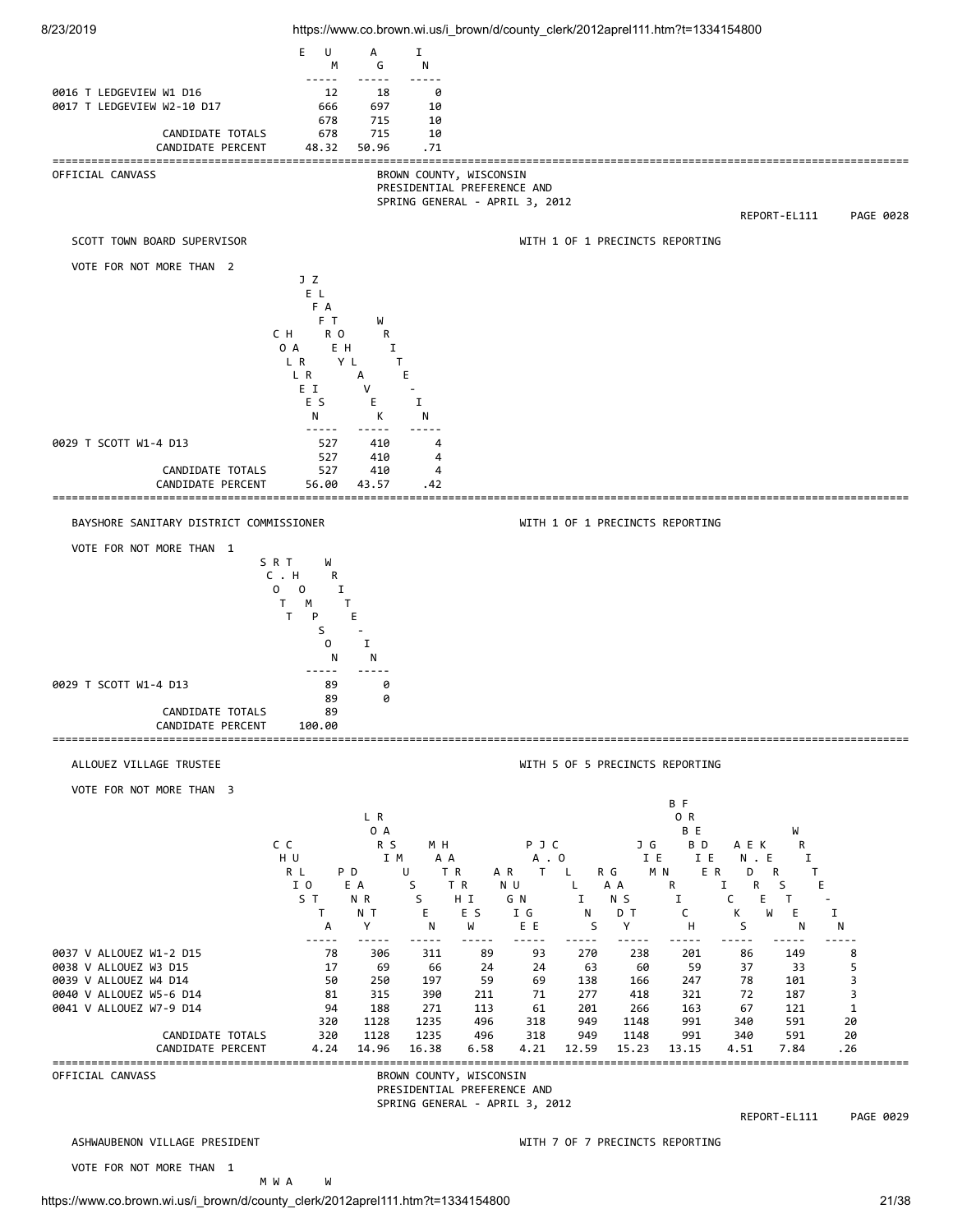

https://www.co.brown.wi.us/i\_brown/d/county\_clerk/2012aprel111.htm?t=1334154800 21/38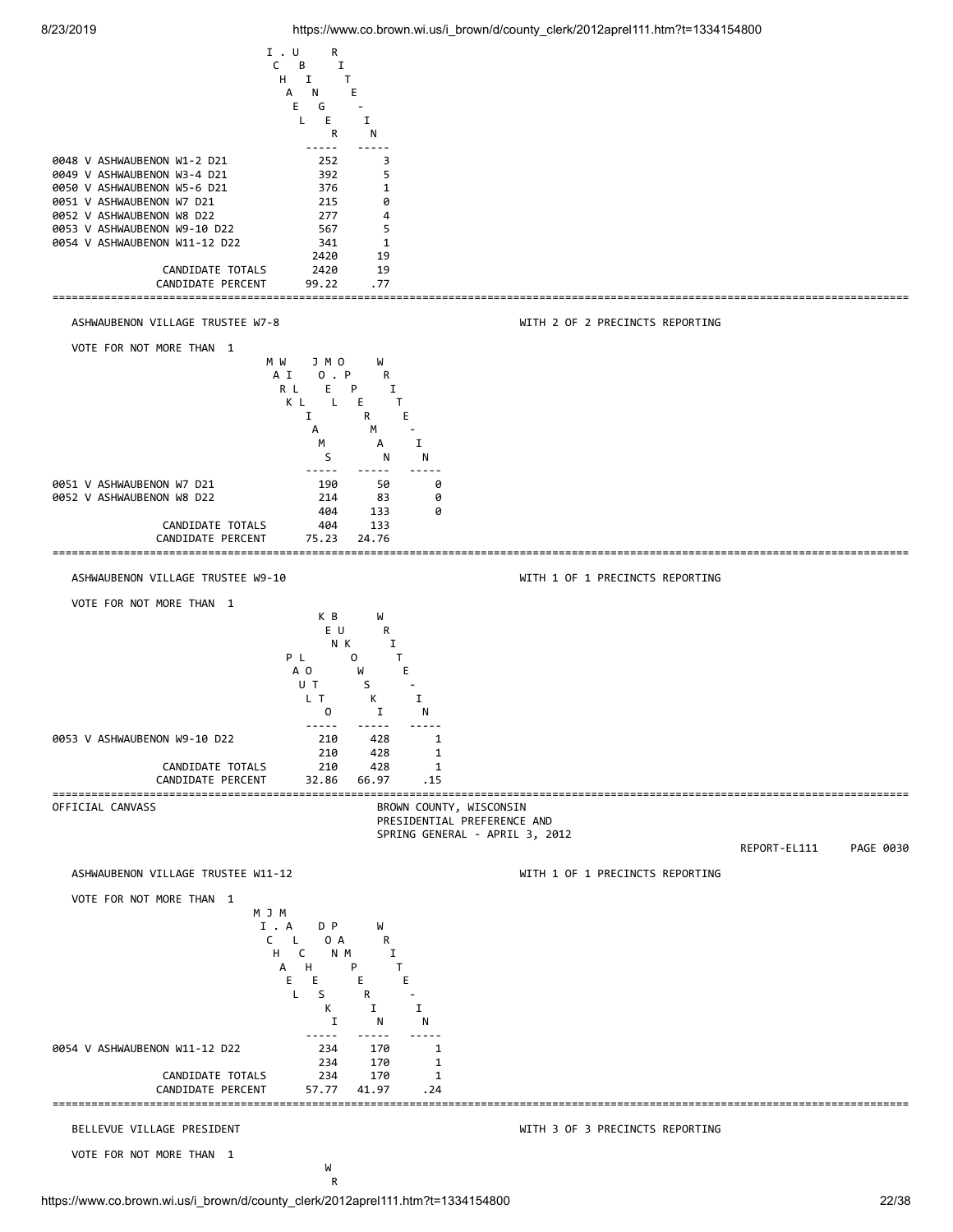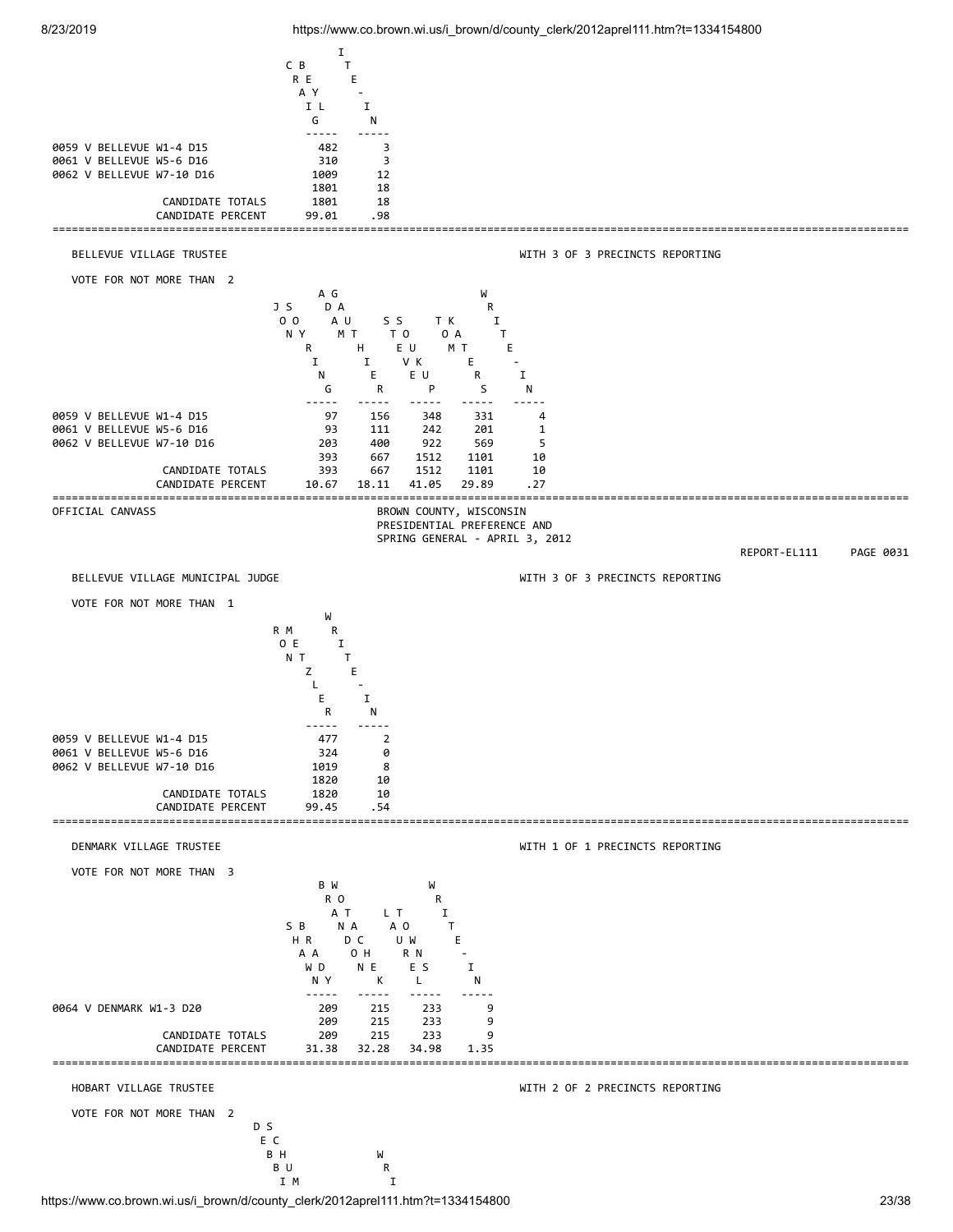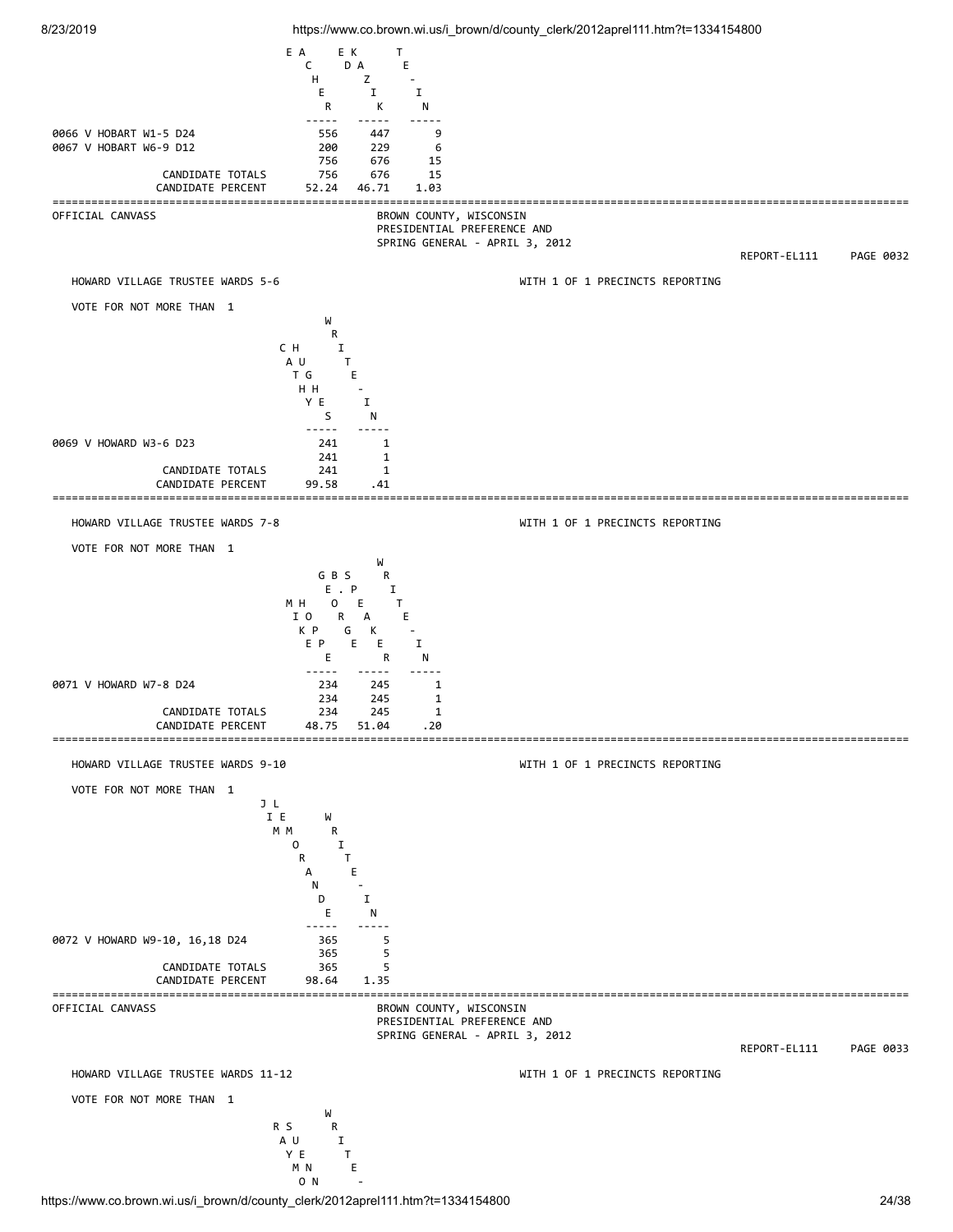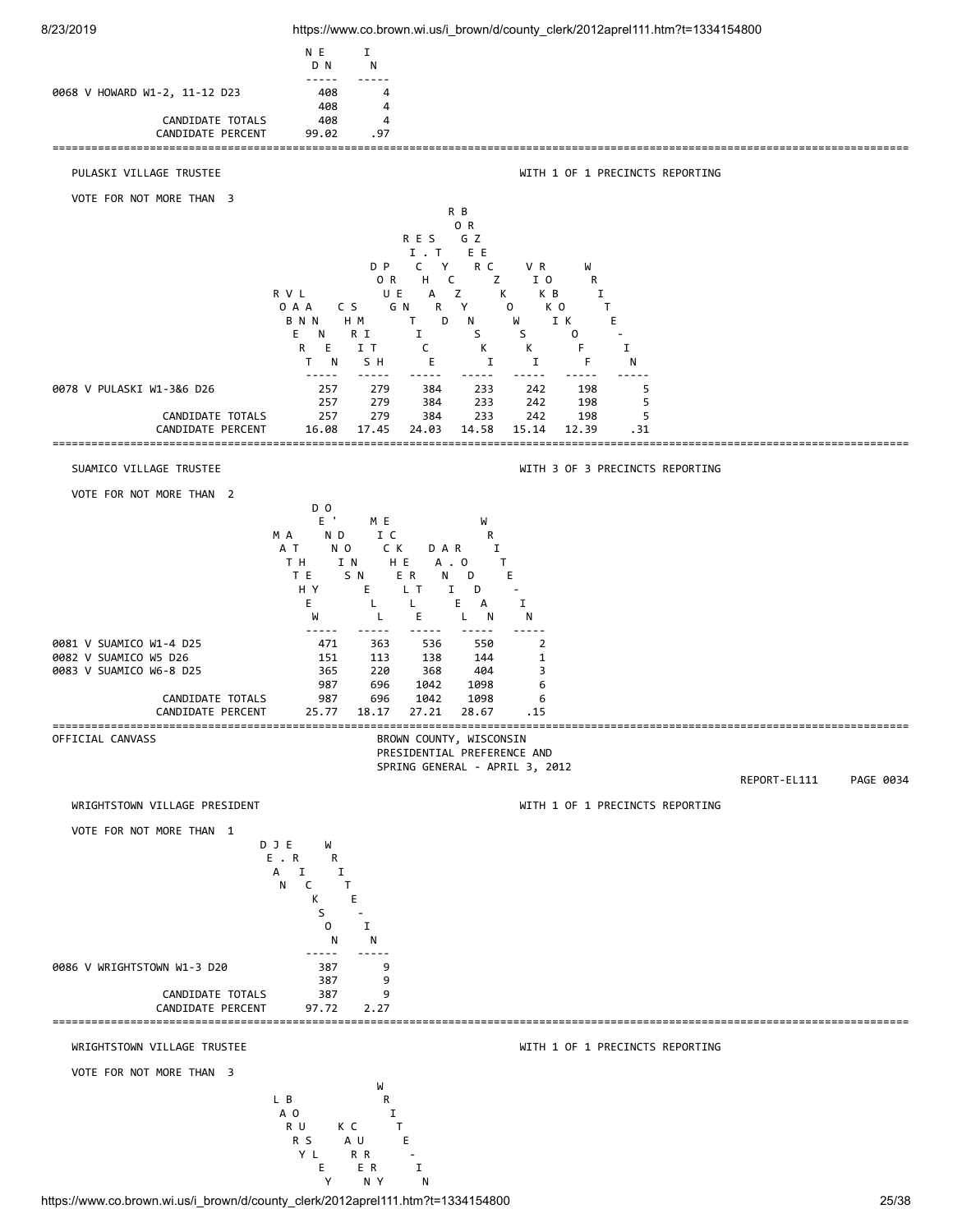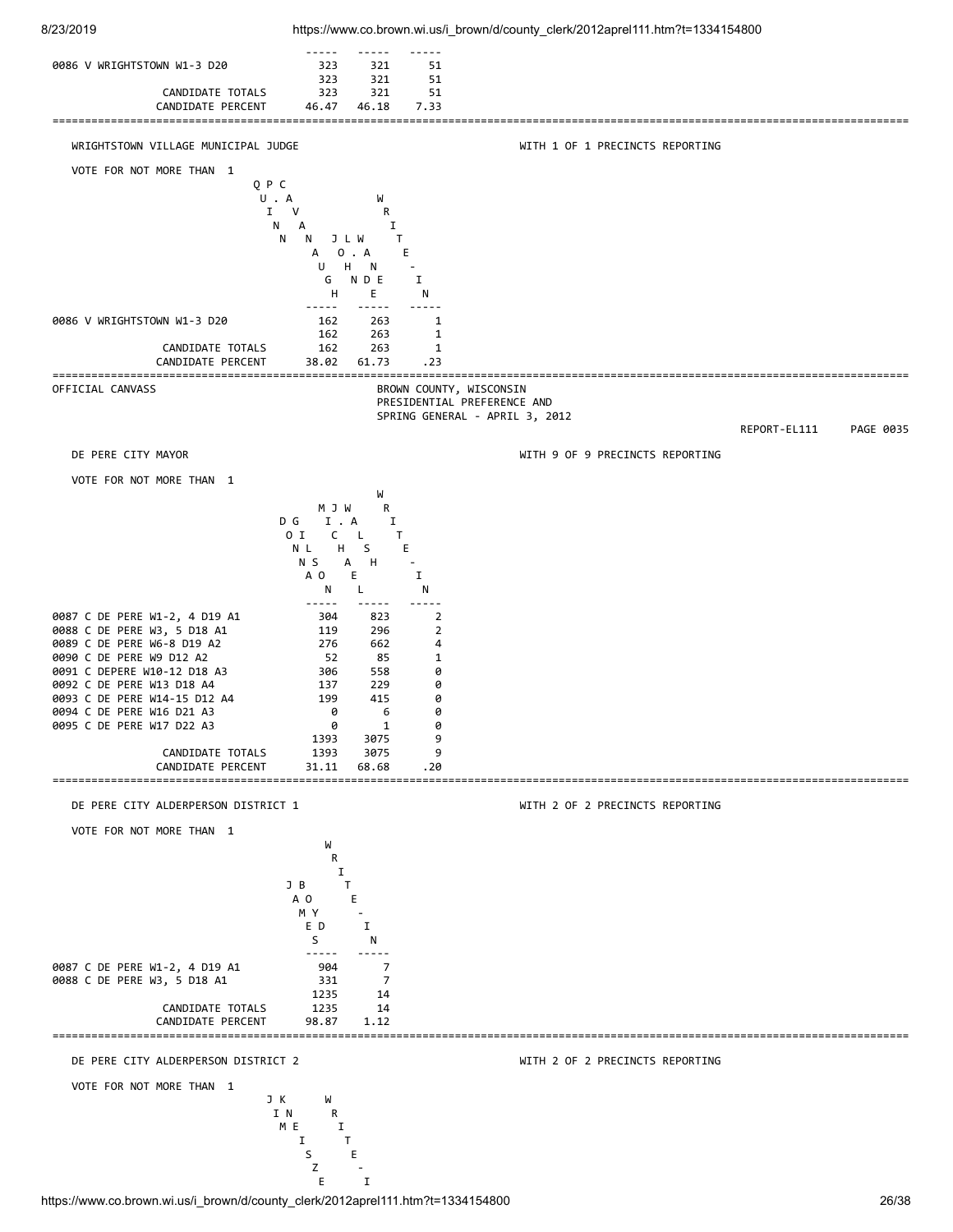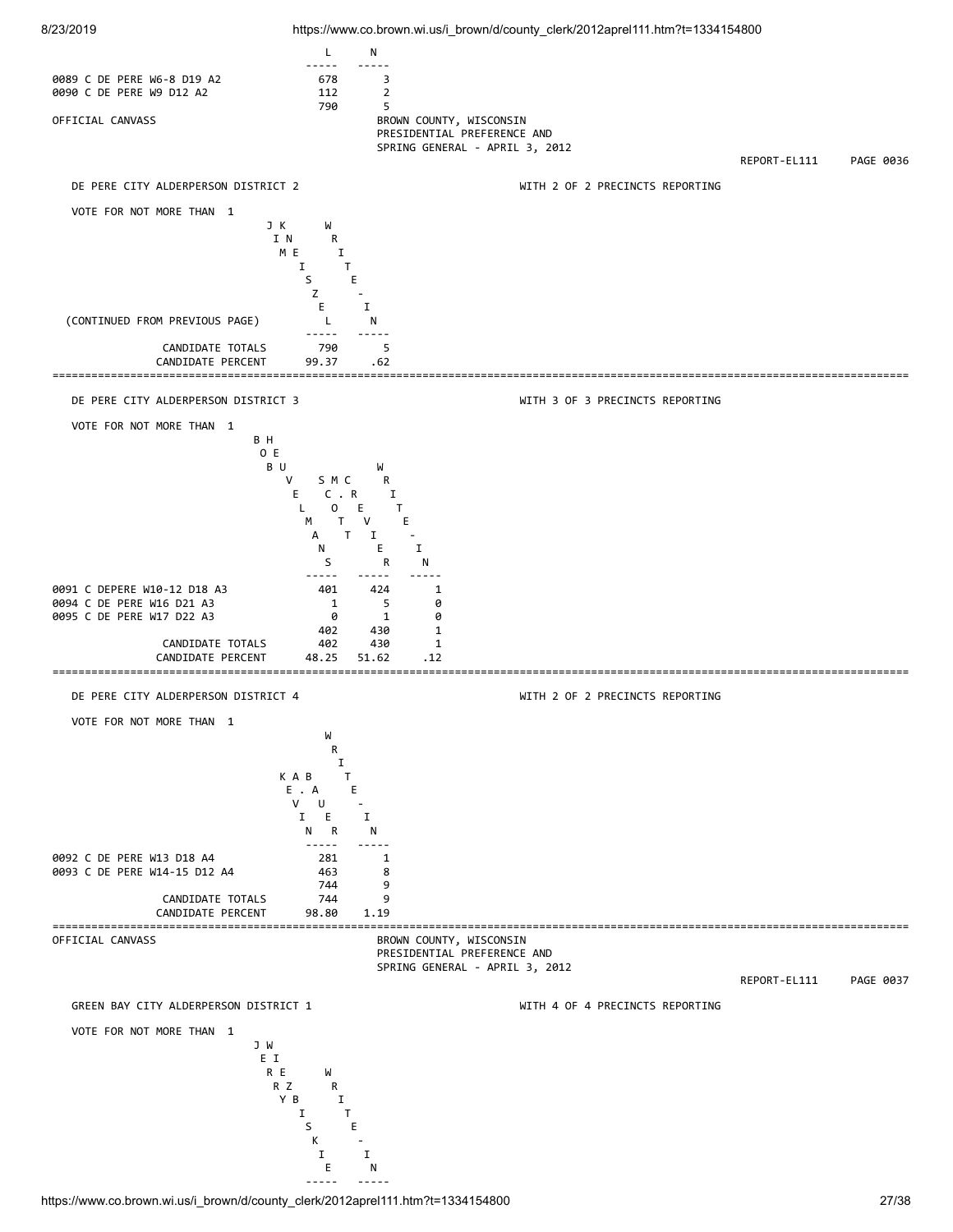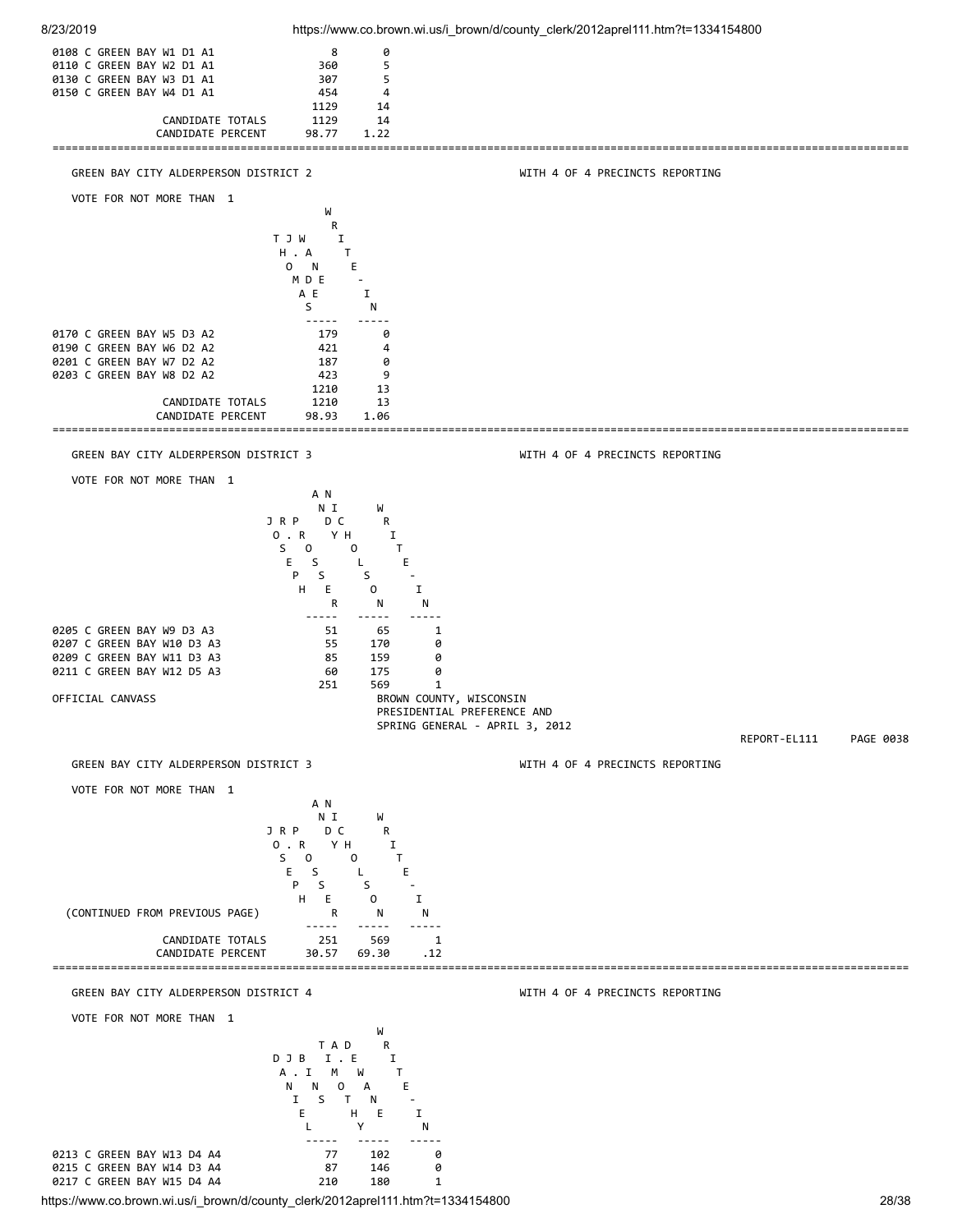

https://www.co.brown.wi.us/i\_brown/d/county\_clerk/2012aprel111.htm?t=1334154800 28/38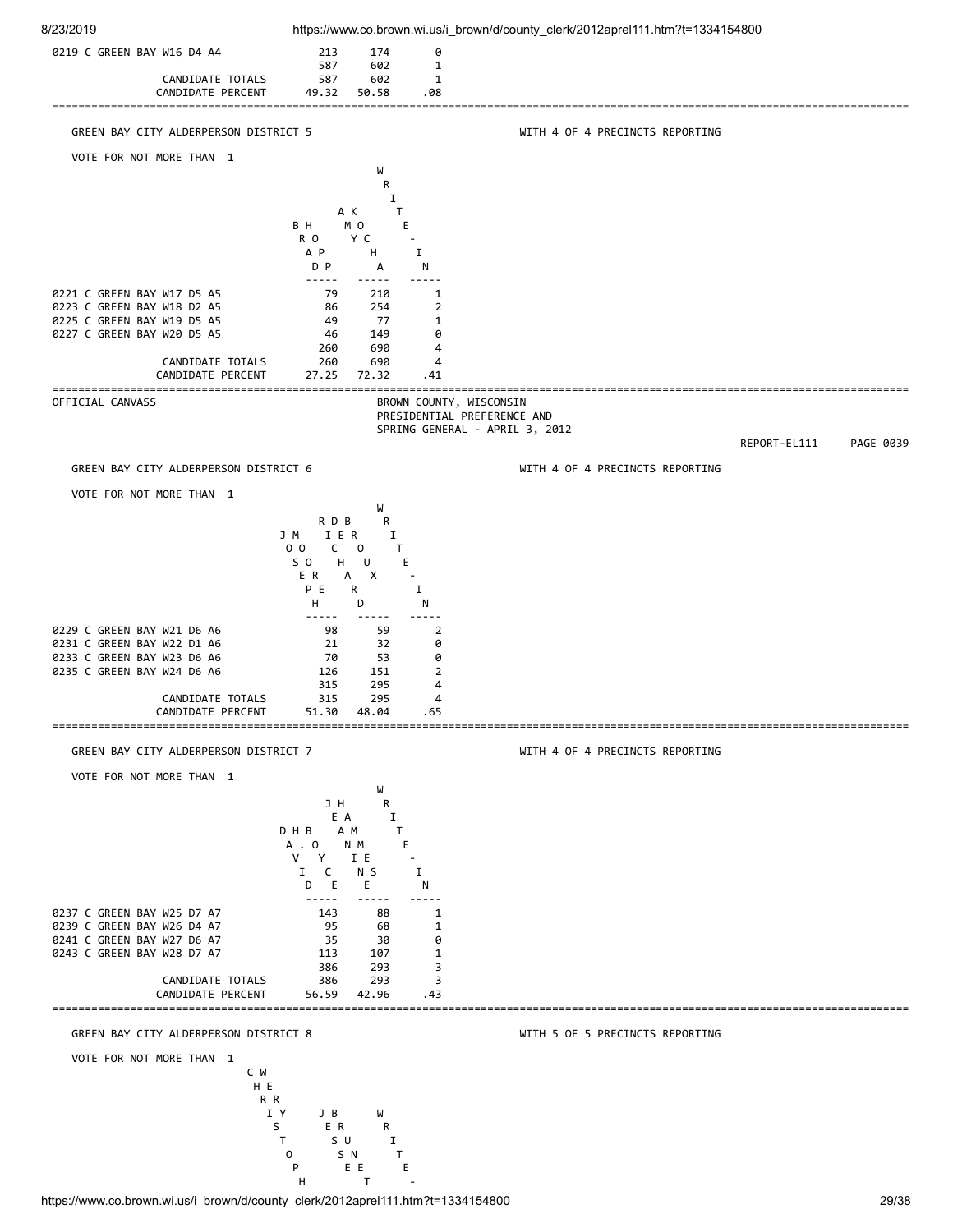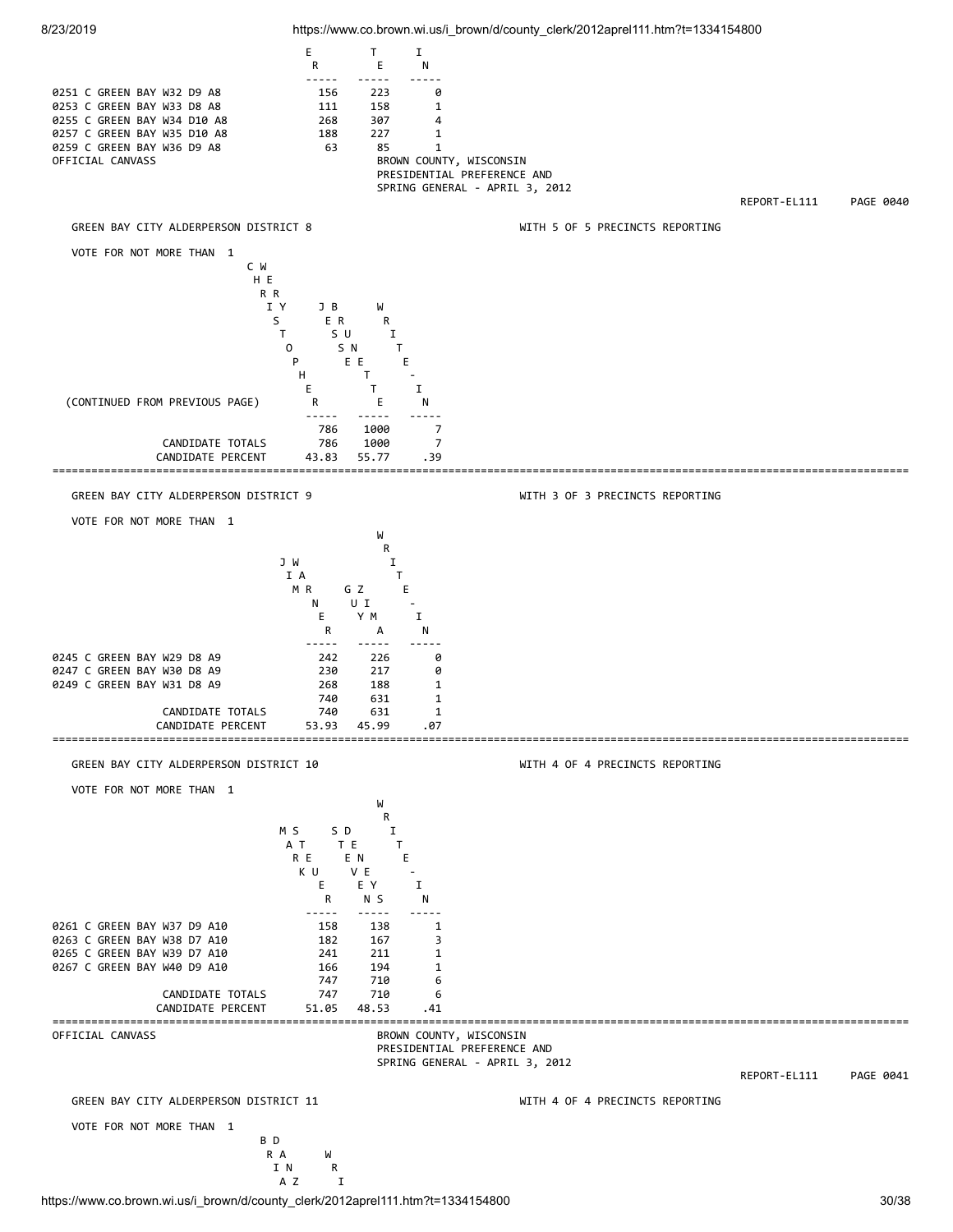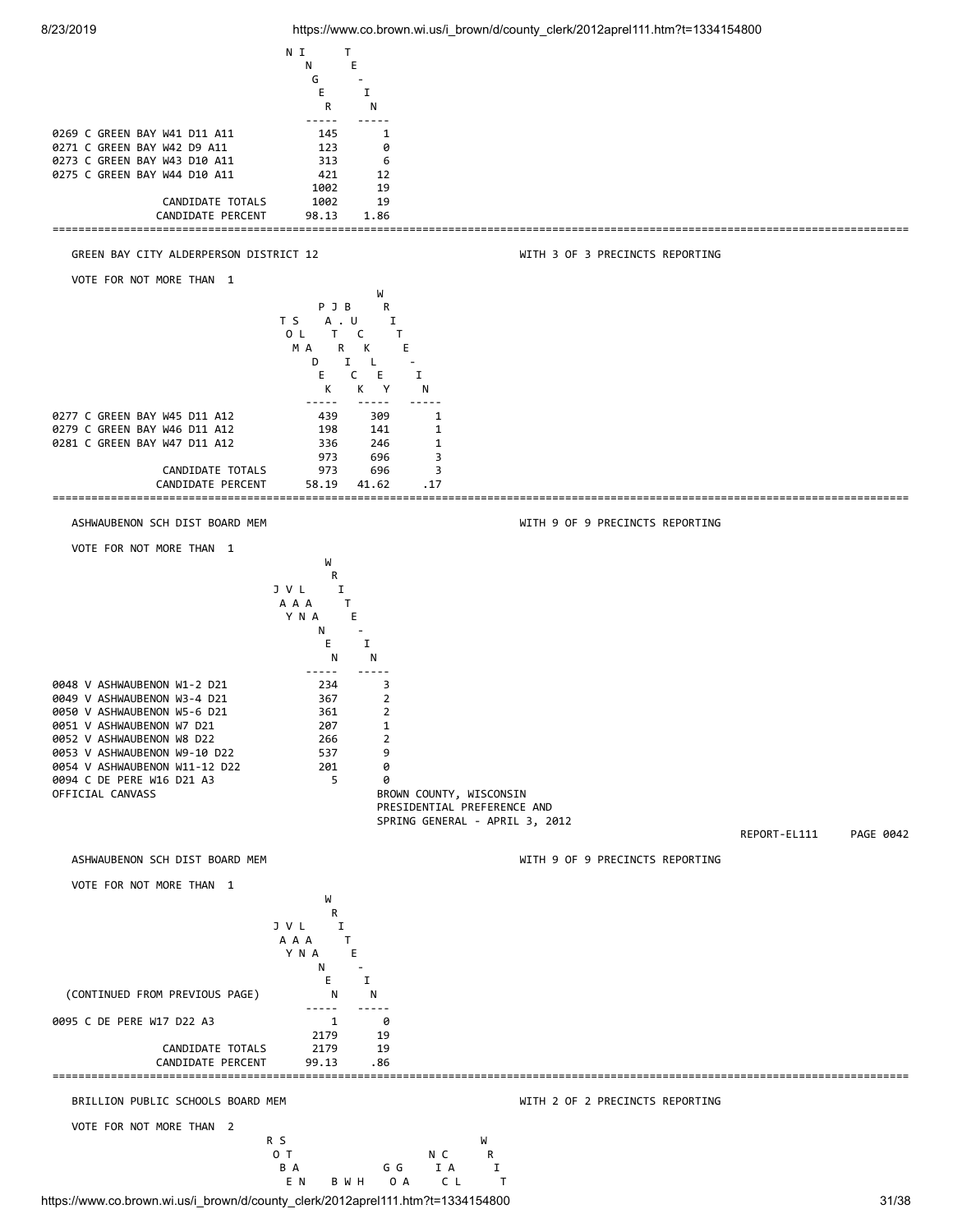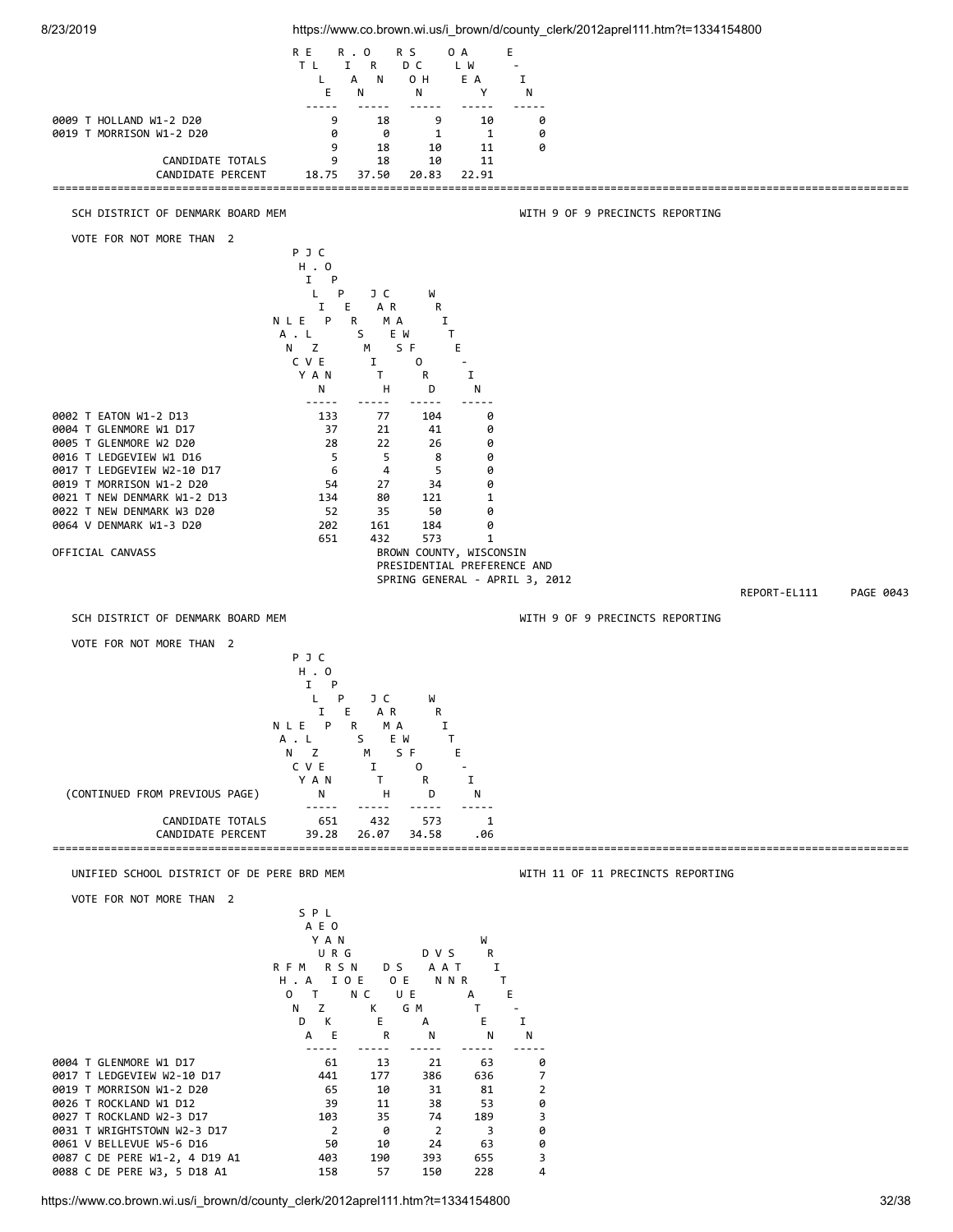

https://www.co.brown.wi.us/i\_brown/d/county\_clerk/2012aprel111.htm?t=1334154800 32/38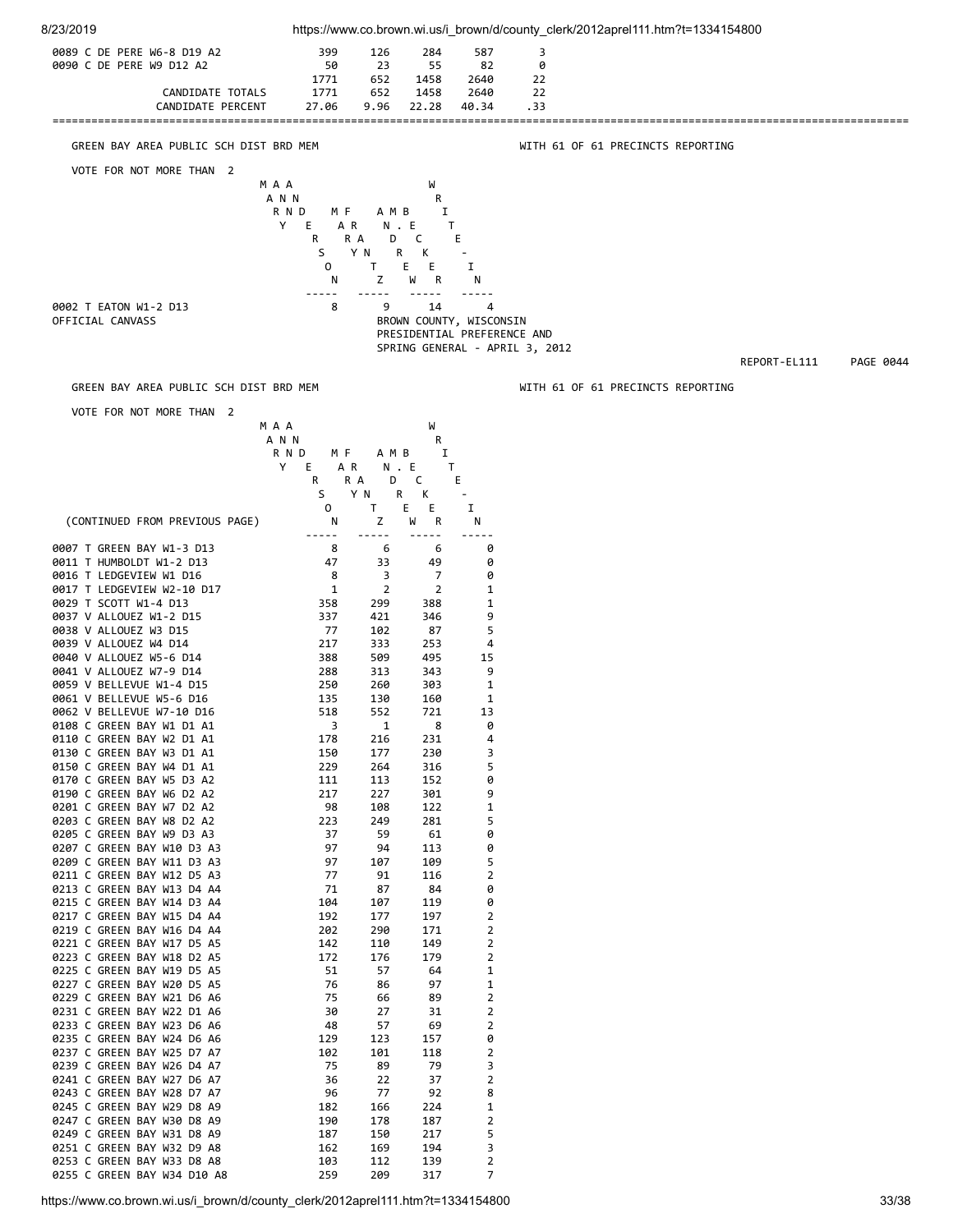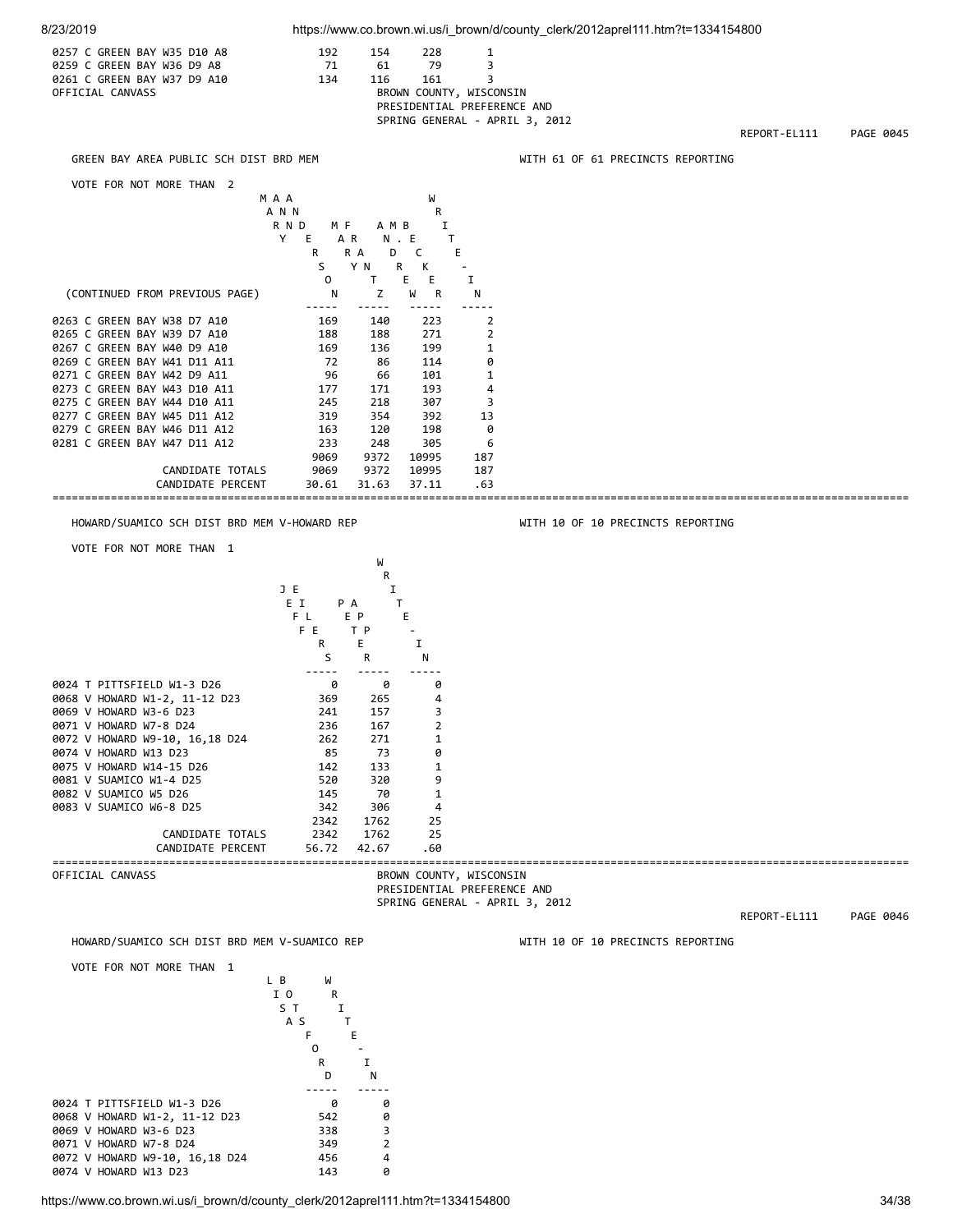

https://www.co.brown.wi.us/i\_brown/d/county\_clerk/2012aprel111.htm?t=1334154800 34/38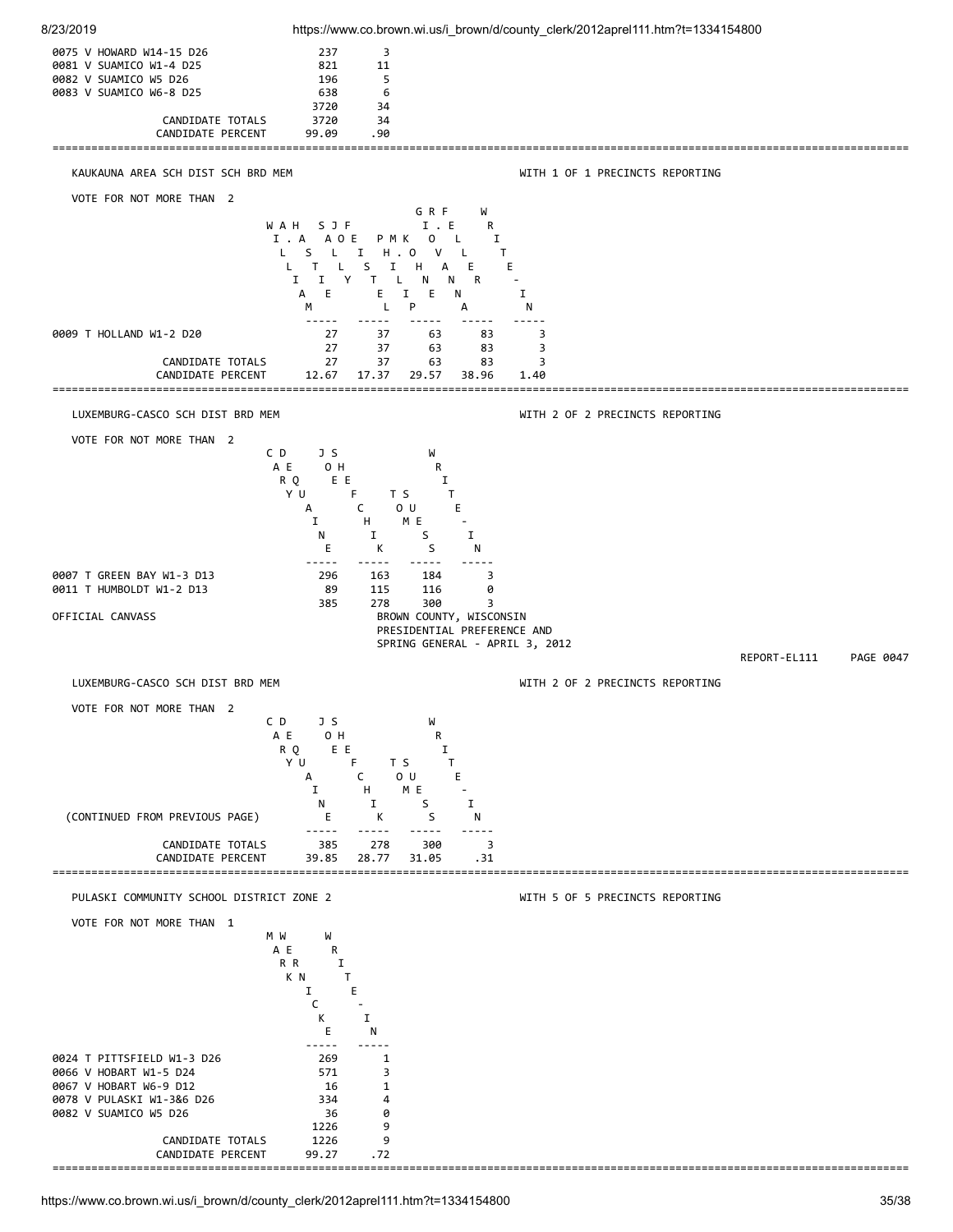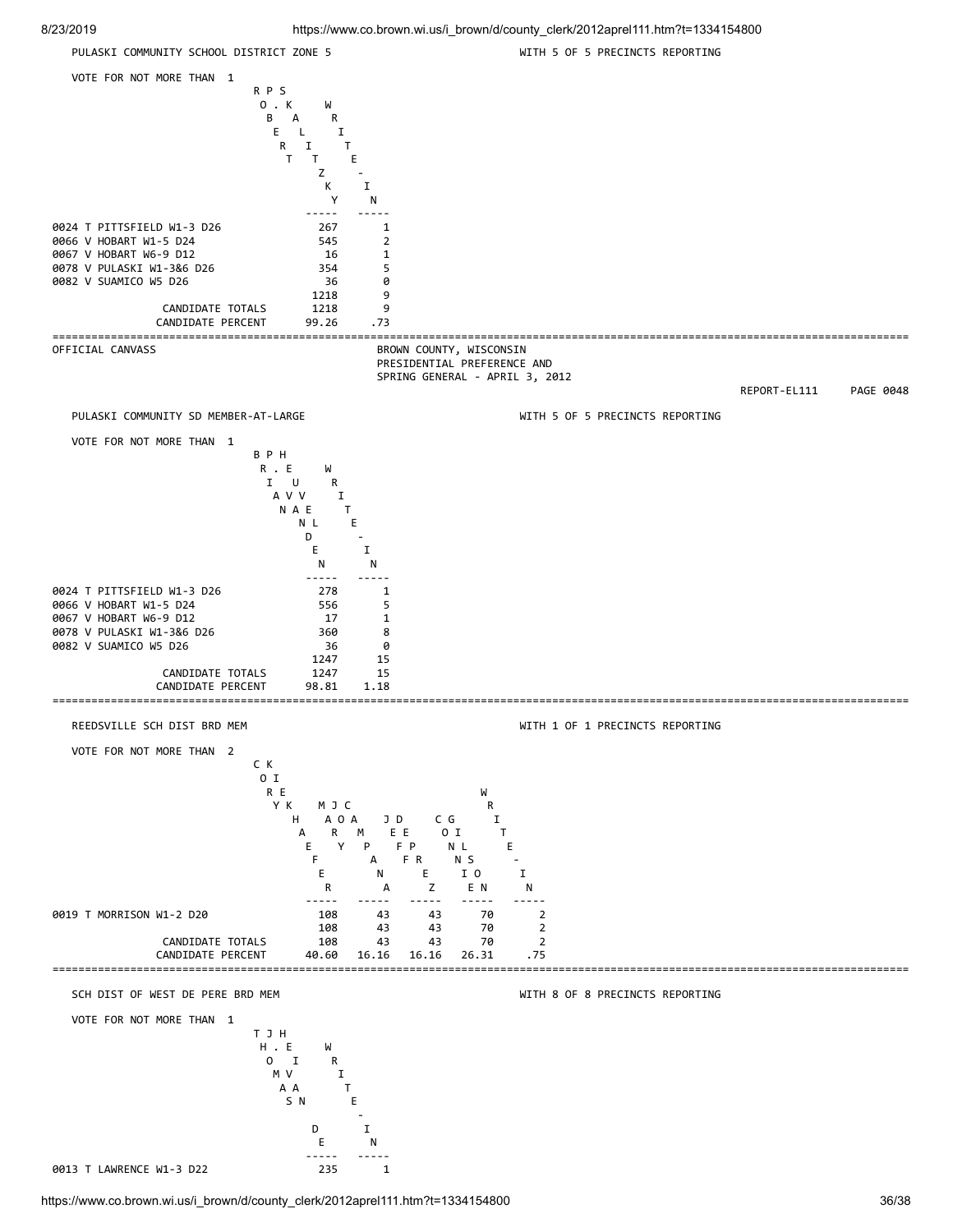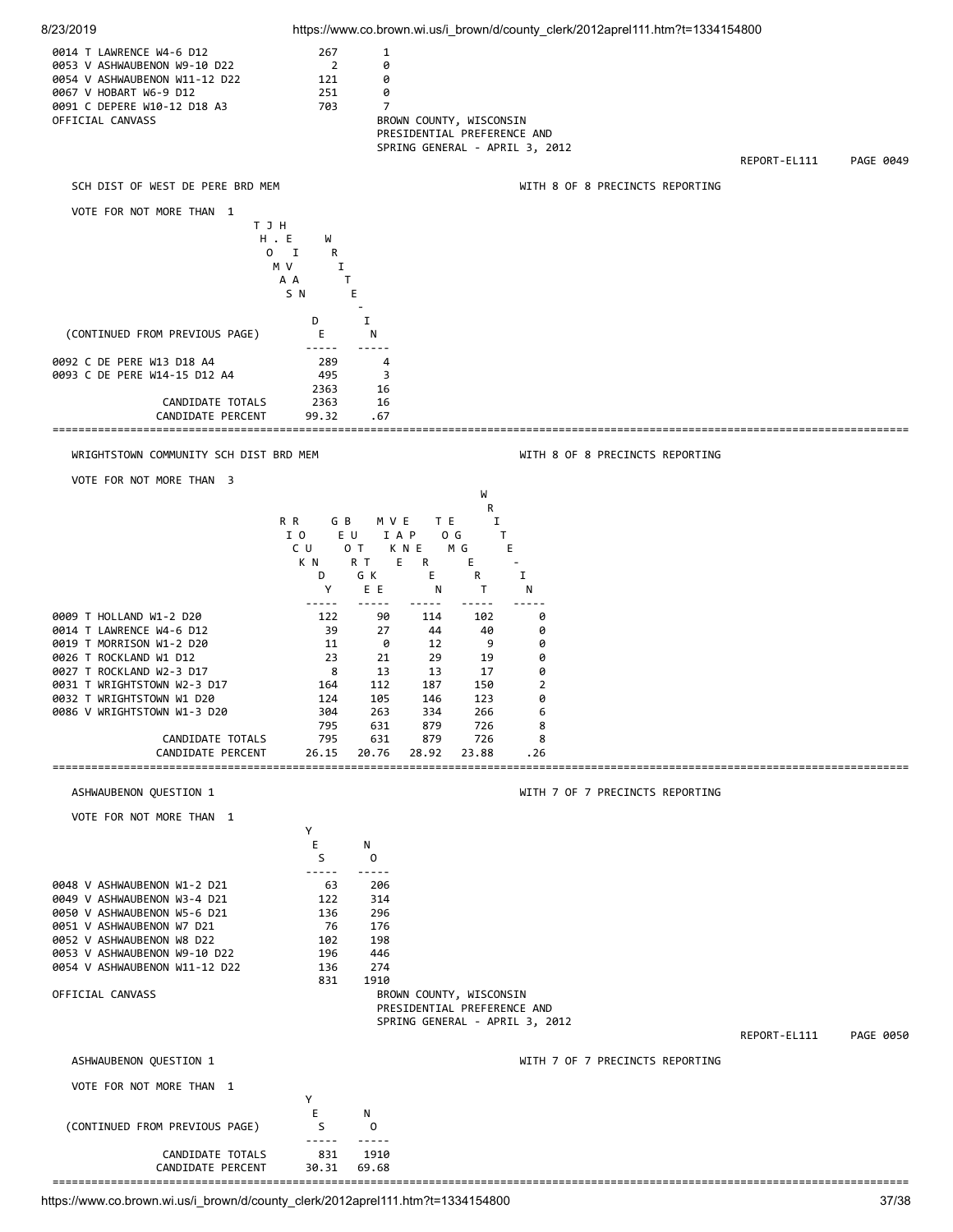